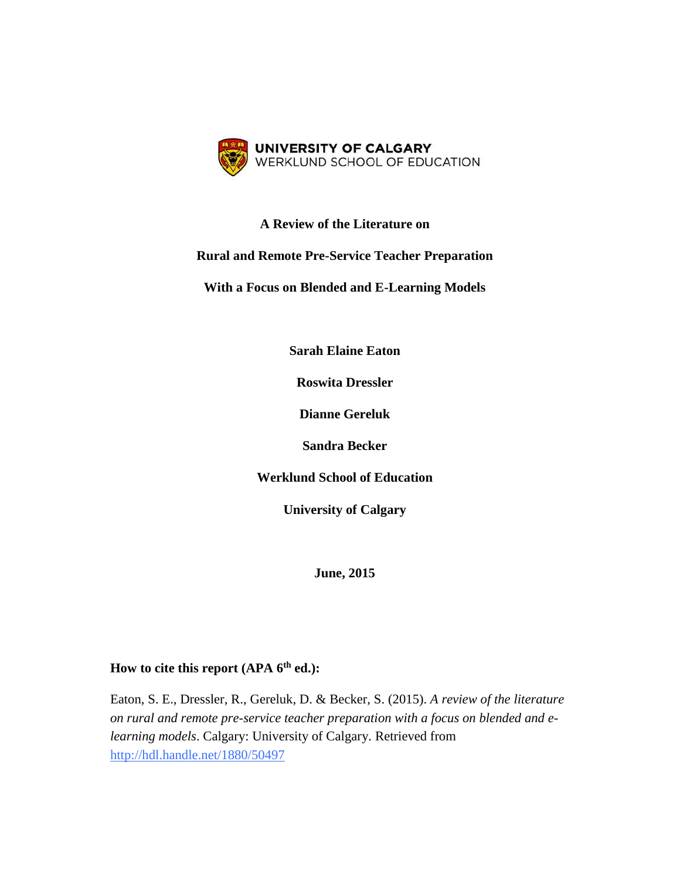

## **A Review of the Literature on**

### **Rural and Remote Pre-Service Teacher Preparation**

**With a Focus on Blended and E-Learning Models**

**Sarah Elaine Eaton**

**Roswita Dressler**

**Dianne Gereluk**

**Sandra Becker**

**Werklund School of Education**

**University of Calgary**

**June, 2015**

# **How to cite this report (APA 6th ed.):**

Eaton, S. E., Dressler, R., Gereluk, D. & Becker, S. (2015). *A review of the literature on rural and remote pre-service teacher preparation with a focus on blended and elearning models*. Calgary: University of Calgary. Retrieved from <http://hdl.handle.net/1880/50497>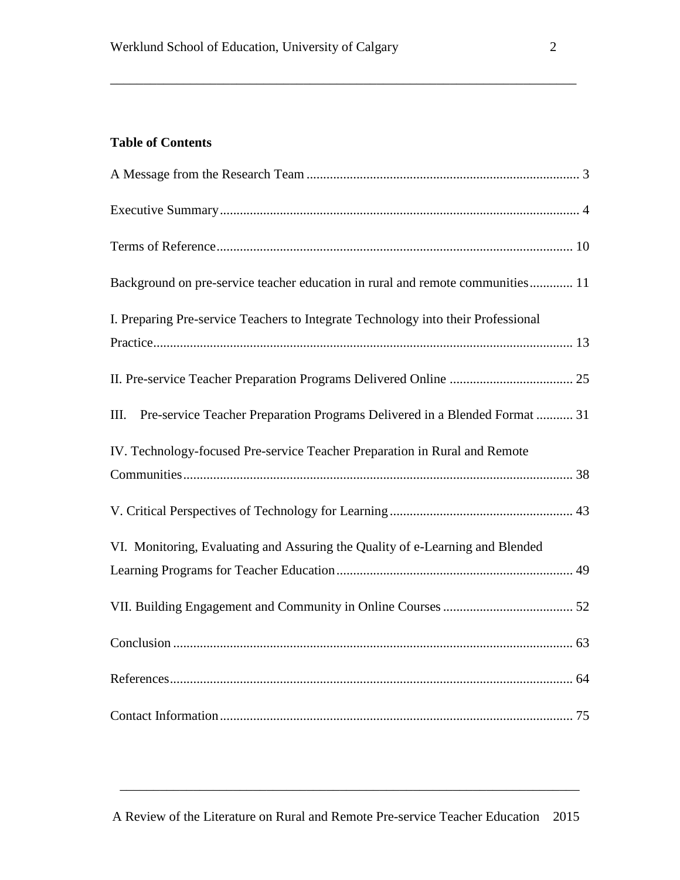# **Table of Contents**

| Background on pre-service teacher education in rural and remote communities 11     |  |
|------------------------------------------------------------------------------------|--|
| I. Preparing Pre-service Teachers to Integrate Technology into their Professional  |  |
|                                                                                    |  |
| Pre-service Teacher Preparation Programs Delivered in a Blended Format  31<br>III. |  |
| IV. Technology-focused Pre-service Teacher Preparation in Rural and Remote         |  |
|                                                                                    |  |
| VI. Monitoring, Evaluating and Assuring the Quality of e-Learning and Blended      |  |
|                                                                                    |  |
|                                                                                    |  |
|                                                                                    |  |
|                                                                                    |  |
|                                                                                    |  |

\_\_\_\_\_\_\_\_\_\_\_\_\_\_\_\_\_\_\_\_\_\_\_\_\_\_\_\_\_\_\_\_\_\_\_\_\_\_\_\_\_\_\_\_\_\_\_\_\_\_\_\_\_\_\_\_\_\_\_\_\_\_\_\_\_\_\_\_\_\_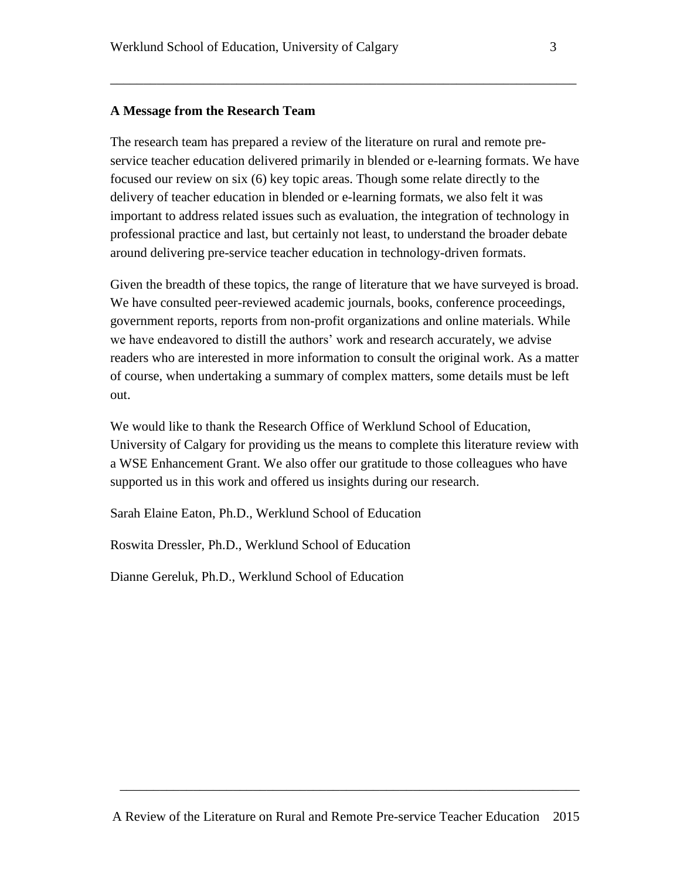#### **A Message from the Research Team**

The research team has prepared a review of the literature on rural and remote preservice teacher education delivered primarily in blended or e-learning formats. We have focused our review on six (6) key topic areas. Though some relate directly to the delivery of teacher education in blended or e-learning formats, we also felt it was important to address related issues such as evaluation, the integration of technology in professional practice and last, but certainly not least, to understand the broader debate around delivering pre-service teacher education in technology-driven formats.

\_\_\_\_\_\_\_\_\_\_\_\_\_\_\_\_\_\_\_\_\_\_\_\_\_\_\_\_\_\_\_\_\_\_\_\_\_\_\_\_\_\_\_\_\_\_\_\_\_\_\_\_\_\_\_\_\_\_\_\_\_\_\_\_\_\_\_\_\_\_

Given the breadth of these topics, the range of literature that we have surveyed is broad. We have consulted peer-reviewed academic journals, books, conference proceedings, government reports, reports from non-profit organizations and online materials. While we have endeavored to distill the authors' work and research accurately, we advise readers who are interested in more information to consult the original work. As a matter of course, when undertaking a summary of complex matters, some details must be left out.

We would like to thank the Research Office of Werklund School of Education, University of Calgary for providing us the means to complete this literature review with a WSE Enhancement Grant. We also offer our gratitude to those colleagues who have supported us in this work and offered us insights during our research.

Sarah Elaine Eaton, Ph.D., Werklund School of Education

Roswita Dressler, Ph.D., Werklund School of Education

Dianne Gereluk, Ph.D., Werklund School of Education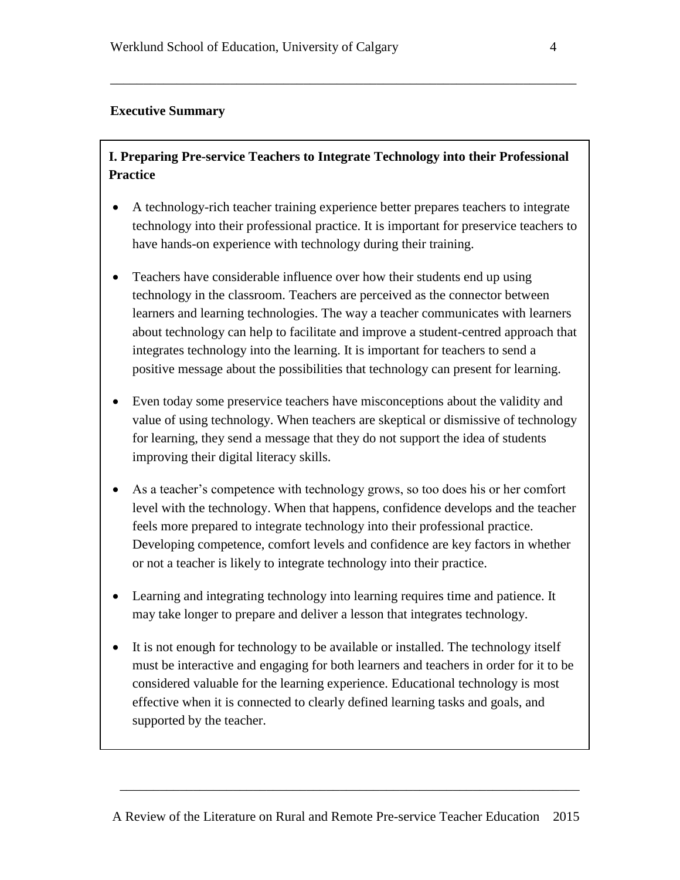### **Executive Summary**

# **I. Preparing Pre-service Teachers to Integrate Technology into their Professional Practice**

\_\_\_\_\_\_\_\_\_\_\_\_\_\_\_\_\_\_\_\_\_\_\_\_\_\_\_\_\_\_\_\_\_\_\_\_\_\_\_\_\_\_\_\_\_\_\_\_\_\_\_\_\_\_\_\_\_\_\_\_\_\_\_\_\_\_\_\_\_\_

- A technology-rich teacher training experience better prepares teachers to integrate technology into their professional practice. It is important for preservice teachers to have hands-on experience with technology during their training.
- Teachers have considerable influence over how their students end up using technology in the classroom. Teachers are perceived as the connector between learners and learning technologies. The way a teacher communicates with learners about technology can help to facilitate and improve a student-centred approach that integrates technology into the learning. It is important for teachers to send a positive message about the possibilities that technology can present for learning.
- Even today some preservice teachers have misconceptions about the validity and value of using technology. When teachers are skeptical or dismissive of technology for learning, they send a message that they do not support the idea of students improving their digital literacy skills.
- As a teacher's competence with technology grows, so too does his or her comfort level with the technology. When that happens, confidence develops and the teacher feels more prepared to integrate technology into their professional practice. Developing competence, comfort levels and confidence are key factors in whether or not a teacher is likely to integrate technology into their practice.
- Learning and integrating technology into learning requires time and patience. It may take longer to prepare and deliver a lesson that integrates technology.
- It is not enough for technology to be available or installed. The technology itself must be interactive and engaging for both learners and teachers in order for it to be considered valuable for the learning experience. Educational technology is most effective when it is connected to clearly defined learning tasks and goals, and supported by the teacher.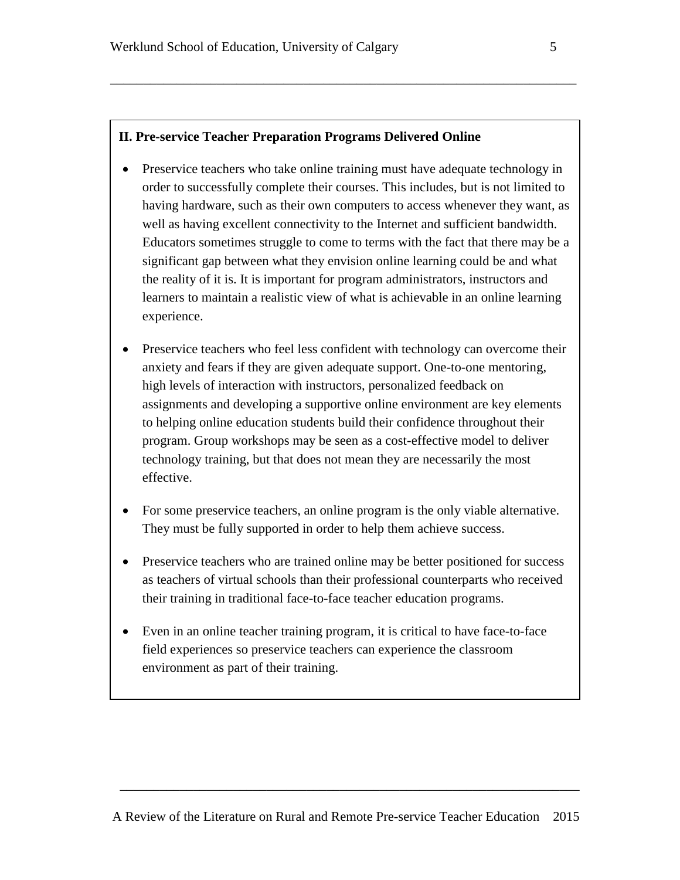#### **II. Pre-service Teacher Preparation Programs Delivered Online**

• Preservice teachers who take online training must have adequate technology in order to successfully complete their courses. This includes, but is not limited to having hardware, such as their own computers to access whenever they want, as well as having excellent connectivity to the Internet and sufficient bandwidth. Educators sometimes struggle to come to terms with the fact that there may be a significant gap between what they envision online learning could be and what the reality of it is. It is important for program administrators, instructors and learners to maintain a realistic view of what is achievable in an online learning experience.

\_\_\_\_\_\_\_\_\_\_\_\_\_\_\_\_\_\_\_\_\_\_\_\_\_\_\_\_\_\_\_\_\_\_\_\_\_\_\_\_\_\_\_\_\_\_\_\_\_\_\_\_\_\_\_\_\_\_\_\_\_\_\_\_\_\_\_\_\_\_

- Preservice teachers who feel less confident with technology can overcome their anxiety and fears if they are given adequate support. One-to-one mentoring, high levels of interaction with instructors, personalized feedback on assignments and developing a supportive online environment are key elements to helping online education students build their confidence throughout their program. Group workshops may be seen as a cost-effective model to deliver technology training, but that does not mean they are necessarily the most effective.
- For some preservice teachers, an online program is the only viable alternative. They must be fully supported in order to help them achieve success.
- Preservice teachers who are trained online may be better positioned for success as teachers of virtual schools than their professional counterparts who received their training in traditional face-to-face teacher education programs.
- Even in an online teacher training program, it is critical to have face-to-face field experiences so preservice teachers can experience the classroom environment as part of their training.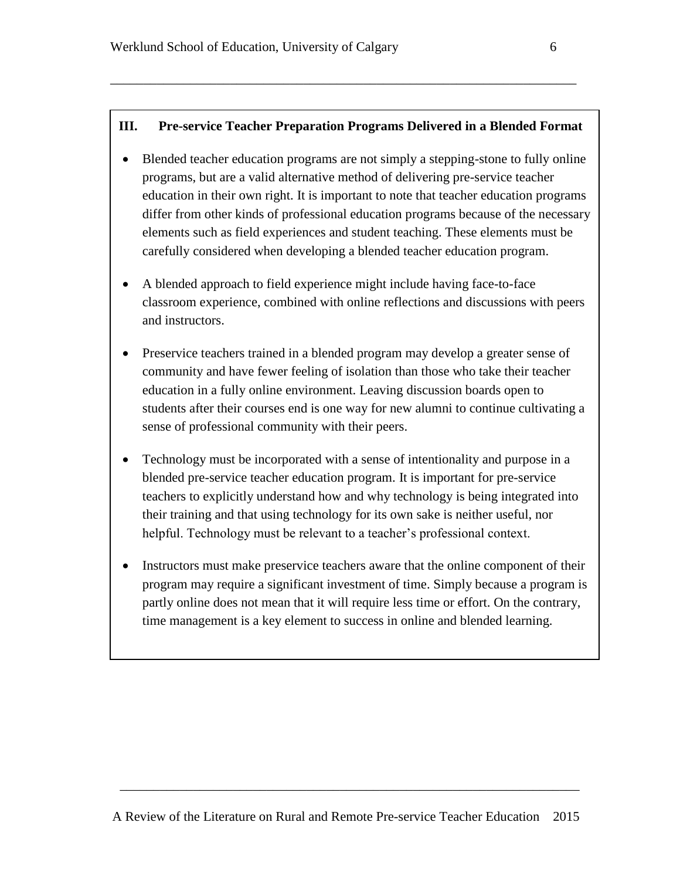### **III. Pre-service Teacher Preparation Programs Delivered in a Blended Format**

\_\_\_\_\_\_\_\_\_\_\_\_\_\_\_\_\_\_\_\_\_\_\_\_\_\_\_\_\_\_\_\_\_\_\_\_\_\_\_\_\_\_\_\_\_\_\_\_\_\_\_\_\_\_\_\_\_\_\_\_\_\_\_\_\_\_\_\_\_\_

- Blended teacher education programs are not simply a stepping-stone to fully online programs, but are a valid alternative method of delivering pre-service teacher education in their own right. It is important to note that teacher education programs differ from other kinds of professional education programs because of the necessary elements such as field experiences and student teaching. These elements must be carefully considered when developing a blended teacher education program.
- A blended approach to field experience might include having face-to-face classroom experience, combined with online reflections and discussions with peers and instructors.
- Preservice teachers trained in a blended program may develop a greater sense of community and have fewer feeling of isolation than those who take their teacher education in a fully online environment. Leaving discussion boards open to students after their courses end is one way for new alumni to continue cultivating a sense of professional community with their peers.
- Technology must be incorporated with a sense of intentionality and purpose in a blended pre-service teacher education program. It is important for pre-service teachers to explicitly understand how and why technology is being integrated into their training and that using technology for its own sake is neither useful, nor helpful. Technology must be relevant to a teacher's professional context.
- Instructors must make preservice teachers aware that the online component of their program may require a significant investment of time. Simply because a program is partly online does not mean that it will require less time or effort. On the contrary, time management is a key element to success in online and blended learning.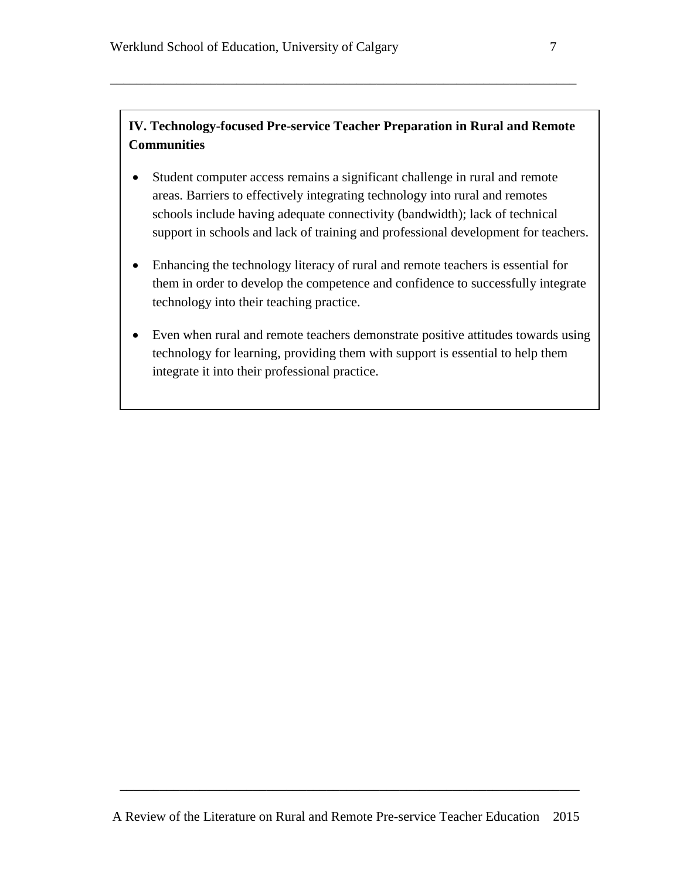# **IV. Technology-focused Pre-service Teacher Preparation in Rural and Remote Communities**

\_\_\_\_\_\_\_\_\_\_\_\_\_\_\_\_\_\_\_\_\_\_\_\_\_\_\_\_\_\_\_\_\_\_\_\_\_\_\_\_\_\_\_\_\_\_\_\_\_\_\_\_\_\_\_\_\_\_\_\_\_\_\_\_\_\_\_\_\_\_

- Student computer access remains a significant challenge in rural and remote areas. Barriers to effectively integrating technology into rural and remotes schools include having adequate connectivity (bandwidth); lack of technical support in schools and lack of training and professional development for teachers.
- Enhancing the technology literacy of rural and remote teachers is essential for them in order to develop the competence and confidence to successfully integrate technology into their teaching practice.
- Even when rural and remote teachers demonstrate positive attitudes towards using technology for learning, providing them with support is essential to help them integrate it into their professional practice.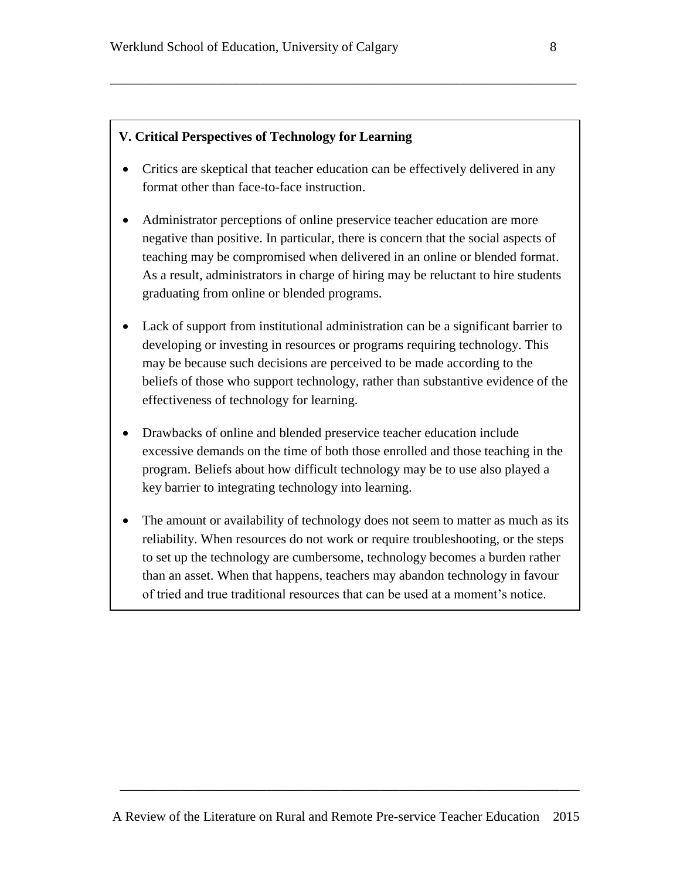#### **V. Critical Perspectives of Technology for Learning**

• Critics are skeptical that teacher education can be effectively delivered in any format other than face-to-face instruction.

\_\_\_\_\_\_\_\_\_\_\_\_\_\_\_\_\_\_\_\_\_\_\_\_\_\_\_\_\_\_\_\_\_\_\_\_\_\_\_\_\_\_\_\_\_\_\_\_\_\_\_\_\_\_\_\_\_\_\_\_\_\_\_\_\_\_\_\_\_\_

- Administrator perceptions of online preservice teacher education are more negative than positive. In particular, there is concern that the social aspects of teaching may be compromised when delivered in an online or blended format. As a result, administrators in charge of hiring may be reluctant to hire students graduating from online or blended programs.
- Lack of support from institutional administration can be a significant barrier to developing or investing in resources or programs requiring technology. This may be because such decisions are perceived to be made according to the beliefs of those who support technology, rather than substantive evidence of the effectiveness of technology for learning.
- Drawbacks of online and blended preservice teacher education include excessive demands on the time of both those enrolled and those teaching in the program. Beliefs about how difficult technology may be to use also played a key barrier to integrating technology into learning.
- The amount or availability of technology does not seem to matter as much as its reliability. When resources do not work or require troubleshooting, or the steps to set up the technology are cumbersome, technology becomes a burden rather than an asset. When that happens, teachers may abandon technology in favour of tried and true traditional resources that can be used at a moment's notice.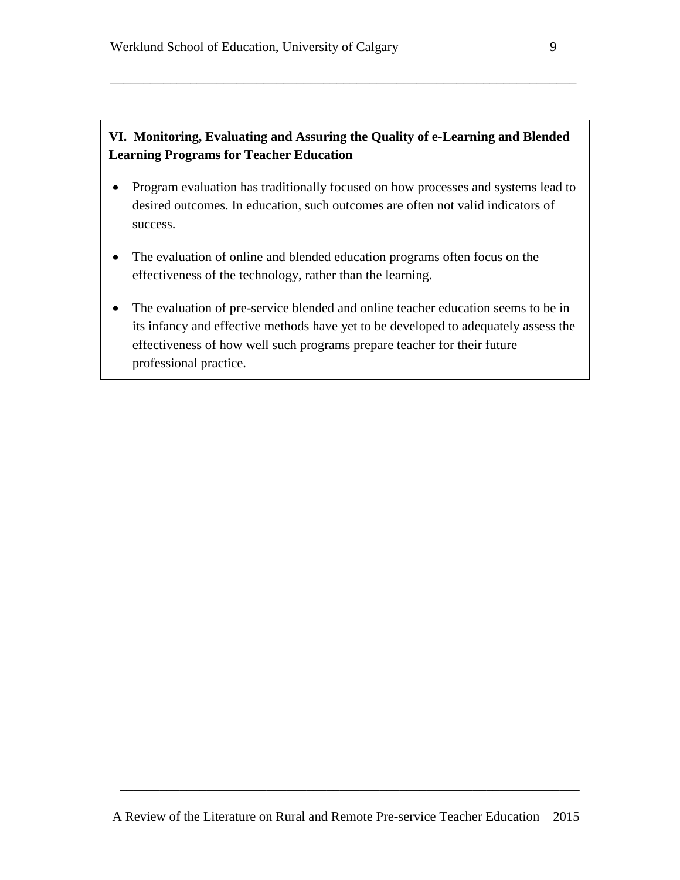# **VI. Monitoring, Evaluating and Assuring the Quality of e-Learning and Blended Learning Programs for Teacher Education**

\_\_\_\_\_\_\_\_\_\_\_\_\_\_\_\_\_\_\_\_\_\_\_\_\_\_\_\_\_\_\_\_\_\_\_\_\_\_\_\_\_\_\_\_\_\_\_\_\_\_\_\_\_\_\_\_\_\_\_\_\_\_\_\_\_\_\_\_\_\_

- Program evaluation has traditionally focused on how processes and systems lead to desired outcomes. In education, such outcomes are often not valid indicators of success.
- The evaluation of online and blended education programs often focus on the effectiveness of the technology, rather than the learning.
- The evaluation of pre-service blended and online teacher education seems to be in its infancy and effective methods have yet to be developed to adequately assess the effectiveness of how well such programs prepare teacher for their future professional practice.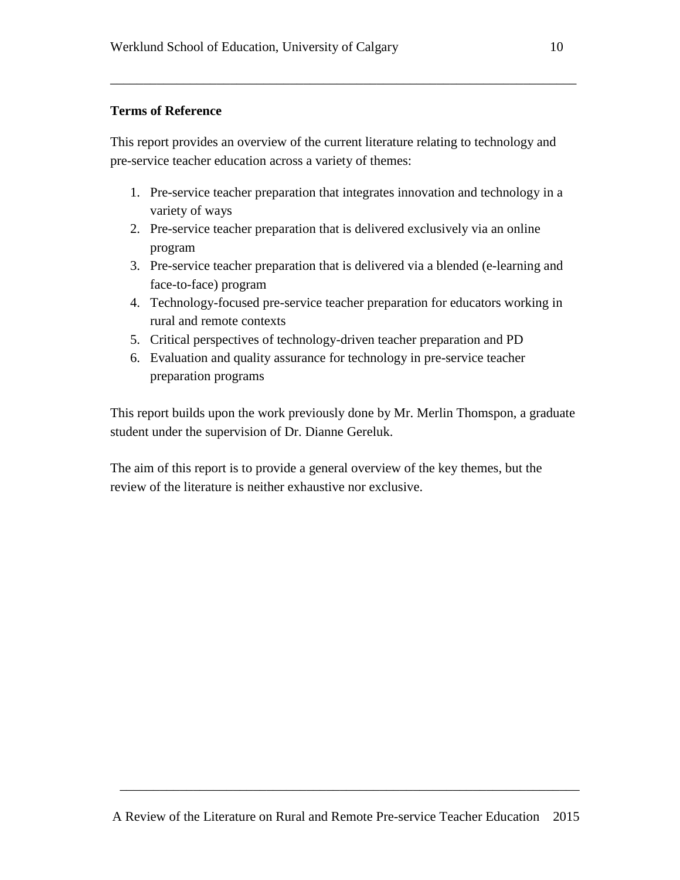## **Terms of Reference**

This report provides an overview of the current literature relating to technology and pre-service teacher education across a variety of themes:

\_\_\_\_\_\_\_\_\_\_\_\_\_\_\_\_\_\_\_\_\_\_\_\_\_\_\_\_\_\_\_\_\_\_\_\_\_\_\_\_\_\_\_\_\_\_\_\_\_\_\_\_\_\_\_\_\_\_\_\_\_\_\_\_\_\_\_\_\_\_

- 1. Pre-service teacher preparation that integrates innovation and technology in a variety of ways
- 2. Pre-service teacher preparation that is delivered exclusively via an online program
- 3. Pre-service teacher preparation that is delivered via a blended (e-learning and face-to-face) program
- 4. Technology-focused pre-service teacher preparation for educators working in rural and remote contexts
- 5. Critical perspectives of technology-driven teacher preparation and PD
- 6. Evaluation and quality assurance for technology in pre-service teacher preparation programs

This report builds upon the work previously done by Mr. Merlin Thomspon, a graduate student under the supervision of Dr. Dianne Gereluk.

The aim of this report is to provide a general overview of the key themes, but the review of the literature is neither exhaustive nor exclusive.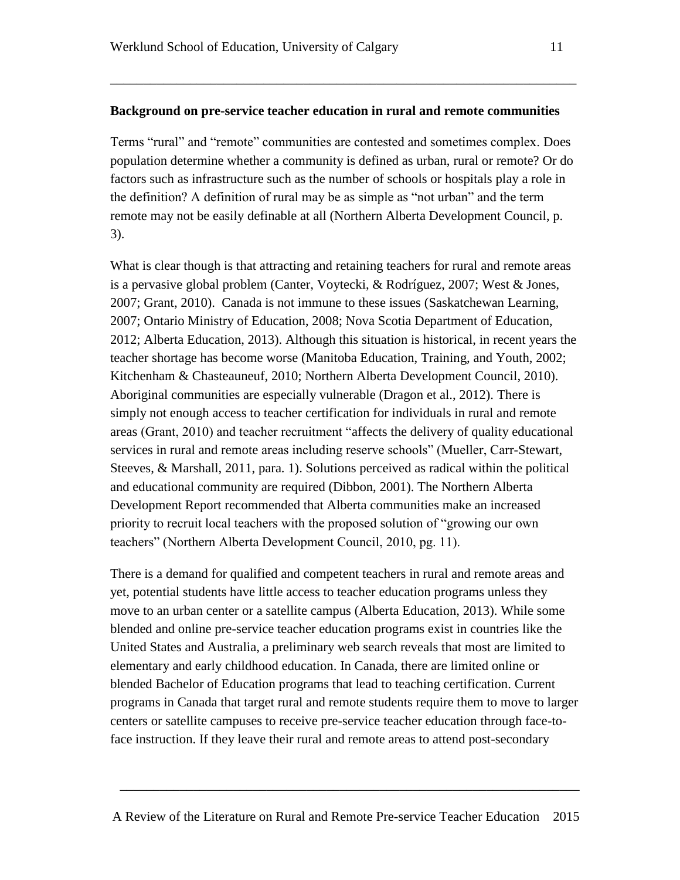#### **Background on pre-service teacher education in rural and remote communities**

\_\_\_\_\_\_\_\_\_\_\_\_\_\_\_\_\_\_\_\_\_\_\_\_\_\_\_\_\_\_\_\_\_\_\_\_\_\_\_\_\_\_\_\_\_\_\_\_\_\_\_\_\_\_\_\_\_\_\_\_\_\_\_\_\_\_\_\_\_\_

Terms "rural" and "remote" communities are contested and sometimes complex. Does population determine whether a community is defined as urban, rural or remote? Or do factors such as infrastructure such as the number of schools or hospitals play a role in the definition? A definition of rural may be as simple as "not urban" and the term remote may not be easily definable at all (Northern Alberta Development Council, p. 3).

What is clear though is that attracting and retaining teachers for rural and remote areas is a pervasive global problem (Canter, Voytecki, & Rodríguez, 2007; West & Jones, 2007; Grant, 2010). Canada is not immune to these issues (Saskatchewan Learning, 2007; Ontario Ministry of Education, 2008; Nova Scotia Department of Education, 2012; Alberta Education, 2013). Although this situation is historical, in recent years the teacher shortage has become worse (Manitoba Education, Training, and Youth, 2002; Kitchenham & Chasteauneuf, 2010; Northern Alberta Development Council, 2010). Aboriginal communities are especially vulnerable (Dragon et al., 2012). There is simply not enough access to teacher certification for individuals in rural and remote areas (Grant, 2010) and teacher recruitment "affects the delivery of quality educational services in rural and remote areas including reserve schools" (Mueller, Carr-Stewart, Steeves, & Marshall, 2011, para. 1). Solutions perceived as radical within the political and educational community are required (Dibbon, 2001). The Northern Alberta Development Report recommended that Alberta communities make an increased priority to recruit local teachers with the proposed solution of "growing our own teachers" (Northern Alberta Development Council, 2010, pg. 11).

There is a demand for qualified and competent teachers in rural and remote areas and yet, potential students have little access to teacher education programs unless they move to an urban center or a satellite campus (Alberta Education, 2013). While some blended and online pre-service teacher education programs exist in countries like the United States and Australia, a preliminary web search reveals that most are limited to elementary and early childhood education. In Canada, there are limited online or blended Bachelor of Education programs that lead to teaching certification. Current programs in Canada that target rural and remote students require them to move to larger centers or satellite campuses to receive pre-service teacher education through face-toface instruction. If they leave their rural and remote areas to attend post-secondary

A Review of the Literature on Rural and Remote Pre-service Teacher Education 2015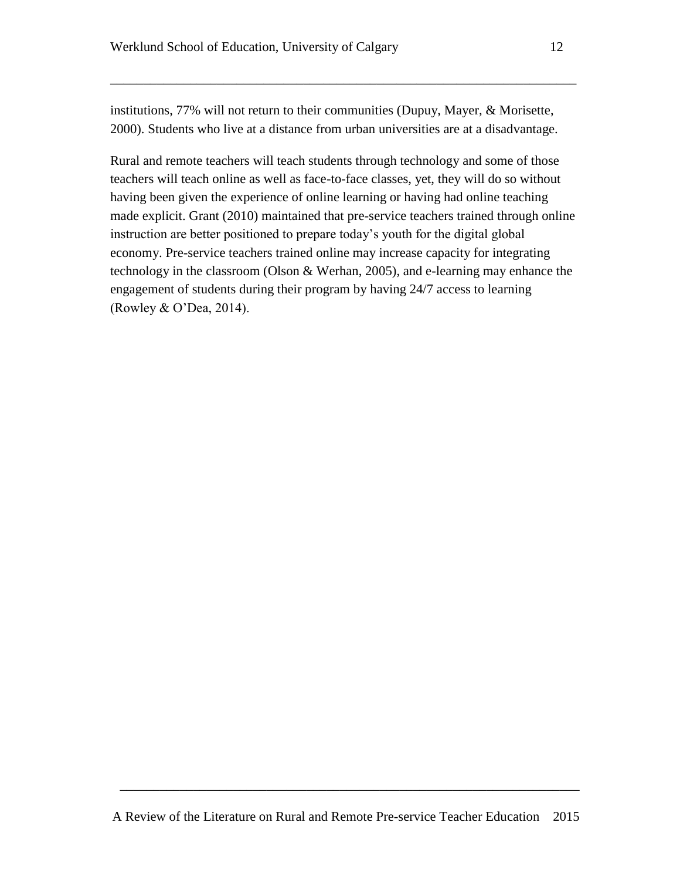institutions, 77% will not return to their communities (Dupuy, Mayer, & Morisette, 2000). Students who live at a distance from urban universities are at a disadvantage.

\_\_\_\_\_\_\_\_\_\_\_\_\_\_\_\_\_\_\_\_\_\_\_\_\_\_\_\_\_\_\_\_\_\_\_\_\_\_\_\_\_\_\_\_\_\_\_\_\_\_\_\_\_\_\_\_\_\_\_\_\_\_\_\_\_\_\_\_\_\_

Rural and remote teachers will teach students through technology and some of those teachers will teach online as well as face-to-face classes, yet, they will do so without having been given the experience of online learning or having had online teaching made explicit. Grant (2010) maintained that pre-service teachers trained through online instruction are better positioned to prepare today's youth for the digital global economy. Pre-service teachers trained online may increase capacity for integrating technology in the classroom (Olson & Werhan, 2005), and e-learning may enhance the engagement of students during their program by having 24/7 access to learning (Rowley & O'Dea, 2014).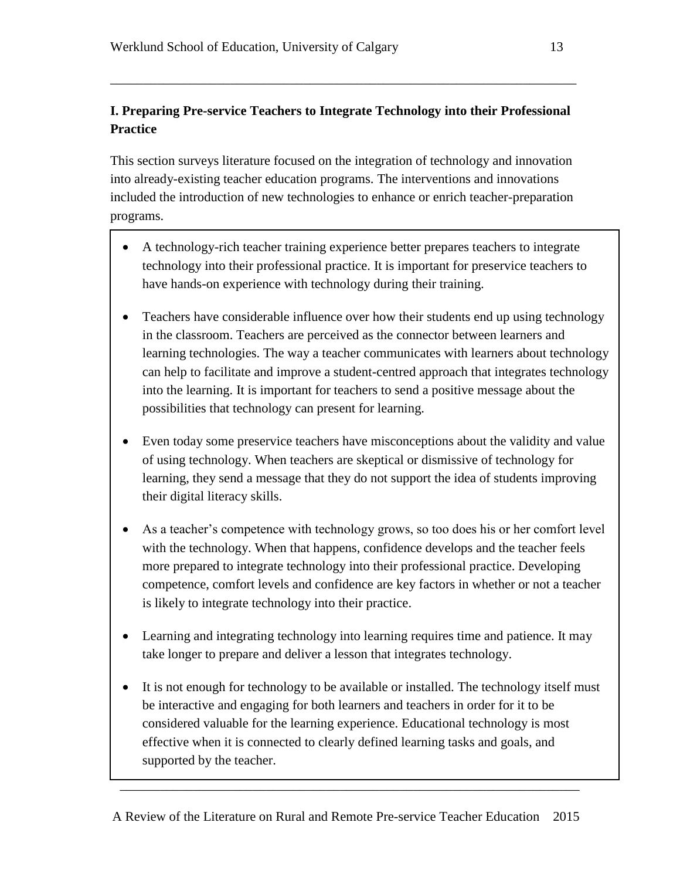# **I. Preparing Pre-service Teachers to Integrate Technology into their Professional Practice**

\_\_\_\_\_\_\_\_\_\_\_\_\_\_\_\_\_\_\_\_\_\_\_\_\_\_\_\_\_\_\_\_\_\_\_\_\_\_\_\_\_\_\_\_\_\_\_\_\_\_\_\_\_\_\_\_\_\_\_\_\_\_\_\_\_\_\_\_\_\_

This section surveys literature focused on the integration of technology and innovation into already-existing teacher education programs. The interventions and innovations included the introduction of new technologies to enhance or enrich teacher-preparation programs.

- A technology-rich teacher training experience better prepares teachers to integrate technology into their professional practice. It is important for preservice teachers to have hands-on experience with technology during their training.
- Teachers have considerable influence over how their students end up using technology in the classroom. Teachers are perceived as the connector between learners and learning technologies. The way a teacher communicates with learners about technology can help to facilitate and improve a student-centred approach that integrates technology into the learning. It is important for teachers to send a positive message about the possibilities that technology can present for learning.
- Even today some preservice teachers have misconceptions about the validity and value of using technology. When teachers are skeptical or dismissive of technology for learning, they send a message that they do not support the idea of students improving their digital literacy skills.
- As a teacher's competence with technology grows, so too does his or her comfort level with the technology. When that happens, confidence develops and the teacher feels more prepared to integrate technology into their professional practice. Developing competence, comfort levels and confidence are key factors in whether or not a teacher is likely to integrate technology into their practice.
- Learning and integrating technology into learning requires time and patience. It may take longer to prepare and deliver a lesson that integrates technology.
- It is not enough for technology to be available or installed. The technology itself must be interactive and engaging for both learners and teachers in order for it to be considered valuable for the learning experience. Educational technology is most effective when it is connected to clearly defined learning tasks and goals, and supported by the teacher.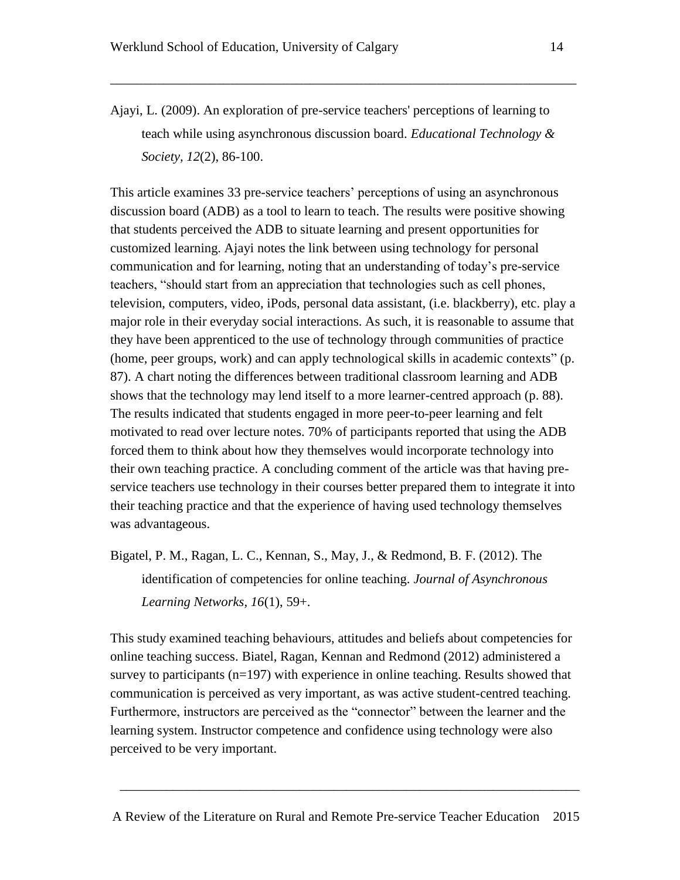Ajayi, L. (2009). An exploration of pre-service teachers' perceptions of learning to teach while using asynchronous discussion board. *Educational Technology & Society, 12*(2), 86-100.

\_\_\_\_\_\_\_\_\_\_\_\_\_\_\_\_\_\_\_\_\_\_\_\_\_\_\_\_\_\_\_\_\_\_\_\_\_\_\_\_\_\_\_\_\_\_\_\_\_\_\_\_\_\_\_\_\_\_\_\_\_\_\_\_\_\_\_\_\_\_

This article examines 33 pre-service teachers' perceptions of using an asynchronous discussion board (ADB) as a tool to learn to teach. The results were positive showing that students perceived the ADB to situate learning and present opportunities for customized learning. Ajayi notes the link between using technology for personal communication and for learning, noting that an understanding of today's pre-service teachers, "should start from an appreciation that technologies such as cell phones, television, computers, video, iPods, personal data assistant, (i.e. blackberry), etc. play a major role in their everyday social interactions. As such, it is reasonable to assume that they have been apprenticed to the use of technology through communities of practice (home, peer groups, work) and can apply technological skills in academic contexts" (p. 87). A chart noting the differences between traditional classroom learning and ADB shows that the technology may lend itself to a more learner-centred approach (p. 88). The results indicated that students engaged in more peer-to-peer learning and felt motivated to read over lecture notes. 70% of participants reported that using the ADB forced them to think about how they themselves would incorporate technology into their own teaching practice. A concluding comment of the article was that having preservice teachers use technology in their courses better prepared them to integrate it into their teaching practice and that the experience of having used technology themselves was advantageous.

Bigatel, P. M., Ragan, L. C., Kennan, S., May, J., & Redmond, B. F. (2012). The identification of competencies for online teaching. *Journal of Asynchronous Learning Networks, 16*(1), 59+.

This study examined teaching behaviours, attitudes and beliefs about competencies for online teaching success. Biatel, Ragan, Kennan and Redmond (2012) administered a survey to participants (n=197) with experience in online teaching. Results showed that communication is perceived as very important, as was active student-centred teaching. Furthermore, instructors are perceived as the "connector" between the learner and the learning system. Instructor competence and confidence using technology were also perceived to be very important.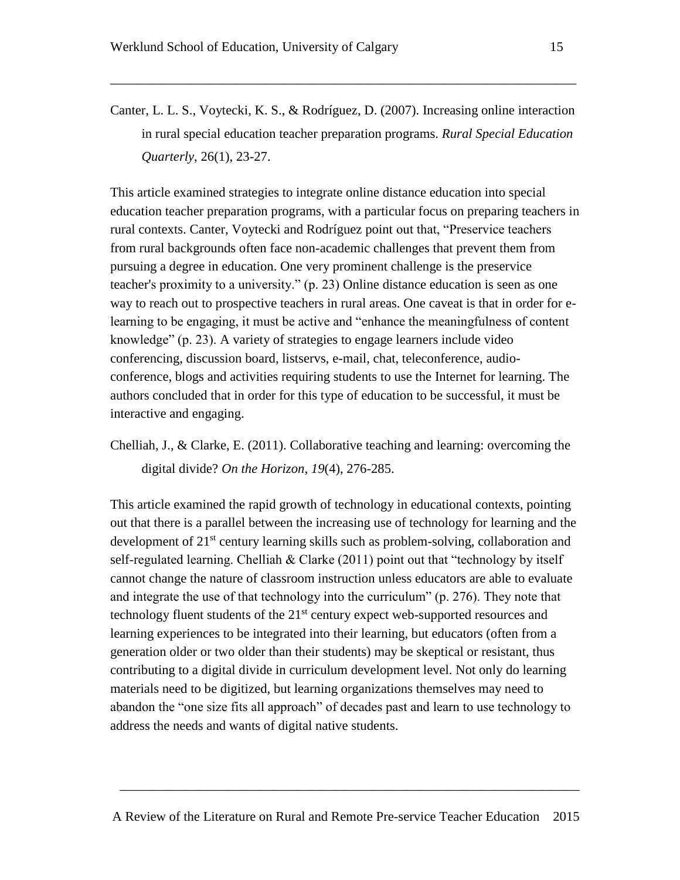- 
- Canter, L. L. S., Voytecki, K. S., & Rodríguez, D. (2007). Increasing online interaction in rural special education teacher preparation programs. *Rural Special Education Quarterly*, 26(1), 23-27.

\_\_\_\_\_\_\_\_\_\_\_\_\_\_\_\_\_\_\_\_\_\_\_\_\_\_\_\_\_\_\_\_\_\_\_\_\_\_\_\_\_\_\_\_\_\_\_\_\_\_\_\_\_\_\_\_\_\_\_\_\_\_\_\_\_\_\_\_\_\_

This article examined strategies to integrate online distance education into special education teacher preparation programs, with a particular focus on preparing teachers in rural contexts. Canter, Voytecki and Rodríguez point out that, "Preservice teachers from rural backgrounds often face non-academic challenges that prevent them from pursuing a degree in education. One very prominent challenge is the preservice teacher's proximity to a university." (p. 23) Online distance education is seen as one way to reach out to prospective teachers in rural areas. One caveat is that in order for elearning to be engaging, it must be active and "enhance the meaningfulness of content knowledge" (p. 23). A variety of strategies to engage learners include video conferencing, discussion board, listservs, e-mail, chat, teleconference, audioconference, blogs and activities requiring students to use the Internet for learning. The authors concluded that in order for this type of education to be successful, it must be interactive and engaging.

Chelliah, J., & Clarke, E. (2011). Collaborative teaching and learning: overcoming the digital divide? *On the Horizon, 19*(4), 276-285.

This article examined the rapid growth of technology in educational contexts, pointing out that there is a parallel between the increasing use of technology for learning and the development of 21<sup>st</sup> century learning skills such as problem-solving, collaboration and self-regulated learning. Chelliah  $&$  Clarke (2011) point out that "technology by itself cannot change the nature of classroom instruction unless educators are able to evaluate and integrate the use of that technology into the curriculum" (p. 276). They note that technology fluent students of the  $21<sup>st</sup>$  century expect web-supported resources and learning experiences to be integrated into their learning, but educators (often from a generation older or two older than their students) may be skeptical or resistant, thus contributing to a digital divide in curriculum development level. Not only do learning materials need to be digitized, but learning organizations themselves may need to abandon the "one size fits all approach" of decades past and learn to use technology to address the needs and wants of digital native students.

A Review of the Literature on Rural and Remote Pre-service Teacher Education 2015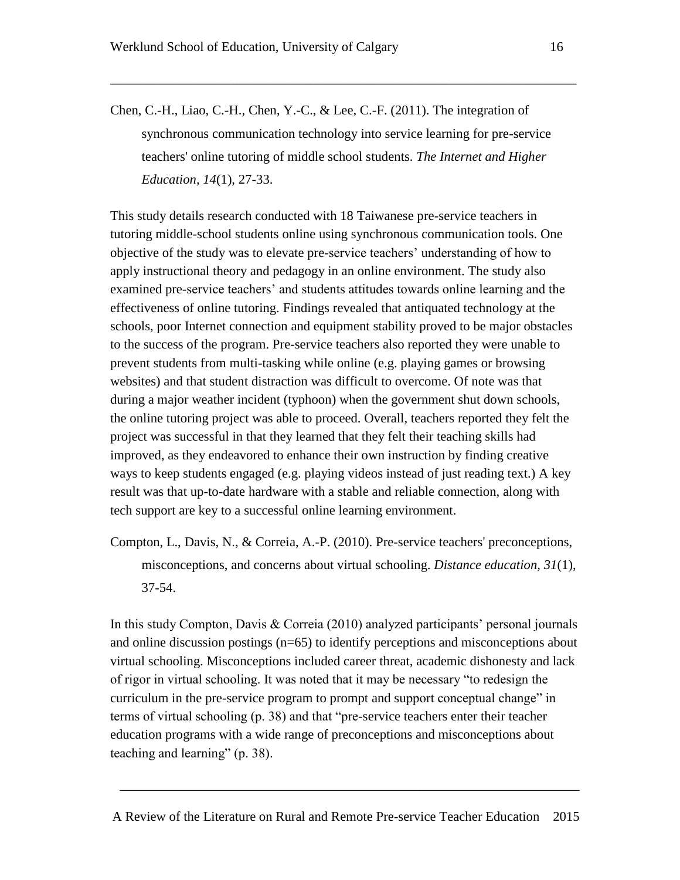Chen, C.-H., Liao, C.-H., Chen, Y.-C., & Lee, C.-F. (2011). The integration of synchronous communication technology into service learning for pre-service teachers' online tutoring of middle school students. *The Internet and Higher Education, 14*(1), 27-33.

\_\_\_\_\_\_\_\_\_\_\_\_\_\_\_\_\_\_\_\_\_\_\_\_\_\_\_\_\_\_\_\_\_\_\_\_\_\_\_\_\_\_\_\_\_\_\_\_\_\_\_\_\_\_\_\_\_\_\_\_\_\_\_\_\_\_\_\_\_\_

This study details research conducted with 18 Taiwanese pre-service teachers in tutoring middle-school students online using synchronous communication tools. One objective of the study was to elevate pre-service teachers' understanding of how to apply instructional theory and pedagogy in an online environment. The study also examined pre-service teachers' and students attitudes towards online learning and the effectiveness of online tutoring. Findings revealed that antiquated technology at the schools, poor Internet connection and equipment stability proved to be major obstacles to the success of the program. Pre-service teachers also reported they were unable to prevent students from multi-tasking while online (e.g. playing games or browsing websites) and that student distraction was difficult to overcome. Of note was that during a major weather incident (typhoon) when the government shut down schools, the online tutoring project was able to proceed. Overall, teachers reported they felt the project was successful in that they learned that they felt their teaching skills had improved, as they endeavored to enhance their own instruction by finding creative ways to keep students engaged (e.g. playing videos instead of just reading text.) A key result was that up-to-date hardware with a stable and reliable connection, along with tech support are key to a successful online learning environment.

Compton, L., Davis, N., & Correia, A.-P. (2010). Pre-service teachers' preconceptions, misconceptions, and concerns about virtual schooling. *Distance education, 31*(1), 37-54.

In this study Compton, Davis & Correia (2010) analyzed participants' personal journals and online discussion postings (n=65) to identify perceptions and misconceptions about virtual schooling. Misconceptions included career threat, academic dishonesty and lack of rigor in virtual schooling. It was noted that it may be necessary "to redesign the curriculum in the pre-service program to prompt and support conceptual change" in terms of virtual schooling (p. 38) and that "pre-service teachers enter their teacher education programs with a wide range of preconceptions and misconceptions about teaching and learning" (p. 38).

A Review of the Literature on Rural and Remote Pre-service Teacher Education 2015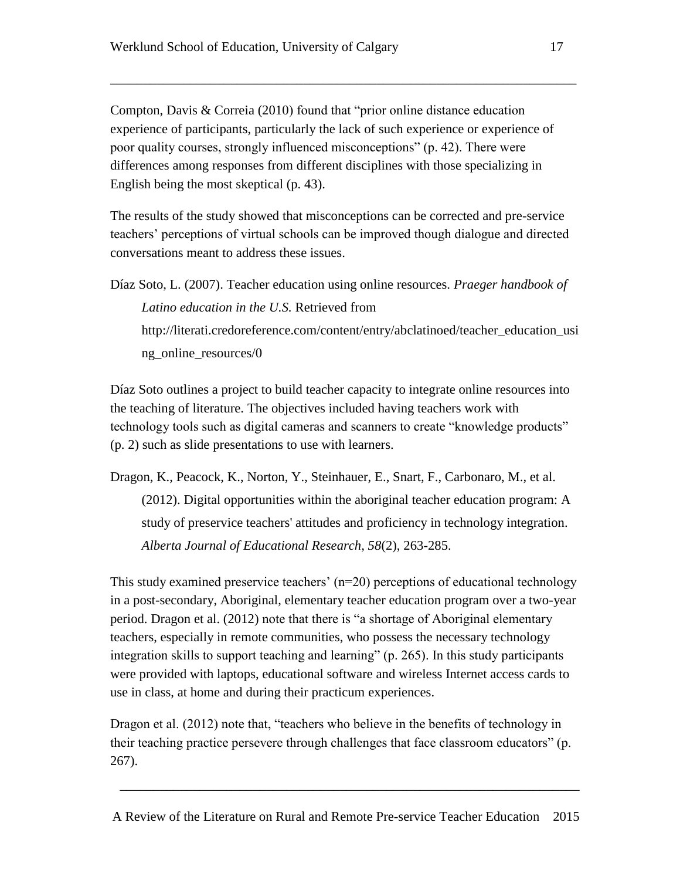Compton, Davis & Correia (2010) found that "prior online distance education experience of participants, particularly the lack of such experience or experience of poor quality courses, strongly influenced misconceptions" (p. 42). There were differences among responses from different disciplines with those specializing in English being the most skeptical (p. 43).

\_\_\_\_\_\_\_\_\_\_\_\_\_\_\_\_\_\_\_\_\_\_\_\_\_\_\_\_\_\_\_\_\_\_\_\_\_\_\_\_\_\_\_\_\_\_\_\_\_\_\_\_\_\_\_\_\_\_\_\_\_\_\_\_\_\_\_\_\_\_

The results of the study showed that misconceptions can be corrected and pre-service teachers' perceptions of virtual schools can be improved though dialogue and directed conversations meant to address these issues.

Díaz Soto, L. (2007). Teacher education using online resources. *Praeger handbook of Latino education in the U.S.* Retrieved from [http://literati.credoreference.com/content/entry/abclatinoed/teacher\\_education\\_usi](http://literati.credoreference.com/content/entry/abclatinoed/teacher_education_using_online_resources/0) [ng\\_online\\_resources/0](http://literati.credoreference.com/content/entry/abclatinoed/teacher_education_using_online_resources/0)

Díaz Soto outlines a project to build teacher capacity to integrate online resources into the teaching of literature. The objectives included having teachers work with technology tools such as digital cameras and scanners to create "knowledge products" (p. 2) such as slide presentations to use with learners.

Dragon, K., Peacock, K., Norton, Y., Steinhauer, E., Snart, F., Carbonaro, M., et al.

(2012). Digital opportunities within the aboriginal teacher education program: A study of preservice teachers' attitudes and proficiency in technology integration. *Alberta Journal of Educational Research, 58*(2), 263-285.

This study examined preservice teachers'  $(n=20)$  perceptions of educational technology in a post-secondary, Aboriginal, elementary teacher education program over a two-year period. Dragon et al. (2012) note that there is "a shortage of Aboriginal elementary teachers, especially in remote communities, who possess the necessary technology integration skills to support teaching and learning" (p. 265). In this study participants were provided with laptops, educational software and wireless Internet access cards to use in class, at home and during their practicum experiences.

Dragon et al. (2012) note that, "teachers who believe in the benefits of technology in their teaching practice persevere through challenges that face classroom educators" (p. 267).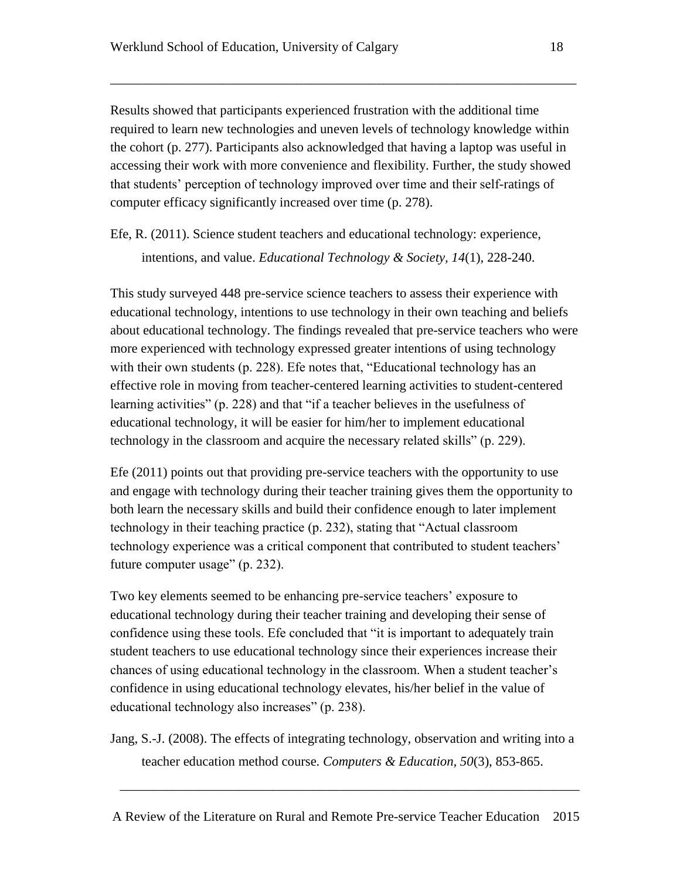Results showed that participants experienced frustration with the additional time required to learn new technologies and uneven levels of technology knowledge within the cohort (p. 277). Participants also acknowledged that having a laptop was useful in accessing their work with more convenience and flexibility. Further, the study showed that students' perception of technology improved over time and their self-ratings of computer efficacy significantly increased over time (p. 278).

\_\_\_\_\_\_\_\_\_\_\_\_\_\_\_\_\_\_\_\_\_\_\_\_\_\_\_\_\_\_\_\_\_\_\_\_\_\_\_\_\_\_\_\_\_\_\_\_\_\_\_\_\_\_\_\_\_\_\_\_\_\_\_\_\_\_\_\_\_\_

Efe, R. (2011). Science student teachers and educational technology: experience, intentions, and value. *Educational Technology & Society, 14*(1), 228-240.

This study surveyed 448 pre-service science teachers to assess their experience with educational technology, intentions to use technology in their own teaching and beliefs about educational technology. The findings revealed that pre-service teachers who were more experienced with technology expressed greater intentions of using technology with their own students (p. 228). Efe notes that, "Educational technology has an effective role in moving from teacher-centered learning activities to student-centered learning activities" (p. 228) and that "if a teacher believes in the usefulness of educational technology, it will be easier for him/her to implement educational technology in the classroom and acquire the necessary related skills" (p. 229).

Efe (2011) points out that providing pre-service teachers with the opportunity to use and engage with technology during their teacher training gives them the opportunity to both learn the necessary skills and build their confidence enough to later implement technology in their teaching practice (p. 232), stating that "Actual classroom technology experience was a critical component that contributed to student teachers' future computer usage" (p. 232).

Two key elements seemed to be enhancing pre-service teachers' exposure to educational technology during their teacher training and developing their sense of confidence using these tools. Efe concluded that "it is important to adequately train student teachers to use educational technology since their experiences increase their chances of using educational technology in the classroom. When a student teacher's confidence in using educational technology elevates, his/her belief in the value of educational technology also increases" (p. 238).

Jang, S.-J. (2008). The effects of integrating technology, observation and writing into a teacher education method course. *Computers & Education, 50*(3), 853-865.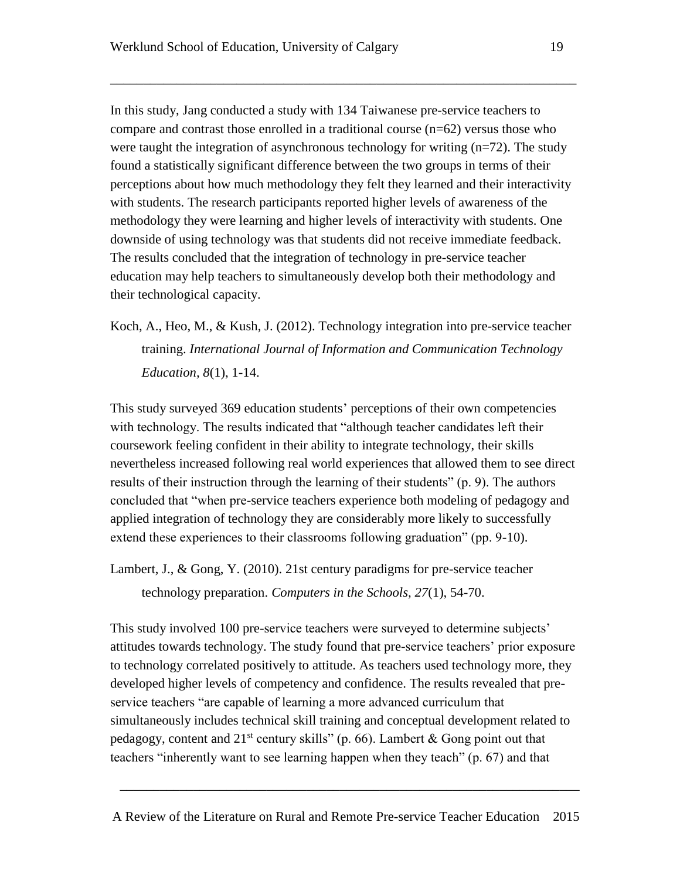In this study, Jang conducted a study with 134 Taiwanese pre-service teachers to compare and contrast those enrolled in a traditional course  $(n=62)$  versus those who were taught the integration of asynchronous technology for writing  $(n=72)$ . The study found a statistically significant difference between the two groups in terms of their perceptions about how much methodology they felt they learned and their interactivity with students. The research participants reported higher levels of awareness of the methodology they were learning and higher levels of interactivity with students. One downside of using technology was that students did not receive immediate feedback. The results concluded that the integration of technology in pre-service teacher education may help teachers to simultaneously develop both their methodology and their technological capacity.

\_\_\_\_\_\_\_\_\_\_\_\_\_\_\_\_\_\_\_\_\_\_\_\_\_\_\_\_\_\_\_\_\_\_\_\_\_\_\_\_\_\_\_\_\_\_\_\_\_\_\_\_\_\_\_\_\_\_\_\_\_\_\_\_\_\_\_\_\_\_

Koch, A., Heo, M., & Kush, J. (2012). Technology integration into pre-service teacher training. *International Journal of Information and Communication Technology Education, 8*(1), 1-14.

This study surveyed 369 education students' perceptions of their own competencies with technology. The results indicated that "although teacher candidates left their coursework feeling confident in their ability to integrate technology, their skills nevertheless increased following real world experiences that allowed them to see direct results of their instruction through the learning of their students" (p. 9). The authors concluded that "when pre-service teachers experience both modeling of pedagogy and applied integration of technology they are considerably more likely to successfully extend these experiences to their classrooms following graduation" (pp. 9-10).

Lambert, J., & Gong, Y. (2010). 21st century paradigms for pre-service teacher technology preparation. *Computers in the Schools, 27*(1), 54-70.

This study involved 100 pre-service teachers were surveyed to determine subjects' attitudes towards technology. The study found that pre-service teachers' prior exposure to technology correlated positively to attitude. As teachers used technology more, they developed higher levels of competency and confidence. The results revealed that preservice teachers "are capable of learning a more advanced curriculum that simultaneously includes technical skill training and conceptual development related to pedagogy, content and  $21^{st}$  century skills" (p. 66). Lambert & Gong point out that teachers "inherently want to see learning happen when they teach" (p. 67) and that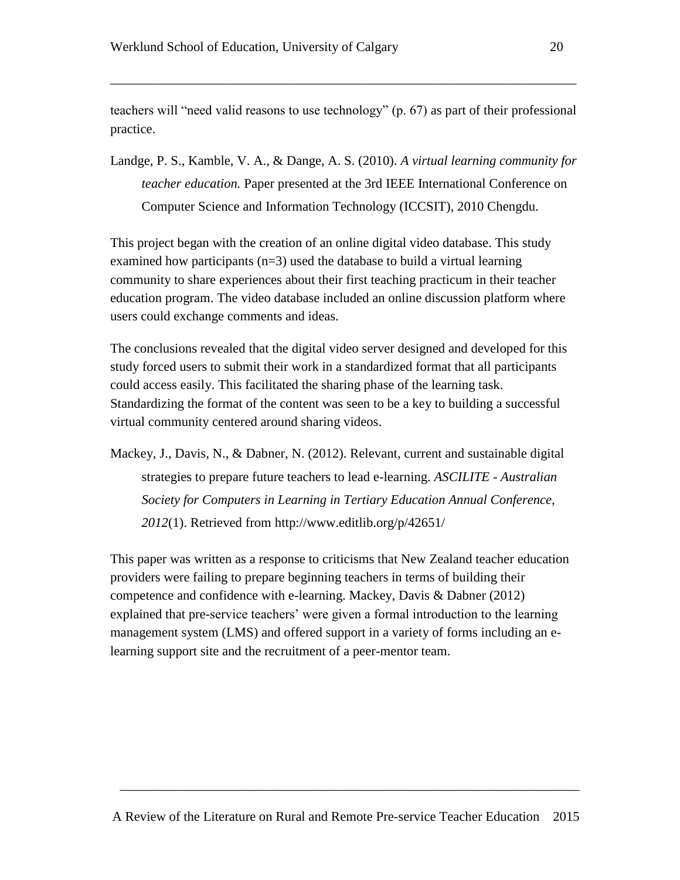teachers will "need valid reasons to use technology" (p. 67) as part of their professional practice.

\_\_\_\_\_\_\_\_\_\_\_\_\_\_\_\_\_\_\_\_\_\_\_\_\_\_\_\_\_\_\_\_\_\_\_\_\_\_\_\_\_\_\_\_\_\_\_\_\_\_\_\_\_\_\_\_\_\_\_\_\_\_\_\_\_\_\_\_\_\_

Landge, P. S., Kamble, V. A., & Dange, A. S. (2010). *A virtual learning community for teacher education.* Paper presented at the 3rd IEEE International Conference on Computer Science and Information Technology (ICCSIT), 2010 Chengdu.

This project began with the creation of an online digital video database. This study examined how participants  $(n=3)$  used the database to build a virtual learning community to share experiences about their first teaching practicum in their teacher education program. The video database included an online discussion platform where users could exchange comments and ideas.

The conclusions revealed that the digital video server designed and developed for this study forced users to submit their work in a standardized format that all participants could access easily. This facilitated the sharing phase of the learning task. Standardizing the format of the content was seen to be a key to building a successful virtual community centered around sharing videos.

Mackey, J., Davis, N., & Dabner, N. (2012). Relevant, current and sustainable digital strategies to prepare future teachers to lead e-learning. *ASCILITE - Australian Society for Computers in Learning in Tertiary Education Annual Conference, 2012*(1). Retrieved from<http://www.editlib.org/p/42651/>

This paper was written as a response to criticisms that New Zealand teacher education providers were failing to prepare beginning teachers in terms of building their competence and confidence with e-learning. Mackey, Davis & Dabner (2012) explained that pre-service teachers' were given a formal introduction to the learning management system (LMS) and offered support in a variety of forms including an elearning support site and the recruitment of a peer-mentor team.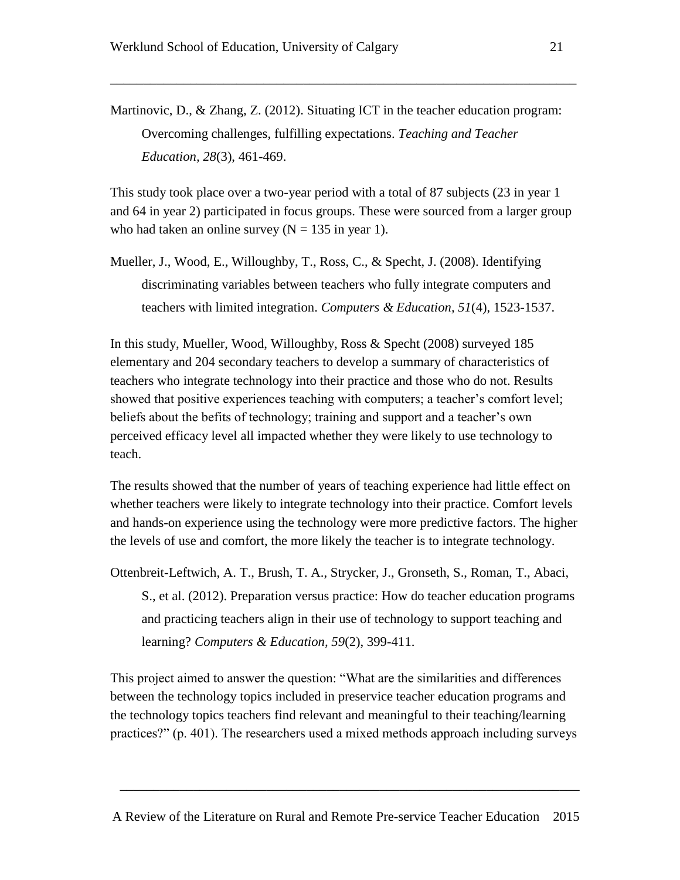Martinovic, D., & Zhang, Z. (2012). Situating ICT in the teacher education program: Overcoming challenges, fulfilling expectations. *Teaching and Teacher Education, 28*(3), 461-469.

\_\_\_\_\_\_\_\_\_\_\_\_\_\_\_\_\_\_\_\_\_\_\_\_\_\_\_\_\_\_\_\_\_\_\_\_\_\_\_\_\_\_\_\_\_\_\_\_\_\_\_\_\_\_\_\_\_\_\_\_\_\_\_\_\_\_\_\_\_\_

This study took place over a two-year period with a total of 87 subjects (23 in year 1 and 64 in year 2) participated in focus groups. These were sourced from a larger group who had taken an online survey  $(N = 135$  in year 1).

Mueller, J., Wood, E., Willoughby, T., Ross, C., & Specht, J. (2008). Identifying discriminating variables between teachers who fully integrate computers and teachers with limited integration. *Computers & Education, 51*(4), 1523-1537.

In this study, Mueller, Wood, Willoughby, Ross & Specht (2008) surveyed 185 elementary and 204 secondary teachers to develop a summary of characteristics of teachers who integrate technology into their practice and those who do not. Results showed that positive experiences teaching with computers; a teacher's comfort level; beliefs about the befits of technology; training and support and a teacher's own perceived efficacy level all impacted whether they were likely to use technology to teach.

The results showed that the number of years of teaching experience had little effect on whether teachers were likely to integrate technology into their practice. Comfort levels and hands-on experience using the technology were more predictive factors. The higher the levels of use and comfort, the more likely the teacher is to integrate technology.

Ottenbreit-Leftwich, A. T., Brush, T. A., Strycker, J., Gronseth, S., Roman, T., Abaci, S., et al. (2012). Preparation versus practice: How do teacher education programs and practicing teachers align in their use of technology to support teaching and learning? *Computers & Education, 59*(2), 399-411.

This project aimed to answer the question: "What are the similarities and differences between the technology topics included in preservice teacher education programs and the technology topics teachers find relevant and meaningful to their teaching/learning practices?" (p. 401). The researchers used a mixed methods approach including surveys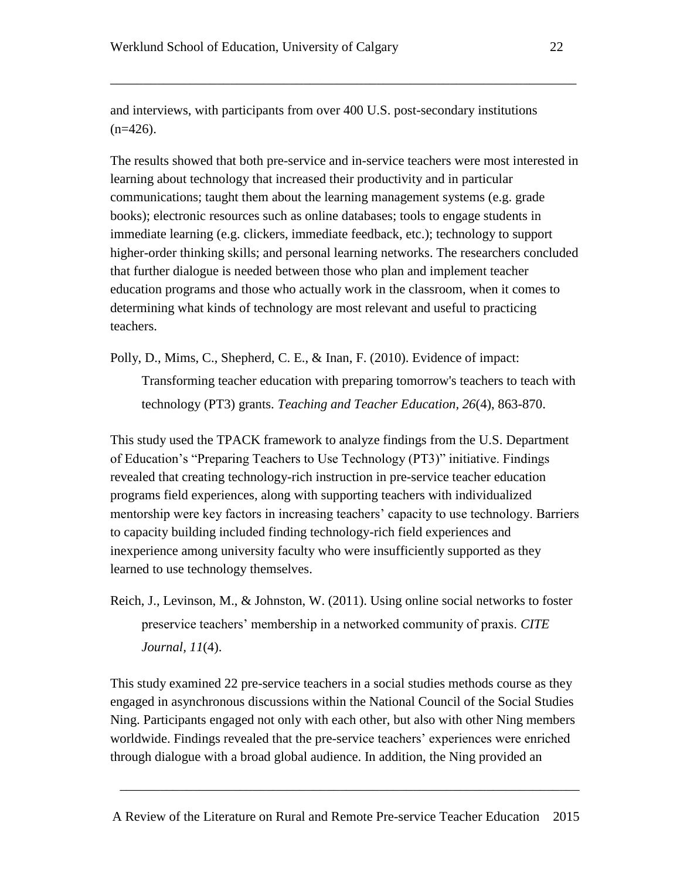and interviews, with participants from over 400 U.S. post-secondary institutions  $(n=426)$ .

\_\_\_\_\_\_\_\_\_\_\_\_\_\_\_\_\_\_\_\_\_\_\_\_\_\_\_\_\_\_\_\_\_\_\_\_\_\_\_\_\_\_\_\_\_\_\_\_\_\_\_\_\_\_\_\_\_\_\_\_\_\_\_\_\_\_\_\_\_\_

The results showed that both pre-service and in-service teachers were most interested in learning about technology that increased their productivity and in particular communications; taught them about the learning management systems (e.g. grade books); electronic resources such as online databases; tools to engage students in immediate learning (e.g. clickers, immediate feedback, etc.); technology to support higher-order thinking skills; and personal learning networks. The researchers concluded that further dialogue is needed between those who plan and implement teacher education programs and those who actually work in the classroom, when it comes to determining what kinds of technology are most relevant and useful to practicing teachers.

Polly, D., Mims, C., Shepherd, C. E., & Inan, F. (2010). Evidence of impact: Transforming teacher education with preparing tomorrow's teachers to teach with technology (PT3) grants. *Teaching and Teacher Education, 26*(4), 863-870.

This study used the TPACK framework to analyze findings from the U.S. Department of Education's "Preparing Teachers to Use Technology (PT3)" initiative. Findings revealed that creating technology-rich instruction in pre-service teacher education programs field experiences, along with supporting teachers with individualized mentorship were key factors in increasing teachers' capacity to use technology. Barriers to capacity building included finding technology-rich field experiences and inexperience among university faculty who were insufficiently supported as they learned to use technology themselves.

Reich, J., Levinson, M., & Johnston, W. (2011). Using online social networks to foster preservice teachers' membership in a networked community of praxis. *CITE Journal, 11*(4).

This study examined 22 pre-service teachers in a social studies methods course as they engaged in asynchronous discussions within the National Council of the Social Studies Ning. Participants engaged not only with each other, but also with other Ning members worldwide. Findings revealed that the pre-service teachers' experiences were enriched through dialogue with a broad global audience. In addition, the Ning provided an

A Review of the Literature on Rural and Remote Pre-service Teacher Education 2015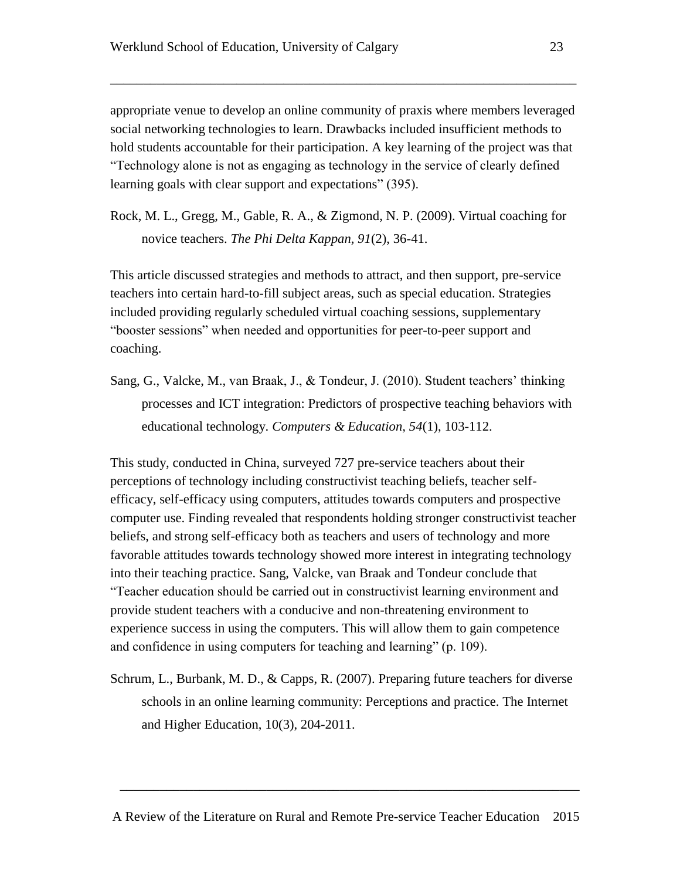appropriate venue to develop an online community of praxis where members leveraged social networking technologies to learn. Drawbacks included insufficient methods to hold students accountable for their participation. A key learning of the project was that "Technology alone is not as engaging as technology in the service of clearly defined learning goals with clear support and expectations" (395).

\_\_\_\_\_\_\_\_\_\_\_\_\_\_\_\_\_\_\_\_\_\_\_\_\_\_\_\_\_\_\_\_\_\_\_\_\_\_\_\_\_\_\_\_\_\_\_\_\_\_\_\_\_\_\_\_\_\_\_\_\_\_\_\_\_\_\_\_\_\_

Rock, M. L., Gregg, M., Gable, R. A., & Zigmond, N. P. (2009). Virtual coaching for novice teachers. *The Phi Delta Kappan, 91*(2), 36-41.

This article discussed strategies and methods to attract, and then support, pre-service teachers into certain hard-to-fill subject areas, such as special education. Strategies included providing regularly scheduled virtual coaching sessions, supplementary "booster sessions" when needed and opportunities for peer-to-peer support and coaching.

Sang, G., Valcke, M., van Braak, J., & Tondeur, J. (2010). Student teachers' thinking processes and ICT integration: Predictors of prospective teaching behaviors with educational technology. *Computers & Education, 54*(1), 103-112.

This study, conducted in China, surveyed 727 pre-service teachers about their perceptions of technology including constructivist teaching beliefs, teacher selfefficacy, self-efficacy using computers, attitudes towards computers and prospective computer use. Finding revealed that respondents holding stronger constructivist teacher beliefs, and strong self-efficacy both as teachers and users of technology and more favorable attitudes towards technology showed more interest in integrating technology into their teaching practice. Sang, Valcke, van Braak and Tondeur conclude that "Teacher education should be carried out in constructivist learning environment and provide student teachers with a conducive and non-threatening environment to experience success in using the computers. This will allow them to gain competence and confidence in using computers for teaching and learning" (p. 109).

Schrum, L., Burbank, M. D., & Capps, R. (2007). Preparing future teachers for diverse schools in an online learning community: Perceptions and practice. The Internet and Higher Education, 10(3), 204-2011.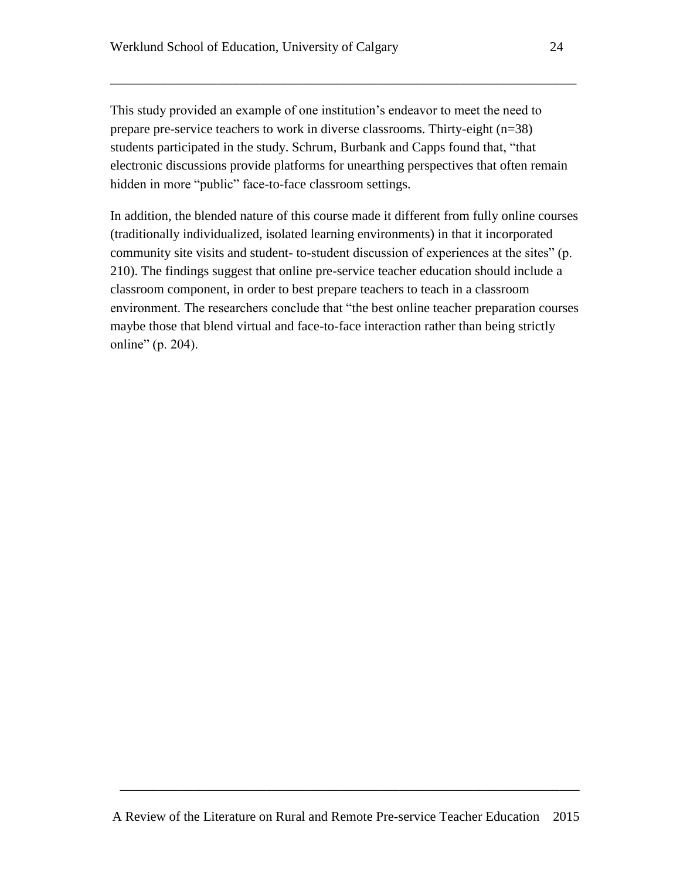This study provided an example of one institution's endeavor to meet the need to prepare pre-service teachers to work in diverse classrooms. Thirty-eight (n=38) students participated in the study. Schrum, Burbank and Capps found that, "that electronic discussions provide platforms for unearthing perspectives that often remain hidden in more "public" face-to-face classroom settings.

\_\_\_\_\_\_\_\_\_\_\_\_\_\_\_\_\_\_\_\_\_\_\_\_\_\_\_\_\_\_\_\_\_\_\_\_\_\_\_\_\_\_\_\_\_\_\_\_\_\_\_\_\_\_\_\_\_\_\_\_\_\_\_\_\_\_\_\_\_\_

In addition, the blended nature of this course made it different from fully online courses (traditionally individualized, isolated learning environments) in that it incorporated community site visits and student- to-student discussion of experiences at the sites" (p. 210). The findings suggest that online pre-service teacher education should include a classroom component, in order to best prepare teachers to teach in a classroom environment. The researchers conclude that "the best online teacher preparation courses maybe those that blend virtual and face-to-face interaction rather than being strictly online" (p. 204).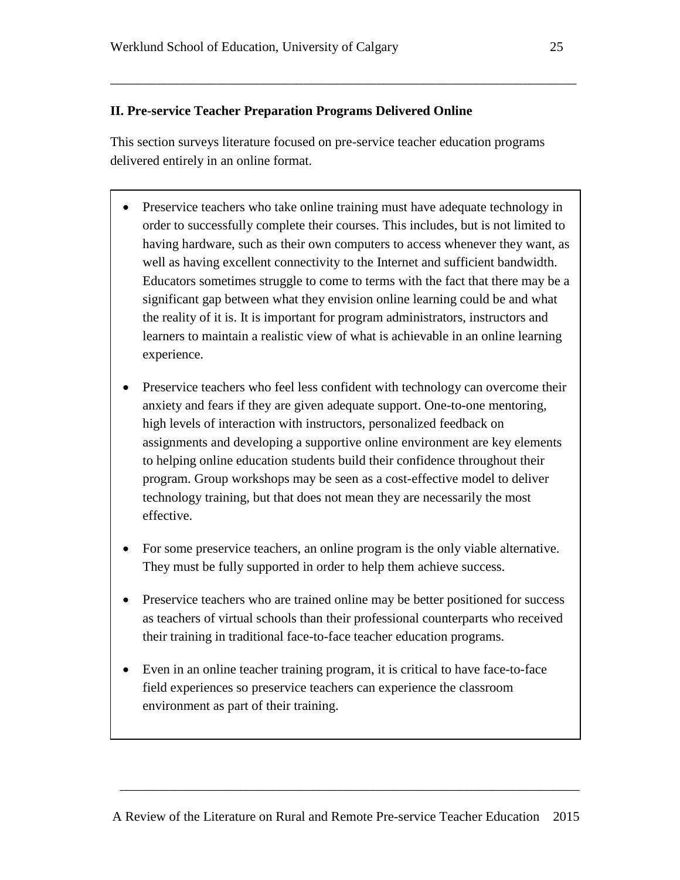## **II. Pre-service Teacher Preparation Programs Delivered Online**

This section surveys literature focused on pre-service teacher education programs delivered entirely in an online format.

\_\_\_\_\_\_\_\_\_\_\_\_\_\_\_\_\_\_\_\_\_\_\_\_\_\_\_\_\_\_\_\_\_\_\_\_\_\_\_\_\_\_\_\_\_\_\_\_\_\_\_\_\_\_\_\_\_\_\_\_\_\_\_\_\_\_\_\_\_\_

- Preservice teachers who take online training must have adequate technology in order to successfully complete their courses. This includes, but is not limited to having hardware, such as their own computers to access whenever they want, as well as having excellent connectivity to the Internet and sufficient bandwidth. Educators sometimes struggle to come to terms with the fact that there may be a significant gap between what they envision online learning could be and what the reality of it is. It is important for program administrators, instructors and learners to maintain a realistic view of what is achievable in an online learning experience.
- Preservice teachers who feel less confident with technology can overcome their anxiety and fears if they are given adequate support. One-to-one mentoring, high levels of interaction with instructors, personalized feedback on assignments and developing a supportive online environment are key elements to helping online education students build their confidence throughout their program. Group workshops may be seen as a cost-effective model to deliver technology training, but that does not mean they are necessarily the most effective.
- For some preservice teachers, an online program is the only viable alternative. They must be fully supported in order to help them achieve success.
- Preservice teachers who are trained online may be better positioned for success as teachers of virtual schools than their professional counterparts who received their training in traditional face-to-face teacher education programs.
- Even in an online teacher training program, it is critical to have face-to-face field experiences so preservice teachers can experience the classroom environment as part of their training.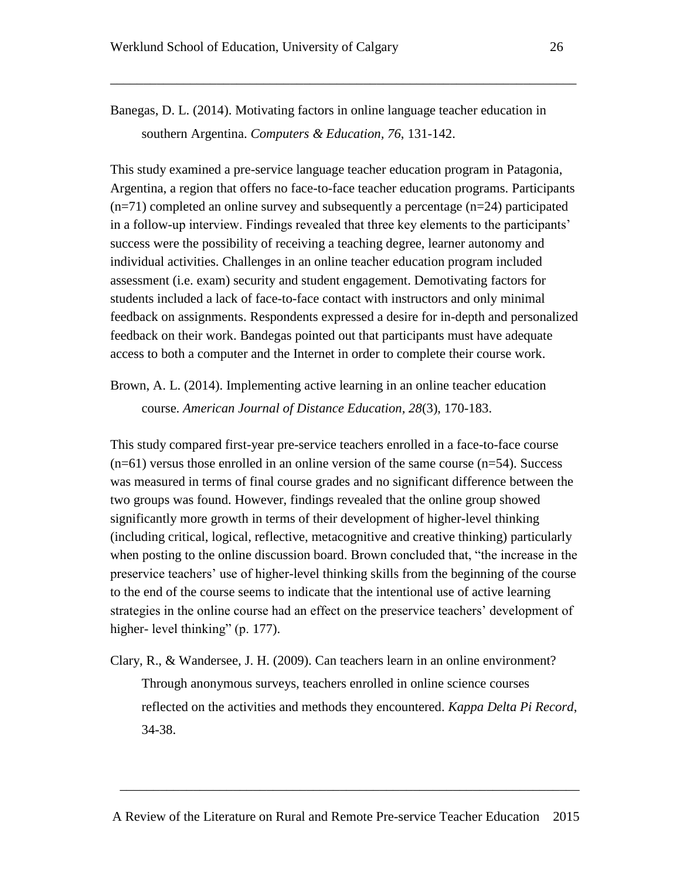Banegas, D. L. (2014). Motivating factors in online language teacher education in southern Argentina. *Computers & Education, 76*, 131-142.

\_\_\_\_\_\_\_\_\_\_\_\_\_\_\_\_\_\_\_\_\_\_\_\_\_\_\_\_\_\_\_\_\_\_\_\_\_\_\_\_\_\_\_\_\_\_\_\_\_\_\_\_\_\_\_\_\_\_\_\_\_\_\_\_\_\_\_\_\_\_

This study examined a pre-service language teacher education program in Patagonia, Argentina, a region that offers no face-to-face teacher education programs. Participants  $(n=71)$  completed an online survey and subsequently a percentage  $(n=24)$  participated in a follow-up interview. Findings revealed that three key elements to the participants' success were the possibility of receiving a teaching degree, learner autonomy and individual activities. Challenges in an online teacher education program included assessment (i.e. exam) security and student engagement. Demotivating factors for students included a lack of face-to-face contact with instructors and only minimal feedback on assignments. Respondents expressed a desire for in-depth and personalized feedback on their work. Bandegas pointed out that participants must have adequate access to both a computer and the Internet in order to complete their course work.

Brown, A. L. (2014). Implementing active learning in an online teacher education course. *American Journal of Distance Education, 28*(3), 170-183.

This study compared first-year pre-service teachers enrolled in a face-to-face course  $(n=61)$  versus those enrolled in an online version of the same course  $(n=54)$ . Success was measured in terms of final course grades and no significant difference between the two groups was found. However, findings revealed that the online group showed significantly more growth in terms of their development of higher-level thinking (including critical, logical, reflective, metacognitive and creative thinking) particularly when posting to the online discussion board. Brown concluded that, "the increase in the preservice teachers' use of higher-level thinking skills from the beginning of the course to the end of the course seems to indicate that the intentional use of active learning strategies in the online course had an effect on the preservice teachers' development of higher- level thinking" (p. 177).

Clary, R., & Wandersee, J. H. (2009). Can teachers learn in an online environment? Through anonymous surveys, teachers enrolled in online science courses reflected on the activities and methods they encountered. *Kappa Delta Pi Record*, 34-38.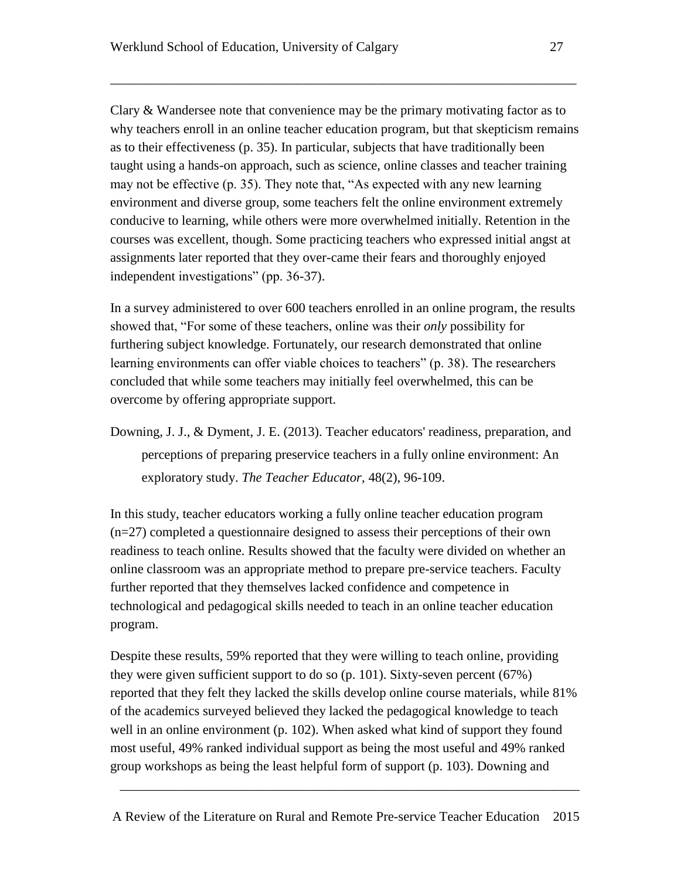Clary & Wandersee note that convenience may be the primary motivating factor as to why teachers enroll in an online teacher education program, but that skepticism remains as to their effectiveness (p. 35). In particular, subjects that have traditionally been taught using a hands-on approach, such as science, online classes and teacher training may not be effective (p. 35). They note that, "As expected with any new learning environment and diverse group, some teachers felt the online environment extremely conducive to learning, while others were more overwhelmed initially. Retention in the courses was excellent, though. Some practicing teachers who expressed initial angst at assignments later reported that they over-came their fears and thoroughly enjoyed independent investigations" (pp. 36-37).

\_\_\_\_\_\_\_\_\_\_\_\_\_\_\_\_\_\_\_\_\_\_\_\_\_\_\_\_\_\_\_\_\_\_\_\_\_\_\_\_\_\_\_\_\_\_\_\_\_\_\_\_\_\_\_\_\_\_\_\_\_\_\_\_\_\_\_\_\_\_

In a survey administered to over 600 teachers enrolled in an online program, the results showed that, "For some of these teachers, online was their *only* possibility for furthering subject knowledge. Fortunately, our research demonstrated that online learning environments can offer viable choices to teachers" (p. 38). The researchers concluded that while some teachers may initially feel overwhelmed, this can be overcome by offering appropriate support.

Downing, J. J., & Dyment, J. E. (2013). Teacher educators' readiness, preparation, and perceptions of preparing preservice teachers in a fully online environment: An exploratory study. *The Teacher Educator*, 48(2), 96-109.

In this study, teacher educators working a fully online teacher education program (n=27) completed a questionnaire designed to assess their perceptions of their own readiness to teach online. Results showed that the faculty were divided on whether an online classroom was an appropriate method to prepare pre-service teachers. Faculty further reported that they themselves lacked confidence and competence in technological and pedagogical skills needed to teach in an online teacher education program.

Despite these results, 59% reported that they were willing to teach online, providing they were given sufficient support to do so (p. 101). Sixty-seven percent (67%) reported that they felt they lacked the skills develop online course materials, while 81% of the academics surveyed believed they lacked the pedagogical knowledge to teach well in an online environment (p. 102). When asked what kind of support they found most useful, 49% ranked individual support as being the most useful and 49% ranked group workshops as being the least helpful form of support (p. 103). Downing and

A Review of the Literature on Rural and Remote Pre-service Teacher Education 2015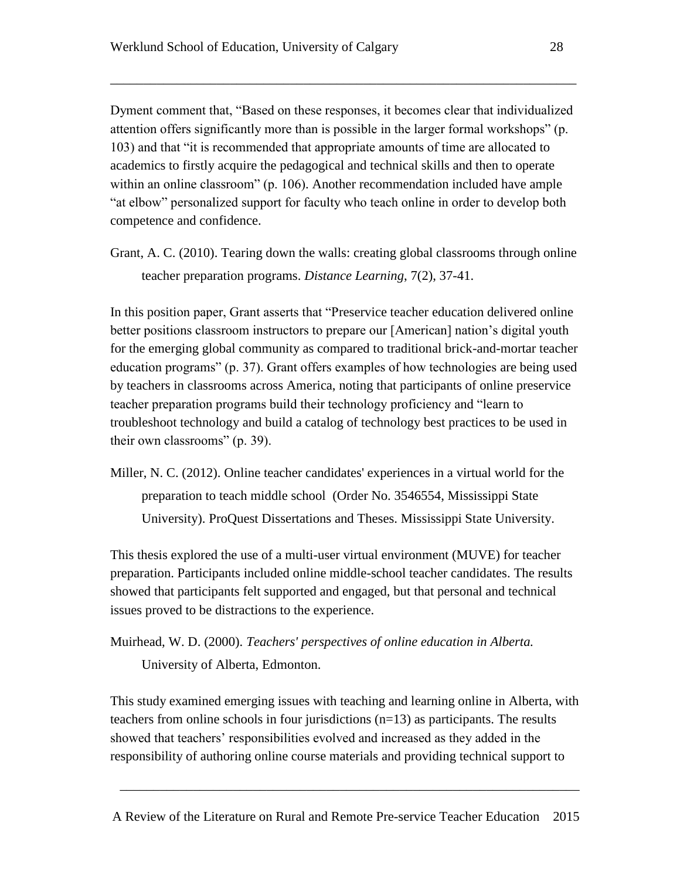Dyment comment that, "Based on these responses, it becomes clear that individualized attention offers significantly more than is possible in the larger formal workshops" (p. 103) and that "it is recommended that appropriate amounts of time are allocated to academics to firstly acquire the pedagogical and technical skills and then to operate within an online classroom" (p. 106). Another recommendation included have ample "at elbow" personalized support for faculty who teach online in order to develop both competence and confidence.

\_\_\_\_\_\_\_\_\_\_\_\_\_\_\_\_\_\_\_\_\_\_\_\_\_\_\_\_\_\_\_\_\_\_\_\_\_\_\_\_\_\_\_\_\_\_\_\_\_\_\_\_\_\_\_\_\_\_\_\_\_\_\_\_\_\_\_\_\_\_

Grant, A. C. (2010). Tearing down the walls: creating global classrooms through online teacher preparation programs. *Distance Learning*, 7(2), 37-41.

In this position paper, Grant asserts that "Preservice teacher education delivered online better positions classroom instructors to prepare our [American] nation's digital youth for the emerging global community as compared to traditional brick-and-mortar teacher education programs" (p. 37). Grant offers examples of how technologies are being used by teachers in classrooms across America, noting that participants of online preservice teacher preparation programs build their technology proficiency and "learn to troubleshoot technology and build a catalog of technology best practices to be used in their own classrooms" (p. 39).

Miller, N. C. (2012). Online teacher candidates' experiences in a virtual world for the preparation to teach middle school (Order No. 3546554, Mississippi State University). ProQuest Dissertations and Theses. Mississippi State University.

This thesis explored the use of a multi-user virtual environment (MUVE) for teacher preparation. Participants included online middle-school teacher candidates. The results showed that participants felt supported and engaged, but that personal and technical issues proved to be distractions to the experience.

Muirhead, W. D. (2000). *Teachers' perspectives of online education in Alberta.* University of Alberta, Edmonton.

This study examined emerging issues with teaching and learning online in Alberta, with teachers from online schools in four jurisdictions (n=13) as participants. The results showed that teachers' responsibilities evolved and increased as they added in the responsibility of authoring online course materials and providing technical support to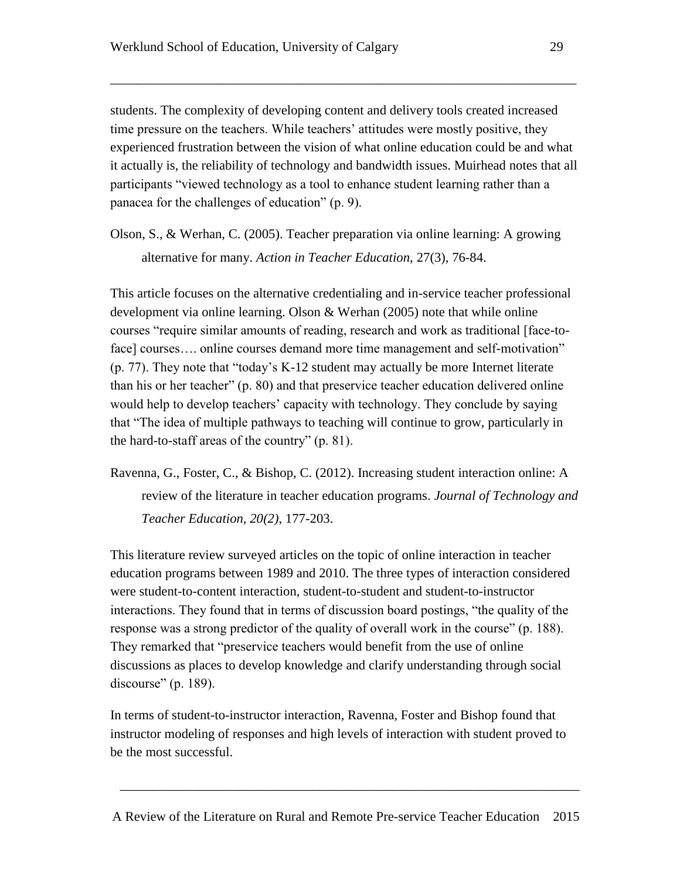students. The complexity of developing content and delivery tools created increased time pressure on the teachers. While teachers' attitudes were mostly positive, they experienced frustration between the vision of what online education could be and what it actually is, the reliability of technology and bandwidth issues. Muirhead notes that all participants "viewed technology as a tool to enhance student learning rather than a panacea for the challenges of education" (p. 9).

\_\_\_\_\_\_\_\_\_\_\_\_\_\_\_\_\_\_\_\_\_\_\_\_\_\_\_\_\_\_\_\_\_\_\_\_\_\_\_\_\_\_\_\_\_\_\_\_\_\_\_\_\_\_\_\_\_\_\_\_\_\_\_\_\_\_\_\_\_\_

Olson, S., & Werhan, C. (2005). Teacher preparation via online learning: A growing alternative for many. *Action in Teacher Education*, 27(3), 76-84.

This article focuses on the alternative credentialing and in-service teacher professional development via online learning. Olson & Werhan (2005) note that while online courses "require similar amounts of reading, research and work as traditional [face-toface] courses.... online courses demand more time management and self-motivation" (p. 77). They note that "today's K-12 student may actually be more Internet literate than his or her teacher" (p. 80) and that preservice teacher education delivered online would help to develop teachers' capacity with technology. They conclude by saying that "The idea of multiple pathways to teaching will continue to grow, particularly in the hard-to-staff areas of the country" (p. 81).

Ravenna, G., Foster, C., & Bishop, C. (2012). Increasing student interaction online: A review of the literature in teacher education programs. *Journal of Technology and Teacher Education, 20(2)*, 177-203.

This literature review surveyed articles on the topic of online interaction in teacher education programs between 1989 and 2010. The three types of interaction considered were student-to-content interaction, student-to-student and student-to-instructor interactions. They found that in terms of discussion board postings, "the quality of the response was a strong predictor of the quality of overall work in the course" (p. 188). They remarked that "preservice teachers would benefit from the use of online discussions as places to develop knowledge and clarify understanding through social discourse" (p. 189).

In terms of student-to-instructor interaction, Ravenna, Foster and Bishop found that instructor modeling of responses and high levels of interaction with student proved to be the most successful.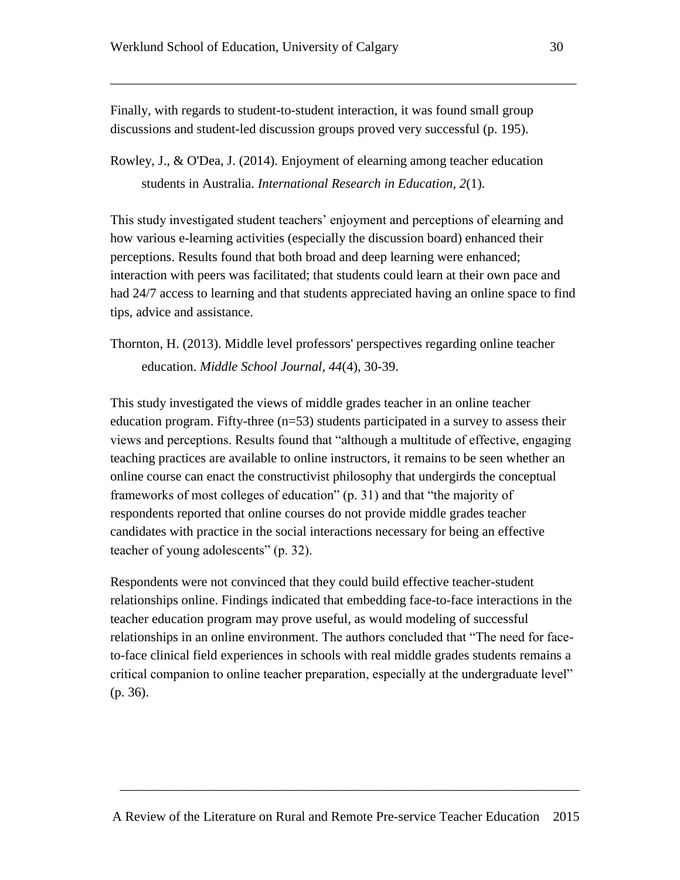Finally, with regards to student-to-student interaction, it was found small group discussions and student-led discussion groups proved very successful (p. 195).

\_\_\_\_\_\_\_\_\_\_\_\_\_\_\_\_\_\_\_\_\_\_\_\_\_\_\_\_\_\_\_\_\_\_\_\_\_\_\_\_\_\_\_\_\_\_\_\_\_\_\_\_\_\_\_\_\_\_\_\_\_\_\_\_\_\_\_\_\_\_

Rowley, J., & O'Dea, J. (2014). Enjoyment of elearning among teacher education students in Australia. *International Research in Education, 2*(1).

This study investigated student teachers' enjoyment and perceptions of elearning and how various e-learning activities (especially the discussion board) enhanced their perceptions. Results found that both broad and deep learning were enhanced; interaction with peers was facilitated; that students could learn at their own pace and had 24/7 access to learning and that students appreciated having an online space to find tips, advice and assistance.

Thornton, H. (2013). Middle level professors' perspectives regarding online teacher education. *Middle School Journal, 44*(4), 30-39.

This study investigated the views of middle grades teacher in an online teacher education program. Fifty-three (n=53) students participated in a survey to assess their views and perceptions. Results found that "although a multitude of effective, engaging teaching practices are available to online instructors, it remains to be seen whether an online course can enact the constructivist philosophy that undergirds the conceptual frameworks of most colleges of education" (p. 31) and that "the majority of respondents reported that online courses do not provide middle grades teacher candidates with practice in the social interactions necessary for being an effective teacher of young adolescents" (p. 32).

Respondents were not convinced that they could build effective teacher-student relationships online. Findings indicated that embedding face-to-face interactions in the teacher education program may prove useful, as would modeling of successful relationships in an online environment. The authors concluded that "The need for faceto-face clinical field experiences in schools with real middle grades students remains a critical companion to online teacher preparation, especially at the undergraduate level" (p. 36).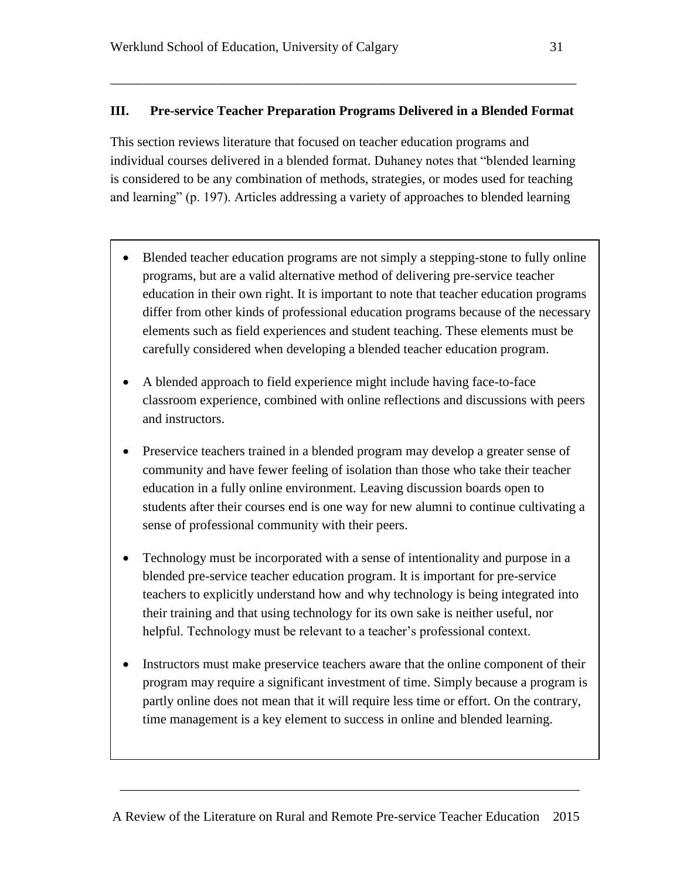## **III. Pre-service Teacher Preparation Programs Delivered in a Blended Format**

\_\_\_\_\_\_\_\_\_\_\_\_\_\_\_\_\_\_\_\_\_\_\_\_\_\_\_\_\_\_\_\_\_\_\_\_\_\_\_\_\_\_\_\_\_\_\_\_\_\_\_\_\_\_\_\_\_\_\_\_\_\_\_\_\_\_\_\_\_\_

This section reviews literature that focused on teacher education programs and individual courses delivered in a blended format. Duhaney notes that "blended learning is considered to be any combination of methods, strategies, or modes used for teaching and learning" (p. 197). Articles addressing a variety of approaches to blended learning

- Blended teacher education programs are not simply a stepping-stone to fully online programs, but are a valid alternative method of delivering pre-service teacher education in their own right. It is important to note that teacher education programs differ from other kinds of professional education programs because of the necessary elements such as field experiences and student teaching. These elements must be carefully considered when developing a blended teacher education program.
- A blended approach to field experience might include having face-to-face classroom experience, combined with online reflections and discussions with peers and instructors.
- Preservice teachers trained in a blended program may develop a greater sense of community and have fewer feeling of isolation than those who take their teacher education in a fully online environment. Leaving discussion boards open to students after their courses end is one way for new alumni to continue cultivating a sense of professional community with their peers.
- Technology must be incorporated with a sense of intentionality and purpose in a blended pre-service teacher education program. It is important for pre-service teachers to explicitly understand how and why technology is being integrated into their training and that using technology for its own sake is neither useful, nor helpful. Technology must be relevant to a teacher's professional context.
- Instructors must make preservice teachers aware that the online component of their program may require a significant investment of time. Simply because a program is partly online does not mean that it will require less time or effort. On the contrary, time management is a key element to success in online and blended learning.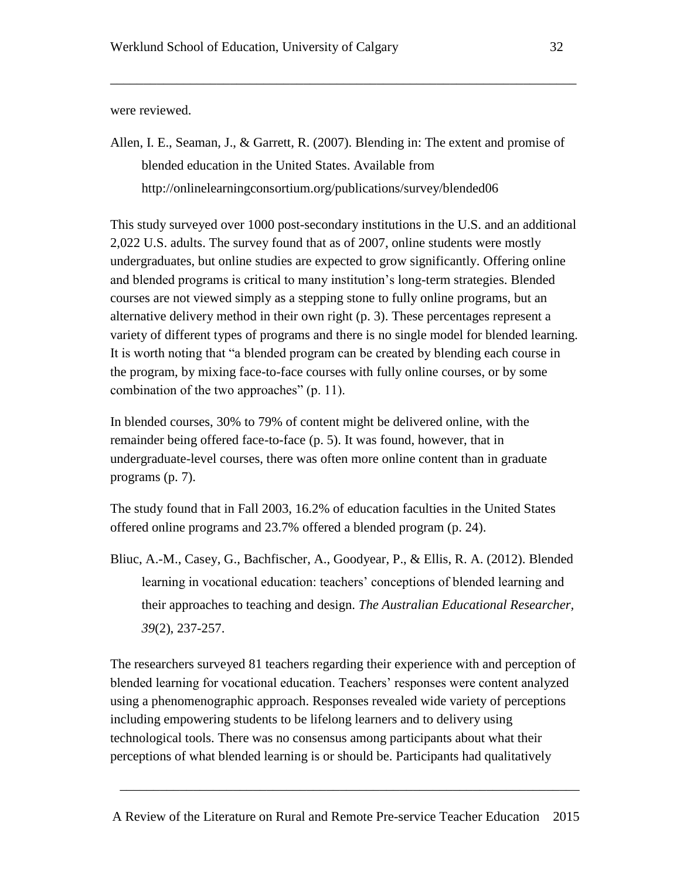were reviewed.

Allen, I. E., Seaman, J., & Garrett, R. (2007). Blending in: The extent and promise of blended education in the United States. Available from <http://onlinelearningconsortium.org/publications/survey/blended06>

\_\_\_\_\_\_\_\_\_\_\_\_\_\_\_\_\_\_\_\_\_\_\_\_\_\_\_\_\_\_\_\_\_\_\_\_\_\_\_\_\_\_\_\_\_\_\_\_\_\_\_\_\_\_\_\_\_\_\_\_\_\_\_\_\_\_\_\_\_\_

This study surveyed over 1000 post-secondary institutions in the U.S. and an additional 2,022 U.S. adults. The survey found that as of 2007, online students were mostly undergraduates, but online studies are expected to grow significantly. Offering online and blended programs is critical to many institution's long-term strategies. Blended courses are not viewed simply as a stepping stone to fully online programs, but an alternative delivery method in their own right (p. 3). These percentages represent a variety of different types of programs and there is no single model for blended learning. It is worth noting that "a blended program can be created by blending each course in the program, by mixing face-to-face courses with fully online courses, or by some combination of the two approaches" (p. 11).

In blended courses, 30% to 79% of content might be delivered online, with the remainder being offered face-to-face (p. 5). It was found, however, that in undergraduate-level courses, there was often more online content than in graduate programs (p. 7).

The study found that in Fall 2003, 16.2% of education faculties in the United States offered online programs and 23.7% offered a blended program (p. 24).

Bliuc, A.-M., Casey, G., Bachfischer, A., Goodyear, P., & Ellis, R. A. (2012). Blended learning in vocational education: teachers' conceptions of blended learning and their approaches to teaching and design. *The Australian Educational Researcher, 39*(2), 237-257.

The researchers surveyed 81 teachers regarding their experience with and perception of blended learning for vocational education. Teachers' responses were content analyzed using a phenomenographic approach. Responses revealed wide variety of perceptions including empowering students to be lifelong learners and to delivery using technological tools. There was no consensus among participants about what their perceptions of what blended learning is or should be. Participants had qualitatively

A Review of the Literature on Rural and Remote Pre-service Teacher Education 2015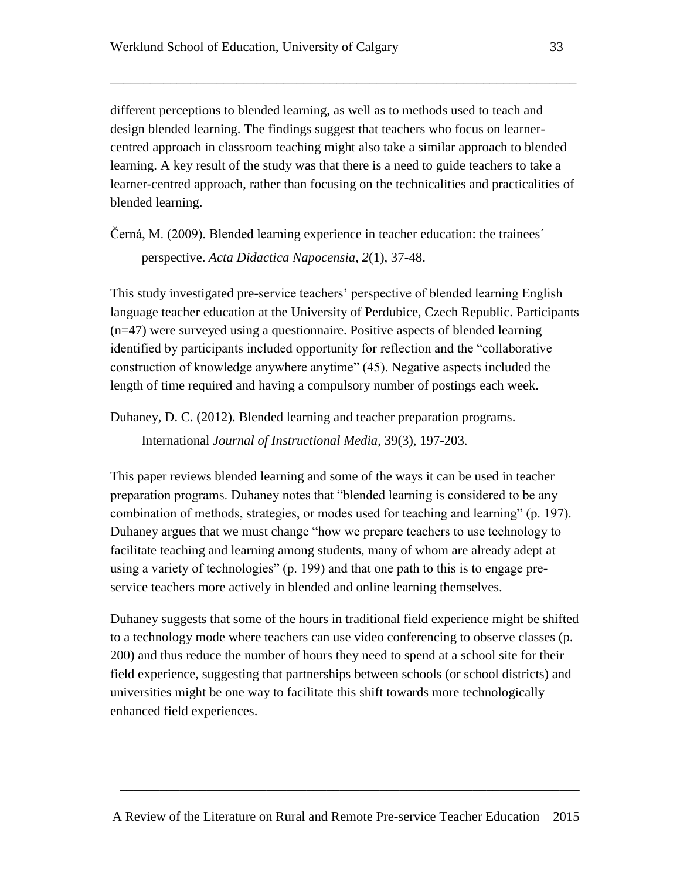different perceptions to blended learning, as well as to methods used to teach and design blended learning. The findings suggest that teachers who focus on learnercentred approach in classroom teaching might also take a similar approach to blended learning. A key result of the study was that there is a need to guide teachers to take a learner-centred approach, rather than focusing on the technicalities and practicalities of blended learning.

\_\_\_\_\_\_\_\_\_\_\_\_\_\_\_\_\_\_\_\_\_\_\_\_\_\_\_\_\_\_\_\_\_\_\_\_\_\_\_\_\_\_\_\_\_\_\_\_\_\_\_\_\_\_\_\_\_\_\_\_\_\_\_\_\_\_\_\_\_\_

Černá, M. (2009). Blended learning experience in teacher education: the trainees´

perspective. *Acta Didactica Napocensia, 2*(1), 37-48.

This study investigated pre-service teachers' perspective of blended learning English language teacher education at the University of Perdubice, Czech Republic. Participants (n=47) were surveyed using a questionnaire. Positive aspects of blended learning identified by participants included opportunity for reflection and the "collaborative construction of knowledge anywhere anytime" (45). Negative aspects included the length of time required and having a compulsory number of postings each week.

Duhaney, D. C. (2012). Blended learning and teacher preparation programs.

International *Journal of Instructional Media*, 39(3), 197-203.

This paper reviews blended learning and some of the ways it can be used in teacher preparation programs. Duhaney notes that "blended learning is considered to be any combination of methods, strategies, or modes used for teaching and learning" (p. 197). Duhaney argues that we must change "how we prepare teachers to use technology to facilitate teaching and learning among students, many of whom are already adept at using a variety of technologies" (p. 199) and that one path to this is to engage preservice teachers more actively in blended and online learning themselves.

Duhaney suggests that some of the hours in traditional field experience might be shifted to a technology mode where teachers can use video conferencing to observe classes (p. 200) and thus reduce the number of hours they need to spend at a school site for their field experience, suggesting that partnerships between schools (or school districts) and universities might be one way to facilitate this shift towards more technologically enhanced field experiences.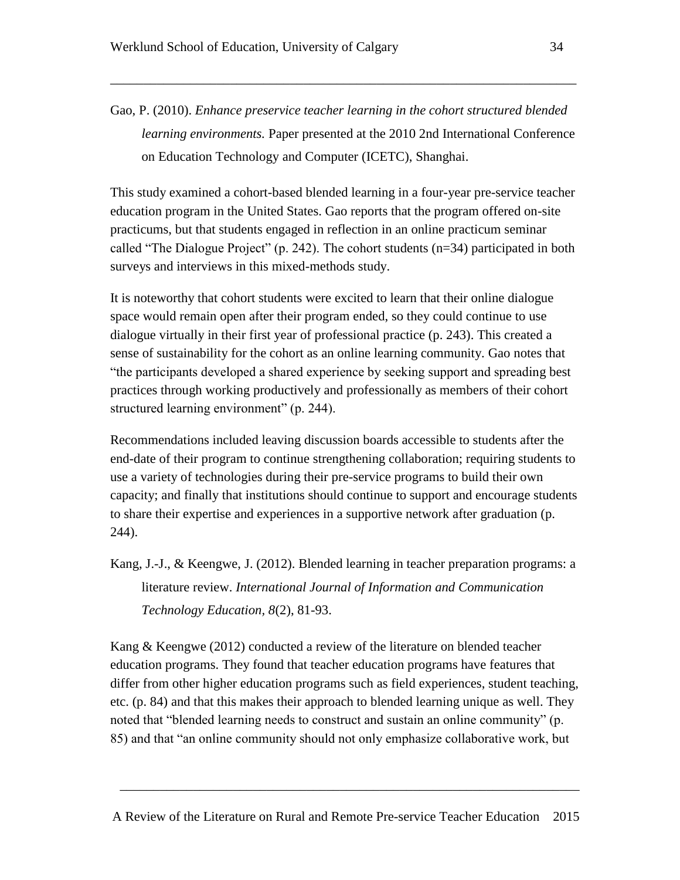Gao, P. (2010). *Enhance preservice teacher learning in the cohort structured blended learning environments.* Paper presented at the 2010 2nd International Conference on Education Technology and Computer (ICETC), Shanghai.

\_\_\_\_\_\_\_\_\_\_\_\_\_\_\_\_\_\_\_\_\_\_\_\_\_\_\_\_\_\_\_\_\_\_\_\_\_\_\_\_\_\_\_\_\_\_\_\_\_\_\_\_\_\_\_\_\_\_\_\_\_\_\_\_\_\_\_\_\_\_

This study examined a cohort-based blended learning in a four-year pre-service teacher education program in the United States. Gao reports that the program offered on-site practicums, but that students engaged in reflection in an online practicum seminar called "The Dialogue Project" (p. 242). The cohort students (n=34) participated in both surveys and interviews in this mixed-methods study.

It is noteworthy that cohort students were excited to learn that their online dialogue space would remain open after their program ended, so they could continue to use dialogue virtually in their first year of professional practice (p. 243). This created a sense of sustainability for the cohort as an online learning community. Gao notes that "the participants developed a shared experience by seeking support and spreading best practices through working productively and professionally as members of their cohort structured learning environment" (p. 244).

Recommendations included leaving discussion boards accessible to students after the end-date of their program to continue strengthening collaboration; requiring students to use a variety of technologies during their pre-service programs to build their own capacity; and finally that institutions should continue to support and encourage students to share their expertise and experiences in a supportive network after graduation (p. 244).

Kang, J.-J., & Keengwe, J. (2012). Blended learning in teacher preparation programs: a literature review. *International Journal of Information and Communication Technology Education, 8*(2), 81-93.

Kang & Keengwe (2012) conducted a review of the literature on blended teacher education programs. They found that teacher education programs have features that differ from other higher education programs such as field experiences, student teaching, etc. (p. 84) and that this makes their approach to blended learning unique as well. They noted that "blended learning needs to construct and sustain an online community" (p. 85) and that "an online community should not only emphasize collaborative work, but

A Review of the Literature on Rural and Remote Pre-service Teacher Education 2015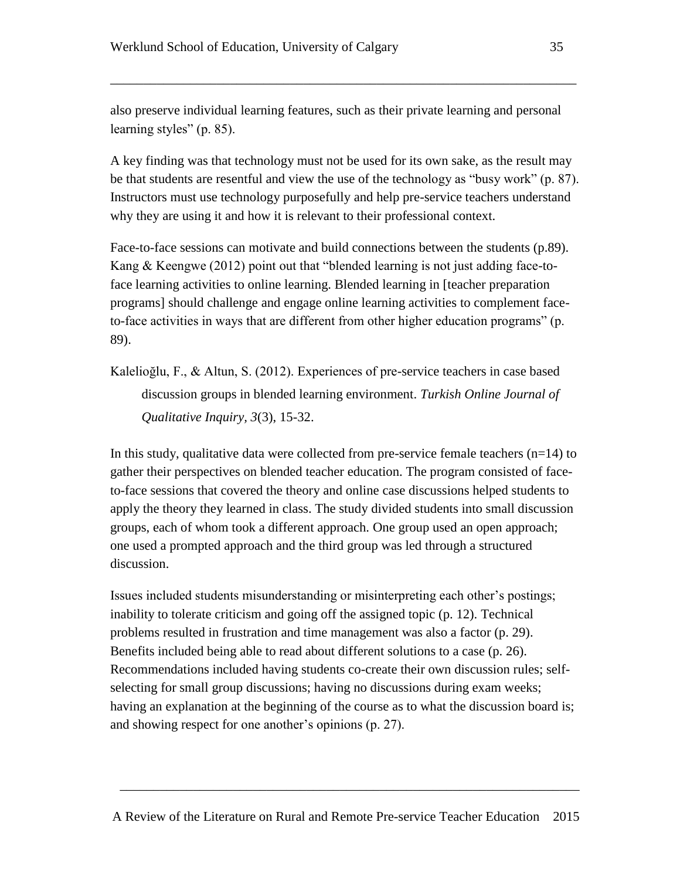also preserve individual learning features, such as their private learning and personal learning styles" (p. 85).

\_\_\_\_\_\_\_\_\_\_\_\_\_\_\_\_\_\_\_\_\_\_\_\_\_\_\_\_\_\_\_\_\_\_\_\_\_\_\_\_\_\_\_\_\_\_\_\_\_\_\_\_\_\_\_\_\_\_\_\_\_\_\_\_\_\_\_\_\_\_

A key finding was that technology must not be used for its own sake, as the result may be that students are resentful and view the use of the technology as "busy work" (p. 87). Instructors must use technology purposefully and help pre-service teachers understand why they are using it and how it is relevant to their professional context.

Face-to-face sessions can motivate and build connections between the students (p.89). Kang & Keengwe (2012) point out that "blended learning is not just adding face-toface learning activities to online learning. Blended learning in [teacher preparation programs] should challenge and engage online learning activities to complement faceto-face activities in ways that are different from other higher education programs" (p. 89).

Kalelioğlu, F., & Altun, S. (2012). Experiences of pre-service teachers in case based discussion groups in blended learning environment. *Turkish Online Journal of Qualitative Inquiry, 3*(3), 15-32.

In this study, qualitative data were collected from pre-service female teachers  $(n=14)$  to gather their perspectives on blended teacher education. The program consisted of faceto-face sessions that covered the theory and online case discussions helped students to apply the theory they learned in class. The study divided students into small discussion groups, each of whom took a different approach. One group used an open approach; one used a prompted approach and the third group was led through a structured discussion.

Issues included students misunderstanding or misinterpreting each other's postings; inability to tolerate criticism and going off the assigned topic (p. 12). Technical problems resulted in frustration and time management was also a factor (p. 29). Benefits included being able to read about different solutions to a case (p. 26). Recommendations included having students co-create their own discussion rules; selfselecting for small group discussions; having no discussions during exam weeks; having an explanation at the beginning of the course as to what the discussion board is; and showing respect for one another's opinions (p. 27).

A Review of the Literature on Rural and Remote Pre-service Teacher Education 2015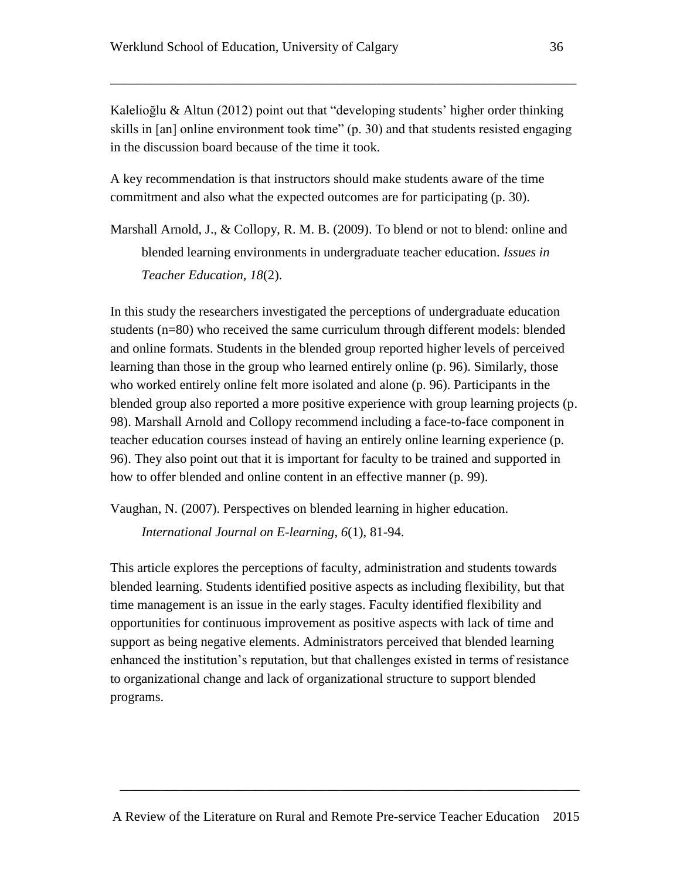Kalelioğlu & Altun (2012) point out that "developing students' higher order thinking skills in [an] online environment took time" (p. 30) and that students resisted engaging in the discussion board because of the time it took.

\_\_\_\_\_\_\_\_\_\_\_\_\_\_\_\_\_\_\_\_\_\_\_\_\_\_\_\_\_\_\_\_\_\_\_\_\_\_\_\_\_\_\_\_\_\_\_\_\_\_\_\_\_\_\_\_\_\_\_\_\_\_\_\_\_\_\_\_\_\_

A key recommendation is that instructors should make students aware of the time commitment and also what the expected outcomes are for participating (p. 30).

Marshall Arnold, J., & Collopy, R. M. B. (2009). To blend or not to blend: online and blended learning environments in undergraduate teacher education. *Issues in Teacher Education, 18*(2).

In this study the researchers investigated the perceptions of undergraduate education students (n=80) who received the same curriculum through different models: blended and online formats. Students in the blended group reported higher levels of perceived learning than those in the group who learned entirely online (p. 96). Similarly, those who worked entirely online felt more isolated and alone (p. 96). Participants in the blended group also reported a more positive experience with group learning projects (p. 98). Marshall Arnold and Collopy recommend including a face-to-face component in teacher education courses instead of having an entirely online learning experience (p. 96). They also point out that it is important for faculty to be trained and supported in how to offer blended and online content in an effective manner (p. 99).

Vaughan, N. (2007). Perspectives on blended learning in higher education.

*International Journal on E-learning, 6*(1), 81-94.

This article explores the perceptions of faculty, administration and students towards blended learning. Students identified positive aspects as including flexibility, but that time management is an issue in the early stages. Faculty identified flexibility and opportunities for continuous improvement as positive aspects with lack of time and support as being negative elements. Administrators perceived that blended learning enhanced the institution's reputation, but that challenges existed in terms of resistance to organizational change and lack of organizational structure to support blended programs.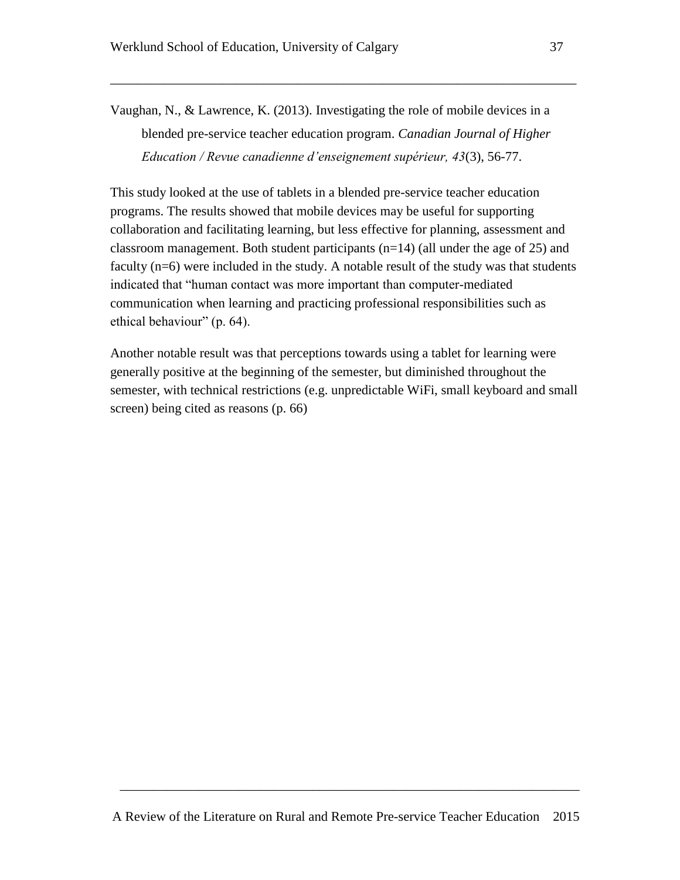Vaughan, N., & Lawrence, K. (2013). Investigating the role of mobile devices in a blended pre-service teacher education program. *Canadian Journal of Higher Education / Revue canadienne d'enseignement supérieur, 43*(3), 56-77.

\_\_\_\_\_\_\_\_\_\_\_\_\_\_\_\_\_\_\_\_\_\_\_\_\_\_\_\_\_\_\_\_\_\_\_\_\_\_\_\_\_\_\_\_\_\_\_\_\_\_\_\_\_\_\_\_\_\_\_\_\_\_\_\_\_\_\_\_\_\_

This study looked at the use of tablets in a blended pre-service teacher education programs. The results showed that mobile devices may be useful for supporting collaboration and facilitating learning, but less effective for planning, assessment and classroom management. Both student participants  $(n=14)$  (all under the age of 25) and faculty (n=6) were included in the study. A notable result of the study was that students indicated that "human contact was more important than computer-mediated communication when learning and practicing professional responsibilities such as ethical behaviour" (p. 64).

Another notable result was that perceptions towards using a tablet for learning were generally positive at the beginning of the semester, but diminished throughout the semester, with technical restrictions (e.g. unpredictable WiFi, small keyboard and small screen) being cited as reasons (p. 66)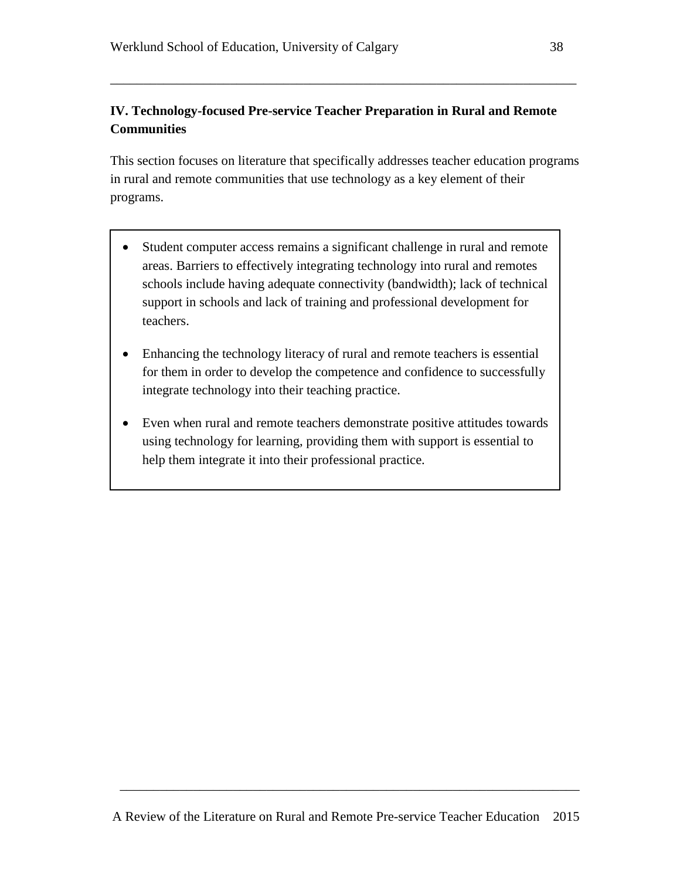# **IV. Technology-focused Pre-service Teacher Preparation in Rural and Remote Communities**

\_\_\_\_\_\_\_\_\_\_\_\_\_\_\_\_\_\_\_\_\_\_\_\_\_\_\_\_\_\_\_\_\_\_\_\_\_\_\_\_\_\_\_\_\_\_\_\_\_\_\_\_\_\_\_\_\_\_\_\_\_\_\_\_\_\_\_\_\_\_

This section focuses on literature that specifically addresses teacher education programs in rural and remote communities that use technology as a key element of their programs.

- Student computer access remains a significant challenge in rural and remote areas. Barriers to effectively integrating technology into rural and remotes schools include having adequate connectivity (bandwidth); lack of technical support in schools and lack of training and professional development for teachers.
- Enhancing the technology literacy of rural and remote teachers is essential for them in order to develop the competence and confidence to successfully integrate technology into their teaching practice.
- Even when rural and remote teachers demonstrate positive attitudes towards using technology for learning, providing them with support is essential to help them integrate it into their professional practice.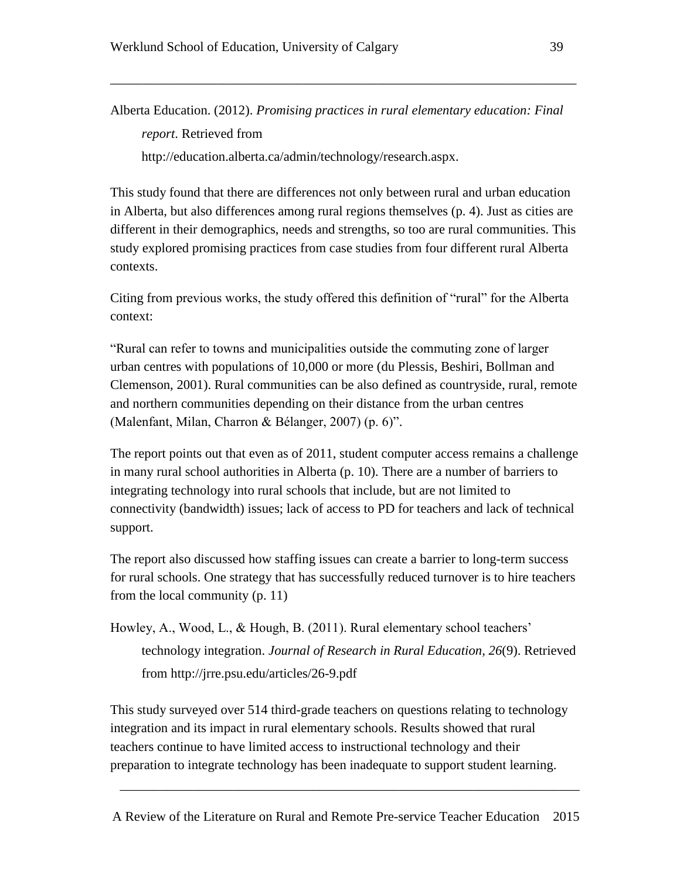Alberta Education. (2012). *Promising practices in rural elementary education: Final report*. Retrieved from <http://education.alberta.ca/admin/technology/research.aspx.>

\_\_\_\_\_\_\_\_\_\_\_\_\_\_\_\_\_\_\_\_\_\_\_\_\_\_\_\_\_\_\_\_\_\_\_\_\_\_\_\_\_\_\_\_\_\_\_\_\_\_\_\_\_\_\_\_\_\_\_\_\_\_\_\_\_\_\_\_\_\_

This study found that there are differences not only between rural and urban education in Alberta, but also differences among rural regions themselves (p. 4). Just as cities are different in their demographics, needs and strengths, so too are rural communities. This study explored promising practices from case studies from four different rural Alberta contexts.

Citing from previous works, the study offered this definition of "rural" for the Alberta context:

"Rural can refer to towns and municipalities outside the commuting zone of larger urban centres with populations of 10,000 or more (du Plessis, Beshiri, Bollman and Clemenson, 2001). Rural communities can be also defined as countryside, rural, remote and northern communities depending on their distance from the urban centres (Malenfant, Milan, Charron & Bélanger, 2007) (p. 6)".

The report points out that even as of 2011, student computer access remains a challenge in many rural school authorities in Alberta (p. 10). There are a number of barriers to integrating technology into rural schools that include, but are not limited to connectivity (bandwidth) issues; lack of access to PD for teachers and lack of technical support.

The report also discussed how staffing issues can create a barrier to long-term success for rural schools. One strategy that has successfully reduced turnover is to hire teachers from the local community (p. 11)

```
Howley, A., Wood, L., & Hough, B. (2011). Rural elementary school teachers' 
technology integration. Journal of Research in Rural Education, 26(9). Retrieved 
from http://jrre.psu.edu/articles/26-9.pdf
```
This study surveyed over 514 third-grade teachers on questions relating to technology integration and its impact in rural elementary schools. Results showed that rural teachers continue to have limited access to instructional technology and their preparation to integrate technology has been inadequate to support student learning.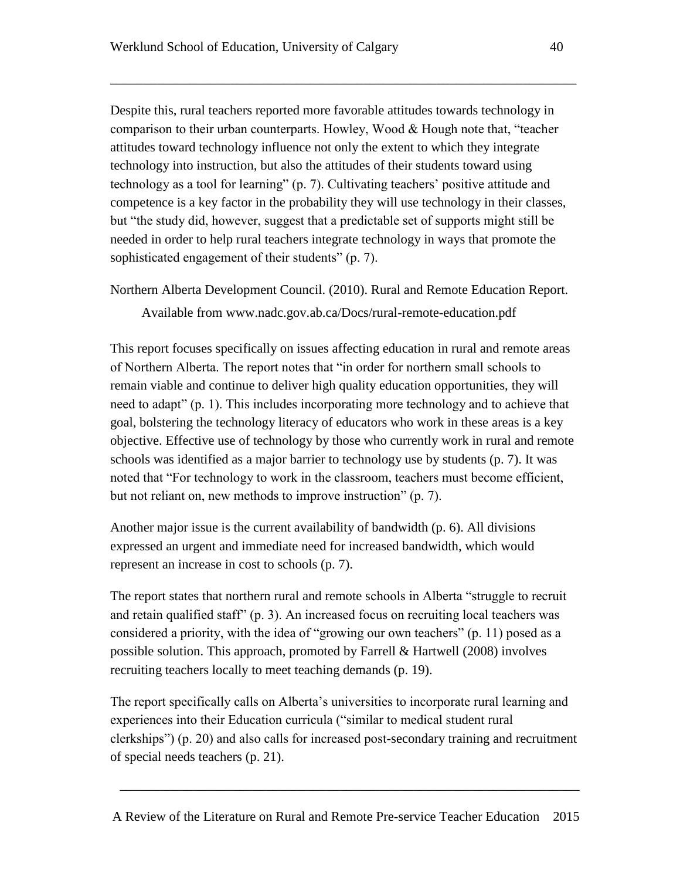Despite this, rural teachers reported more favorable attitudes towards technology in comparison to their urban counterparts. Howley, Wood & Hough note that, "teacher attitudes toward technology influence not only the extent to which they integrate technology into instruction, but also the attitudes of their students toward using technology as a tool for learning" (p. 7). Cultivating teachers' positive attitude and competence is a key factor in the probability they will use technology in their classes, but "the study did, however, suggest that a predictable set of supports might still be needed in order to help rural teachers integrate technology in ways that promote the sophisticated engagement of their students" (p. 7).

\_\_\_\_\_\_\_\_\_\_\_\_\_\_\_\_\_\_\_\_\_\_\_\_\_\_\_\_\_\_\_\_\_\_\_\_\_\_\_\_\_\_\_\_\_\_\_\_\_\_\_\_\_\_\_\_\_\_\_\_\_\_\_\_\_\_\_\_\_\_

Northern Alberta Development Council. (2010). Rural and Remote Education Report.

Available from [www.nadc.gov.ab.ca/Docs/rural-remote-education.pdf](http://www.nadc.gov.ab.ca/Docs/rural-remote-education.pdf)

This report focuses specifically on issues affecting education in rural and remote areas of Northern Alberta. The report notes that "in order for northern small schools to remain viable and continue to deliver high quality education opportunities, they will need to adapt" (p. 1). This includes incorporating more technology and to achieve that goal, bolstering the technology literacy of educators who work in these areas is a key objective. Effective use of technology by those who currently work in rural and remote schools was identified as a major barrier to technology use by students (p. 7). It was noted that "For technology to work in the classroom, teachers must become efficient, but not reliant on, new methods to improve instruction" (p. 7).

Another major issue is the current availability of bandwidth (p. 6). All divisions expressed an urgent and immediate need for increased bandwidth, which would represent an increase in cost to schools (p. 7).

The report states that northern rural and remote schools in Alberta "struggle to recruit and retain qualified staff" (p. 3). An increased focus on recruiting local teachers was considered a priority, with the idea of "growing our own teachers" (p. 11) posed as a possible solution. This approach, promoted by Farrell & Hartwell (2008) involves recruiting teachers locally to meet teaching demands (p. 19).

The report specifically calls on Alberta's universities to incorporate rural learning and experiences into their Education curricula ("similar to medical student rural clerkships") (p. 20) and also calls for increased post-secondary training and recruitment of special needs teachers (p. 21).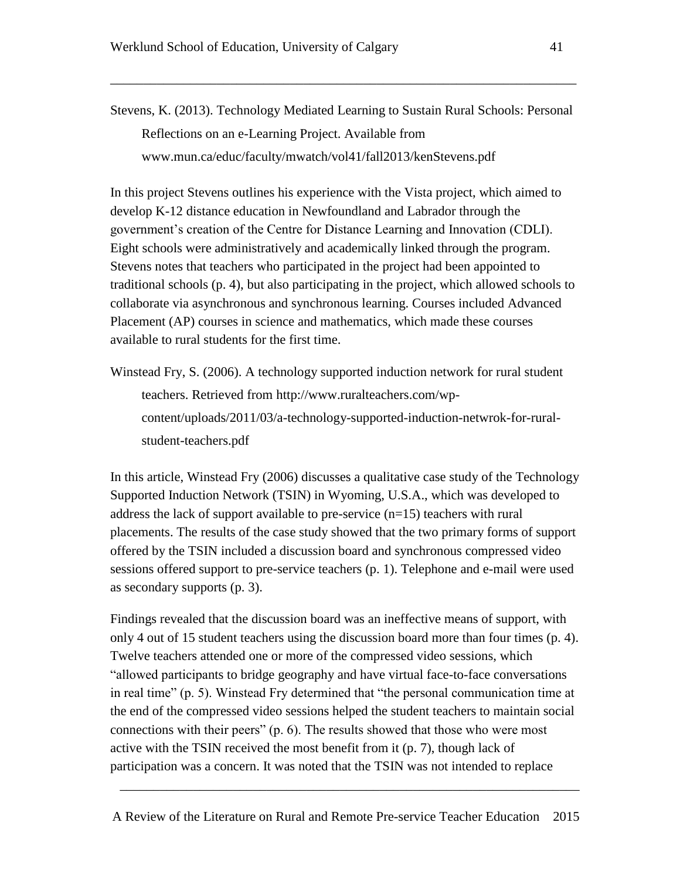\_\_\_\_\_\_\_\_\_\_\_\_\_\_\_\_\_\_\_\_\_\_\_\_\_\_\_\_\_\_\_\_\_\_\_\_\_\_\_\_\_\_\_\_\_\_\_\_\_\_\_\_\_\_\_\_\_\_\_\_\_\_\_\_\_\_\_\_\_\_

In this project Stevens outlines his experience with the Vista project, which aimed to develop K-12 distance education in Newfoundland and Labrador through the government's creation of the Centre for Distance Learning and Innovation (CDLI). Eight schools were administratively and academically linked through the program. Stevens notes that teachers who participated in the project had been appointed to traditional schools (p. 4), but also participating in the project, which allowed schools to collaborate via asynchronous and synchronous learning. Courses included Advanced Placement (AP) courses in science and mathematics, which made these courses available to rural students for the first time.

Winstead Fry, S. (2006). A technology supported induction network for rural student teachers. Retrieved from [http://www.ruralteachers.com/wp](http://www.ruralteachers.com/wp-content/uploads/2011/03/a-technology-supported-induction-netwrok-for-rural-student-teachers.pdf)[content/uploads/2011/03/a-technology-supported-induction-netwrok-for-rural](http://www.ruralteachers.com/wp-content/uploads/2011/03/a-technology-supported-induction-netwrok-for-rural-student-teachers.pdf)[student-teachers.pdf](http://www.ruralteachers.com/wp-content/uploads/2011/03/a-technology-supported-induction-netwrok-for-rural-student-teachers.pdf)

In this article, Winstead Fry (2006) discusses a qualitative case study of the Technology Supported Induction Network (TSIN) in Wyoming, U.S.A., which was developed to address the lack of support available to pre-service (n=15) teachers with rural placements. The results of the case study showed that the two primary forms of support offered by the TSIN included a discussion board and synchronous compressed video sessions offered support to pre-service teachers (p. 1). Telephone and e-mail were used as secondary supports (p. 3).

Findings revealed that the discussion board was an ineffective means of support, with only 4 out of 15 student teachers using the discussion board more than four times (p. 4). Twelve teachers attended one or more of the compressed video sessions, which "allowed participants to bridge geography and have virtual face-to-face conversations in real time" (p. 5). Winstead Fry determined that "the personal communication time at the end of the compressed video sessions helped the student teachers to maintain social connections with their peers" (p. 6). The results showed that those who were most active with the TSIN received the most benefit from it (p. 7), though lack of participation was a concern. It was noted that the TSIN was not intended to replace

A Review of the Literature on Rural and Remote Pre-service Teacher Education 2015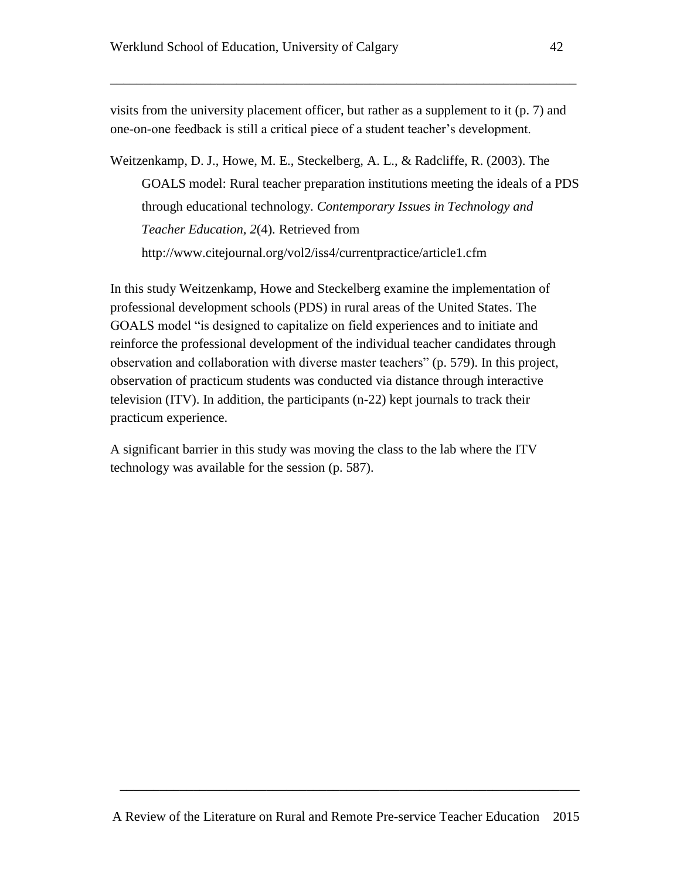visits from the university placement officer, but rather as a supplement to it (p. 7) and one-on-one feedback is still a critical piece of a student teacher's development.

\_\_\_\_\_\_\_\_\_\_\_\_\_\_\_\_\_\_\_\_\_\_\_\_\_\_\_\_\_\_\_\_\_\_\_\_\_\_\_\_\_\_\_\_\_\_\_\_\_\_\_\_\_\_\_\_\_\_\_\_\_\_\_\_\_\_\_\_\_\_

Weitzenkamp, D. J., Howe, M. E., Steckelberg, A. L., & Radcliffe, R. (2003). The GOALS model: Rural teacher preparation institutions meeting the ideals of a PDS through educational technology. *Contemporary Issues in Technology and Teacher Education, 2*(4). Retrieved from <http://www.citejournal.org/vol2/iss4/currentpractice/article1.cfm>

In this study Weitzenkamp, Howe and Steckelberg examine the implementation of professional development schools (PDS) in rural areas of the United States. The GOALS model "is designed to capitalize on field experiences and to initiate and reinforce the professional development of the individual teacher candidates through observation and collaboration with diverse master teachers" (p. 579). In this project, observation of practicum students was conducted via distance through interactive television (ITV). In addition, the participants (n-22) kept journals to track their practicum experience.

A significant barrier in this study was moving the class to the lab where the ITV technology was available for the session (p. 587).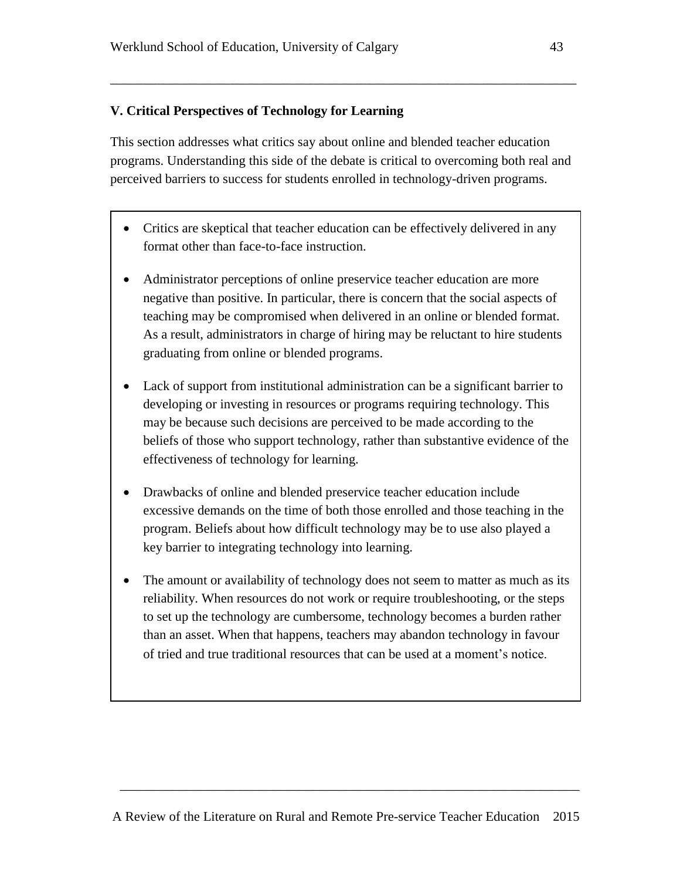## **V. Critical Perspectives of Technology for Learning**

This section addresses what critics say about online and blended teacher education programs. Understanding this side of the debate is critical to overcoming both real and perceived barriers to success for students enrolled in technology-driven programs.

\_\_\_\_\_\_\_\_\_\_\_\_\_\_\_\_\_\_\_\_\_\_\_\_\_\_\_\_\_\_\_\_\_\_\_\_\_\_\_\_\_\_\_\_\_\_\_\_\_\_\_\_\_\_\_\_\_\_\_\_\_\_\_\_\_\_\_\_\_\_

- Critics are skeptical that teacher education can be effectively delivered in any format other than face-to-face instruction.
- Administrator perceptions of online preservice teacher education are more negative than positive. In particular, there is concern that the social aspects of teaching may be compromised when delivered in an online or blended format. As a result, administrators in charge of hiring may be reluctant to hire students graduating from online or blended programs.
- Lack of support from institutional administration can be a significant barrier to developing or investing in resources or programs requiring technology. This may be because such decisions are perceived to be made according to the beliefs of those who support technology, rather than substantive evidence of the effectiveness of technology for learning.
- Drawbacks of online and blended preservice teacher education include excessive demands on the time of both those enrolled and those teaching in the program. Beliefs about how difficult technology may be to use also played a key barrier to integrating technology into learning.
- The amount or availability of technology does not seem to matter as much as its reliability. When resources do not work or require troubleshooting, or the steps to set up the technology are cumbersome, technology becomes a burden rather than an asset. When that happens, teachers may abandon technology in favour of tried and true traditional resources that can be used at a moment's notice.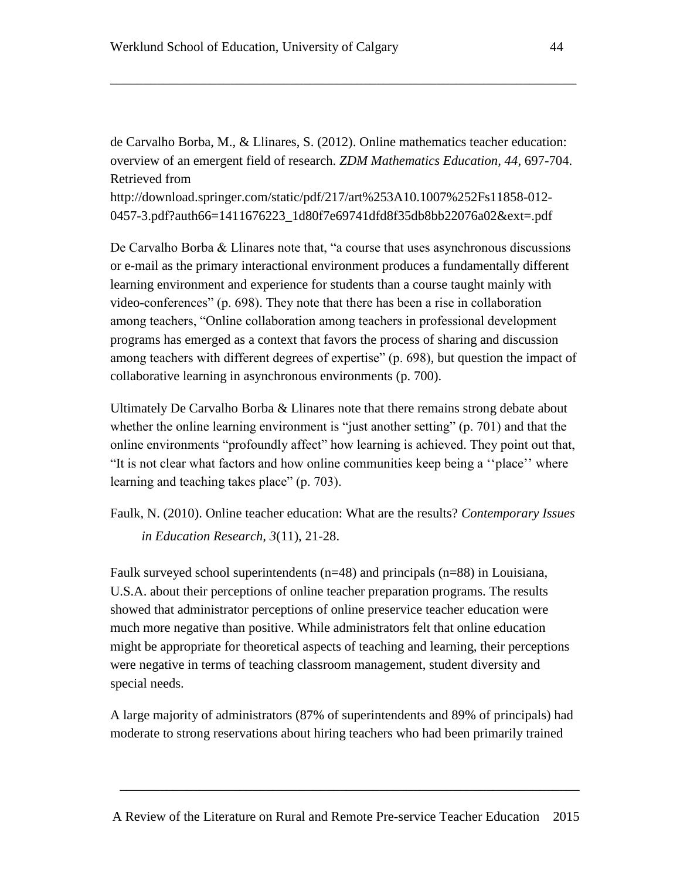de Carvalho Borba, M., & Llinares, S. (2012). Online mathematics teacher education: overview of an emergent field of research. *ZDM Mathematics Education, 44*, 697-704. Retrieved from

\_\_\_\_\_\_\_\_\_\_\_\_\_\_\_\_\_\_\_\_\_\_\_\_\_\_\_\_\_\_\_\_\_\_\_\_\_\_\_\_\_\_\_\_\_\_\_\_\_\_\_\_\_\_\_\_\_\_\_\_\_\_\_\_\_\_\_\_\_\_

[http://download.springer.com/static/pdf/217/art%253A10.1007%252Fs11858-012-](http://download.springer.com/static/pdf/217/art%3A10.1007%2Fs11858-012-0457-3.pdf?auth66=1411676223_1d80f7e69741dfd8f35db8bb22076a02&ext=.pdf) [0457-3.pdf?auth66=1411676223\\_1d80f7e69741dfd8f35db8bb22076a02&ext=.pdf](http://download.springer.com/static/pdf/217/art%3A10.1007%2Fs11858-012-0457-3.pdf?auth66=1411676223_1d80f7e69741dfd8f35db8bb22076a02&ext=.pdf)

De Carvalho Borba & Llinares note that, "a course that uses asynchronous discussions or e-mail as the primary interactional environment produces a fundamentally different learning environment and experience for students than a course taught mainly with video-conferences" (p. 698). They note that there has been a rise in collaboration among teachers, "Online collaboration among teachers in professional development programs has emerged as a context that favors the process of sharing and discussion among teachers with different degrees of expertise" (p. 698), but question the impact of collaborative learning in asynchronous environments (p. 700).

Ultimately De Carvalho Borba & Llinares note that there remains strong debate about whether the online learning environment is "just another setting" (p. 701) and that the online environments "profoundly affect" how learning is achieved. They point out that, "It is not clear what factors and how online communities keep being a ''place'' where learning and teaching takes place" (p. 703).

Faulk, N. (2010). Online teacher education: What are the results? *Contemporary Issues in Education Research, 3*(11), 21-28.

Faulk surveyed school superintendents (n=48) and principals (n=88) in Louisiana, U.S.A. about their perceptions of online teacher preparation programs. The results showed that administrator perceptions of online preservice teacher education were much more negative than positive. While administrators felt that online education might be appropriate for theoretical aspects of teaching and learning, their perceptions were negative in terms of teaching classroom management, student diversity and special needs.

A large majority of administrators (87% of superintendents and 89% of principals) had moderate to strong reservations about hiring teachers who had been primarily trained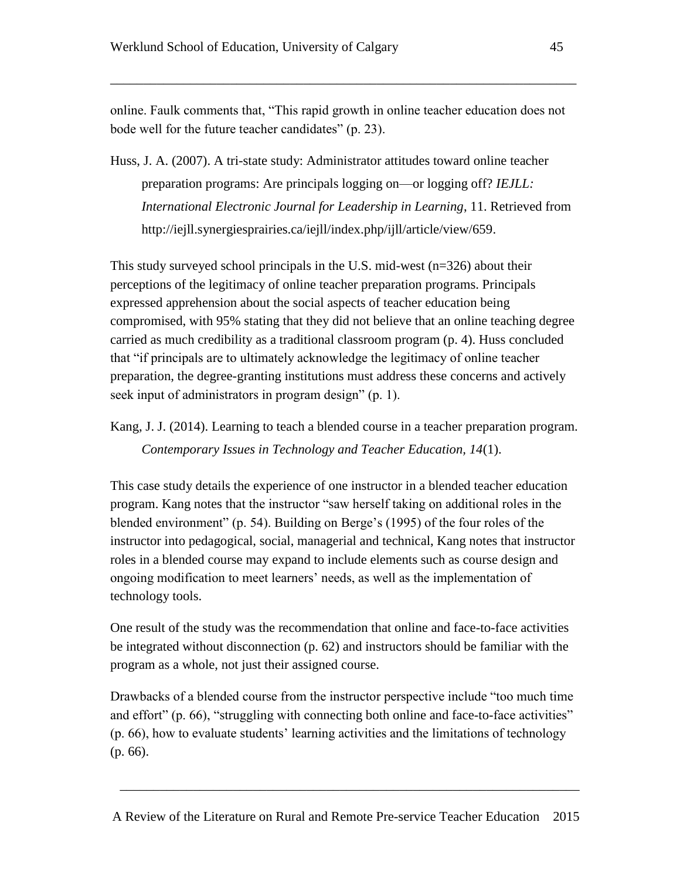online. Faulk comments that, "This rapid growth in online teacher education does not bode well for the future teacher candidates" (p. 23).

\_\_\_\_\_\_\_\_\_\_\_\_\_\_\_\_\_\_\_\_\_\_\_\_\_\_\_\_\_\_\_\_\_\_\_\_\_\_\_\_\_\_\_\_\_\_\_\_\_\_\_\_\_\_\_\_\_\_\_\_\_\_\_\_\_\_\_\_\_\_

Huss, J. A. (2007). A tri-state study: Administrator attitudes toward online teacher preparation programs: Are principals logging on—or logging off? *IEJLL: International Electronic Journal for Leadership in Learning*, 11. Retrieved from [http://iejll.synergiesprairies.ca/iejll/index.php/ijll/article/view/659.](http://iejll.synergiesprairies.ca/iejll/index.php/ijll/article/view/659)

This study surveyed school principals in the U.S. mid-west (n=326) about their perceptions of the legitimacy of online teacher preparation programs. Principals expressed apprehension about the social aspects of teacher education being compromised, with 95% stating that they did not believe that an online teaching degree carried as much credibility as a traditional classroom program (p. 4). Huss concluded that "if principals are to ultimately acknowledge the legitimacy of online teacher preparation, the degree-granting institutions must address these concerns and actively seek input of administrators in program design" (p. 1).

Kang, J. J. (2014). Learning to teach a blended course in a teacher preparation program. *Contemporary Issues in Technology and Teacher Education, 14*(1).

This case study details the experience of one instructor in a blended teacher education program. Kang notes that the instructor "saw herself taking on additional roles in the blended environment" (p. 54). Building on Berge's (1995) of the four roles of the instructor into pedagogical, social, managerial and technical, Kang notes that instructor roles in a blended course may expand to include elements such as course design and ongoing modification to meet learners' needs, as well as the implementation of technology tools.

One result of the study was the recommendation that online and face-to-face activities be integrated without disconnection (p. 62) and instructors should be familiar with the program as a whole, not just their assigned course.

Drawbacks of a blended course from the instructor perspective include "too much time and effort" (p. 66), "struggling with connecting both online and face-to-face activities" (p. 66), how to evaluate students' learning activities and the limitations of technology (p. 66).

A Review of the Literature on Rural and Remote Pre-service Teacher Education 2015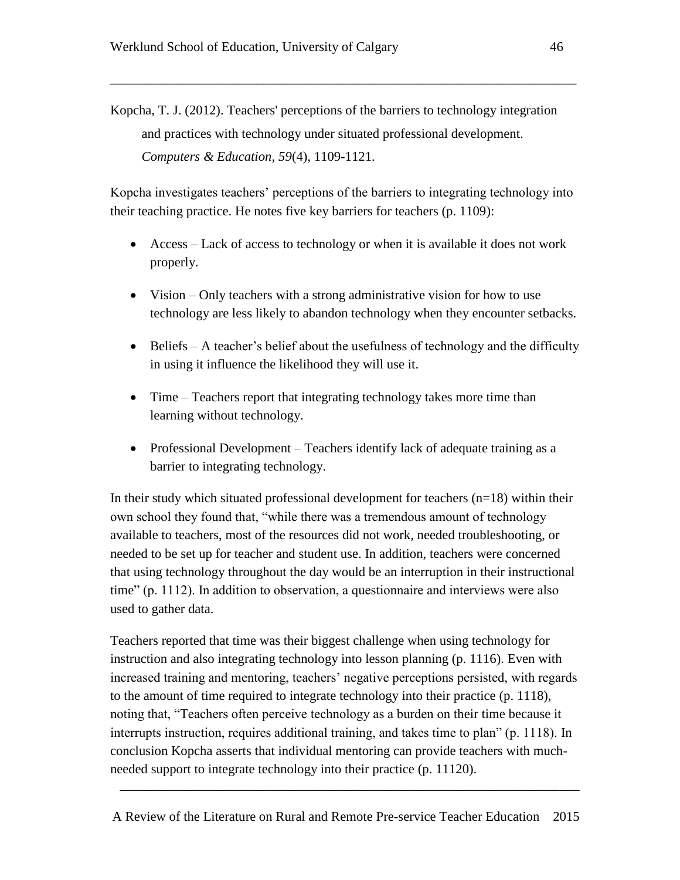Kopcha, T. J. (2012). Teachers' perceptions of the barriers to technology integration and practices with technology under situated professional development. *Computers & Education, 59*(4), 1109-1121.

\_\_\_\_\_\_\_\_\_\_\_\_\_\_\_\_\_\_\_\_\_\_\_\_\_\_\_\_\_\_\_\_\_\_\_\_\_\_\_\_\_\_\_\_\_\_\_\_\_\_\_\_\_\_\_\_\_\_\_\_\_\_\_\_\_\_\_\_\_\_

Kopcha investigates teachers' perceptions of the barriers to integrating technology into their teaching practice. He notes five key barriers for teachers (p. 1109):

- Access Lack of access to technology or when it is available it does not work properly.
- Vision Only teachers with a strong administrative vision for how to use technology are less likely to abandon technology when they encounter setbacks.
- Beliefs A teacher's belief about the usefulness of technology and the difficulty in using it influence the likelihood they will use it.
- Time Teachers report that integrating technology takes more time than learning without technology.
- Professional Development Teachers identify lack of adequate training as a barrier to integrating technology.

In their study which situated professional development for teachers  $(n=18)$  within their own school they found that, "while there was a tremendous amount of technology available to teachers, most of the resources did not work, needed troubleshooting, or needed to be set up for teacher and student use. In addition, teachers were concerned that using technology throughout the day would be an interruption in their instructional time" (p. 1112). In addition to observation, a questionnaire and interviews were also used to gather data.

Teachers reported that time was their biggest challenge when using technology for instruction and also integrating technology into lesson planning (p. 1116). Even with increased training and mentoring, teachers' negative perceptions persisted, with regards to the amount of time required to integrate technology into their practice (p. 1118), noting that, "Teachers often perceive technology as a burden on their time because it interrupts instruction, requires additional training, and takes time to plan" (p. 1118). In conclusion Kopcha asserts that individual mentoring can provide teachers with muchneeded support to integrate technology into their practice (p. 11120).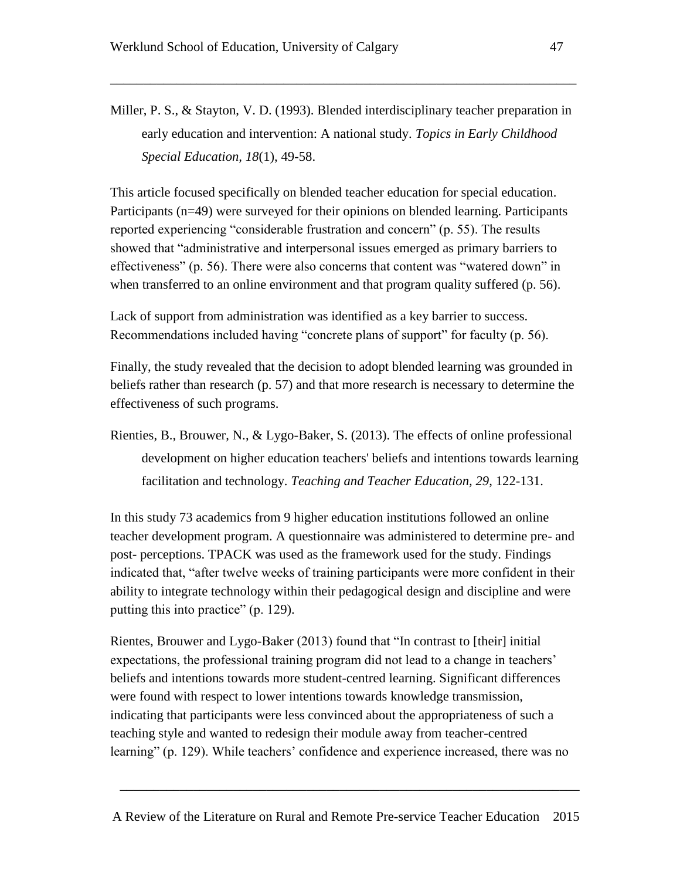Miller, P. S., & Stayton, V. D. (1993). Blended interdisciplinary teacher preparation in early education and intervention: A national study. *Topics in Early Childhood Special Education, 18*(1), 49-58.

\_\_\_\_\_\_\_\_\_\_\_\_\_\_\_\_\_\_\_\_\_\_\_\_\_\_\_\_\_\_\_\_\_\_\_\_\_\_\_\_\_\_\_\_\_\_\_\_\_\_\_\_\_\_\_\_\_\_\_\_\_\_\_\_\_\_\_\_\_\_

This article focused specifically on blended teacher education for special education. Participants (n=49) were surveyed for their opinions on blended learning. Participants reported experiencing "considerable frustration and concern" (p. 55). The results showed that "administrative and interpersonal issues emerged as primary barriers to effectiveness" (p. 56). There were also concerns that content was "watered down" in when transferred to an online environment and that program quality suffered (p. 56).

Lack of support from administration was identified as a key barrier to success. Recommendations included having "concrete plans of support" for faculty (p. 56).

Finally, the study revealed that the decision to adopt blended learning was grounded in beliefs rather than research (p. 57) and that more research is necessary to determine the effectiveness of such programs.

Rienties, B., Brouwer, N., & Lygo-Baker, S. (2013). The effects of online professional development on higher education teachers' beliefs and intentions towards learning facilitation and technology. *Teaching and Teacher Education, 29*, 122-131.

In this study 73 academics from 9 higher education institutions followed an online teacher development program. A questionnaire was administered to determine pre- and post- perceptions. TPACK was used as the framework used for the study. Findings indicated that, "after twelve weeks of training participants were more confident in their ability to integrate technology within their pedagogical design and discipline and were putting this into practice" (p. 129).

Rientes, Brouwer and Lygo-Baker (2013) found that "In contrast to [their] initial expectations, the professional training program did not lead to a change in teachers' beliefs and intentions towards more student-centred learning. Significant differences were found with respect to lower intentions towards knowledge transmission, indicating that participants were less convinced about the appropriateness of such a teaching style and wanted to redesign their module away from teacher-centred learning" (p. 129). While teachers' confidence and experience increased, there was no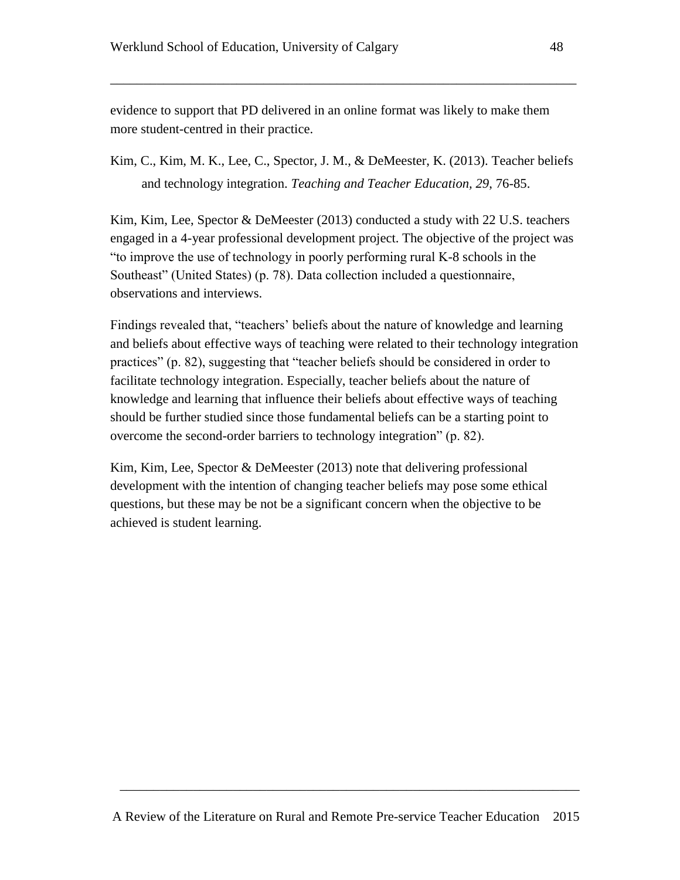evidence to support that PD delivered in an online format was likely to make them more student-centred in their practice.

Kim, C., Kim, M. K., Lee, C., Spector, J. M., & DeMeester, K. (2013). Teacher beliefs and technology integration. *Teaching and Teacher Education, 29*, 76-85.

\_\_\_\_\_\_\_\_\_\_\_\_\_\_\_\_\_\_\_\_\_\_\_\_\_\_\_\_\_\_\_\_\_\_\_\_\_\_\_\_\_\_\_\_\_\_\_\_\_\_\_\_\_\_\_\_\_\_\_\_\_\_\_\_\_\_\_\_\_\_

Kim, Kim, Lee, Spector & DeMeester (2013) conducted a study with 22 U.S. teachers engaged in a 4-year professional development project. The objective of the project was "to improve the use of technology in poorly performing rural K-8 schools in the Southeast" (United States) (p. 78). Data collection included a questionnaire, observations and interviews.

Findings revealed that, "teachers' beliefs about the nature of knowledge and learning and beliefs about effective ways of teaching were related to their technology integration practices" (p. 82), suggesting that "teacher beliefs should be considered in order to facilitate technology integration. Especially, teacher beliefs about the nature of knowledge and learning that influence their beliefs about effective ways of teaching should be further studied since those fundamental beliefs can be a starting point to overcome the second-order barriers to technology integration" (p. 82).

Kim, Kim, Lee, Spector & DeMeester (2013) note that delivering professional development with the intention of changing teacher beliefs may pose some ethical questions, but these may be not be a significant concern when the objective to be achieved is student learning.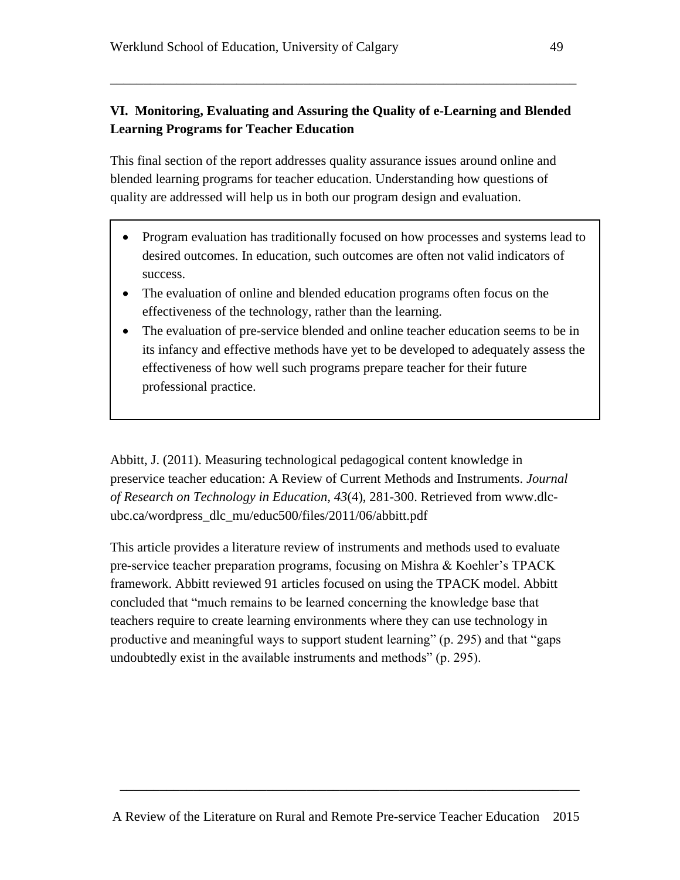# **VI. Monitoring, Evaluating and Assuring the Quality of e-Learning and Blended Learning Programs for Teacher Education**

\_\_\_\_\_\_\_\_\_\_\_\_\_\_\_\_\_\_\_\_\_\_\_\_\_\_\_\_\_\_\_\_\_\_\_\_\_\_\_\_\_\_\_\_\_\_\_\_\_\_\_\_\_\_\_\_\_\_\_\_\_\_\_\_\_\_\_\_\_\_

This final section of the report addresses quality assurance issues around online and blended learning programs for teacher education. Understanding how questions of quality are addressed will help us in both our program design and evaluation.

- Program evaluation has traditionally focused on how processes and systems lead to desired outcomes. In education, such outcomes are often not valid indicators of success.
- The evaluation of online and blended education programs often focus on the effectiveness of the technology, rather than the learning.
- The evaluation of pre-service blended and online teacher education seems to be in its infancy and effective methods have yet to be developed to adequately assess the effectiveness of how well such programs prepare teacher for their future professional practice.

Abbitt, J. (2011). Measuring technological pedagogical content knowledge in preservice teacher education: A Review of Current Methods and Instruments. *Journal of Research on Technology in Education, 43*(4), 281-300. Retrieved from [www.dlc](http://www.dlc-ubc.ca/wordpress_dlc_mu/educ500/files/2011/06/abbitt.pdf)[ubc.ca/wordpress\\_dlc\\_mu/educ500/files/2011/06/abbitt.pdf](http://www.dlc-ubc.ca/wordpress_dlc_mu/educ500/files/2011/06/abbitt.pdf)

This article provides a literature review of instruments and methods used to evaluate pre-service teacher preparation programs, focusing on Mishra & Koehler's TPACK framework. Abbitt reviewed 91 articles focused on using the TPACK model. Abbitt concluded that "much remains to be learned concerning the knowledge base that teachers require to create learning environments where they can use technology in productive and meaningful ways to support student learning" (p. 295) and that "gaps undoubtedly exist in the available instruments and methods" (p. 295).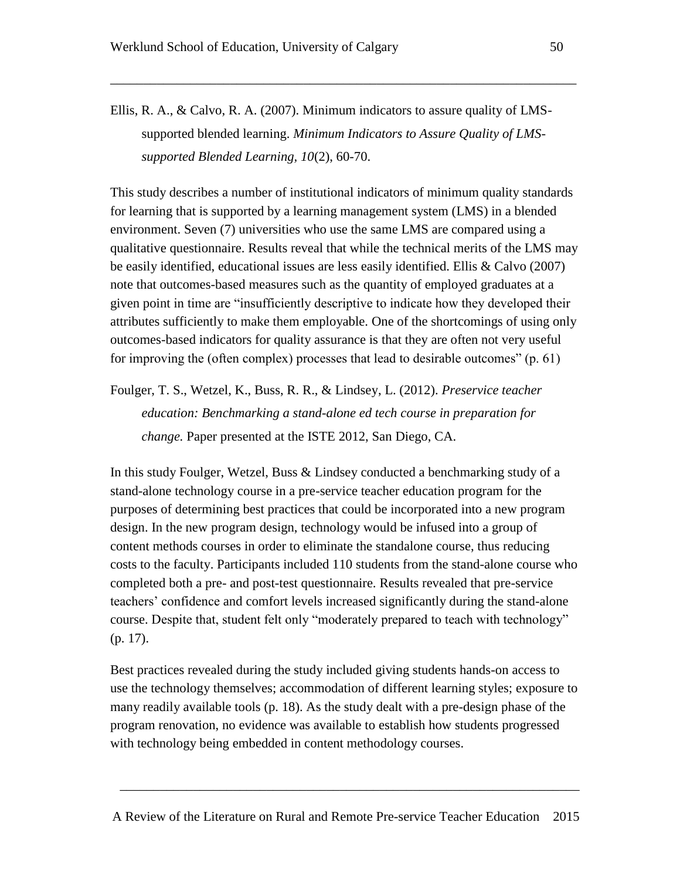Ellis, R. A., & Calvo, R. A. (2007). Minimum indicators to assure quality of LMSsupported blended learning. *Minimum Indicators to Assure Quality of LMSsupported Blended Learning, 10*(2), 60-70.

\_\_\_\_\_\_\_\_\_\_\_\_\_\_\_\_\_\_\_\_\_\_\_\_\_\_\_\_\_\_\_\_\_\_\_\_\_\_\_\_\_\_\_\_\_\_\_\_\_\_\_\_\_\_\_\_\_\_\_\_\_\_\_\_\_\_\_\_\_\_

This study describes a number of institutional indicators of minimum quality standards for learning that is supported by a learning management system (LMS) in a blended environment. Seven (7) universities who use the same LMS are compared using a qualitative questionnaire. Results reveal that while the technical merits of the LMS may be easily identified, educational issues are less easily identified. Ellis & Calvo (2007) note that outcomes-based measures such as the quantity of employed graduates at a given point in time are "insufficiently descriptive to indicate how they developed their attributes sufficiently to make them employable. One of the shortcomings of using only outcomes-based indicators for quality assurance is that they are often not very useful for improving the (often complex) processes that lead to desirable outcomes" (p. 61)

Foulger, T. S., Wetzel, K., Buss, R. R., & Lindsey, L. (2012). *Preservice teacher education: Benchmarking a stand-alone ed tech course in preparation for change.* Paper presented at the ISTE 2012, San Diego, CA.

In this study Foulger, Wetzel, Buss & Lindsey conducted a benchmarking study of a stand-alone technology course in a pre-service teacher education program for the purposes of determining best practices that could be incorporated into a new program design. In the new program design, technology would be infused into a group of content methods courses in order to eliminate the standalone course, thus reducing costs to the faculty. Participants included 110 students from the stand-alone course who completed both a pre- and post-test questionnaire. Results revealed that pre-service teachers' confidence and comfort levels increased significantly during the stand-alone course. Despite that, student felt only "moderately prepared to teach with technology" (p. 17).

Best practices revealed during the study included giving students hands-on access to use the technology themselves; accommodation of different learning styles; exposure to many readily available tools (p. 18). As the study dealt with a pre-design phase of the program renovation, no evidence was available to establish how students progressed with technology being embedded in content methodology courses.

A Review of the Literature on Rural and Remote Pre-service Teacher Education 2015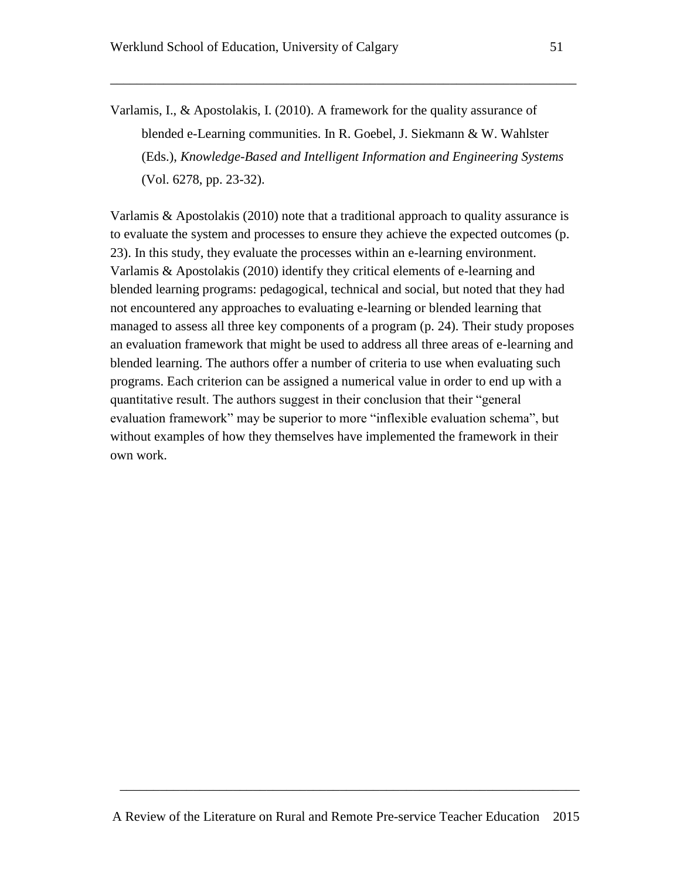Varlamis, I., & Apostolakis, I. (2010). A framework for the quality assurance of blended e-Learning communities. In R. Goebel, J. Siekmann & W. Wahlster (Eds.), *Knowledge-Based and Intelligent Information and Engineering Systems*  (Vol. 6278, pp. 23-32).

\_\_\_\_\_\_\_\_\_\_\_\_\_\_\_\_\_\_\_\_\_\_\_\_\_\_\_\_\_\_\_\_\_\_\_\_\_\_\_\_\_\_\_\_\_\_\_\_\_\_\_\_\_\_\_\_\_\_\_\_\_\_\_\_\_\_\_\_\_\_

Varlamis & Apostolakis (2010) note that a traditional approach to quality assurance is to evaluate the system and processes to ensure they achieve the expected outcomes (p. 23). In this study, they evaluate the processes within an e-learning environment. Varlamis & Apostolakis (2010) identify they critical elements of e-learning and blended learning programs: pedagogical, technical and social, but noted that they had not encountered any approaches to evaluating e-learning or blended learning that managed to assess all three key components of a program (p. 24). Their study proposes an evaluation framework that might be used to address all three areas of e-learning and blended learning. The authors offer a number of criteria to use when evaluating such programs. Each criterion can be assigned a numerical value in order to end up with a quantitative result. The authors suggest in their conclusion that their "general evaluation framework" may be superior to more "inflexible evaluation schema", but without examples of how they themselves have implemented the framework in their own work.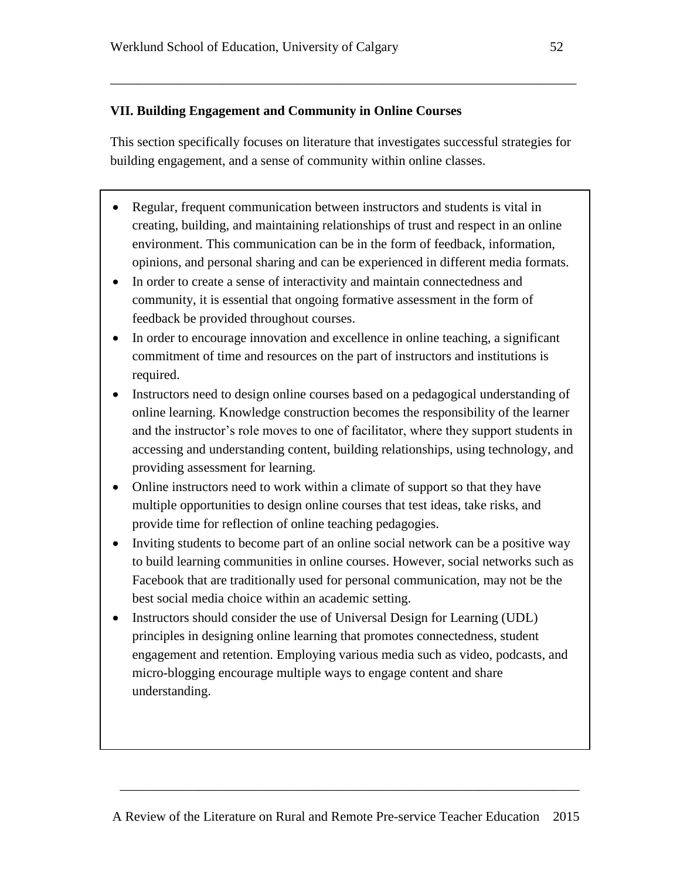## **VII. Building Engagement and Community in Online Courses**

This section specifically focuses on literature that investigates successful strategies for building engagement, and a sense of community within online classes.

\_\_\_\_\_\_\_\_\_\_\_\_\_\_\_\_\_\_\_\_\_\_\_\_\_\_\_\_\_\_\_\_\_\_\_\_\_\_\_\_\_\_\_\_\_\_\_\_\_\_\_\_\_\_\_\_\_\_\_\_\_\_\_\_\_\_\_\_\_\_

- Regular, frequent communication between instructors and students is vital in creating, building, and maintaining relationships of trust and respect in an online environment. This communication can be in the form of feedback, information, opinions, and personal sharing and can be experienced in different media formats.
- In order to create a sense of interactivity and maintain connectedness and community, it is essential that ongoing formative assessment in the form of feedback be provided throughout courses.
- In order to encourage innovation and excellence in online teaching, a significant commitment of time and resources on the part of instructors and institutions is required.
- Instructors need to design online courses based on a pedagogical understanding of online learning. Knowledge construction becomes the responsibility of the learner and the instructor's role moves to one of facilitator, where they support students in accessing and understanding content, building relationships, using technology, and providing assessment for learning.
- Online instructors need to work within a climate of support so that they have multiple opportunities to design online courses that test ideas, take risks, and provide time for reflection of online teaching pedagogies.
- Inviting students to become part of an online social network can be a positive way to build learning communities in online courses. However, social networks such as Facebook that are traditionally used for personal communication, may not be the best social media choice within an academic setting.
- Instructors should consider the use of Universal Design for Learning (UDL) principles in designing online learning that promotes connectedness, student engagement and retention. Employing various media such as video, podcasts, and micro-blogging encourage multiple ways to engage content and share understanding.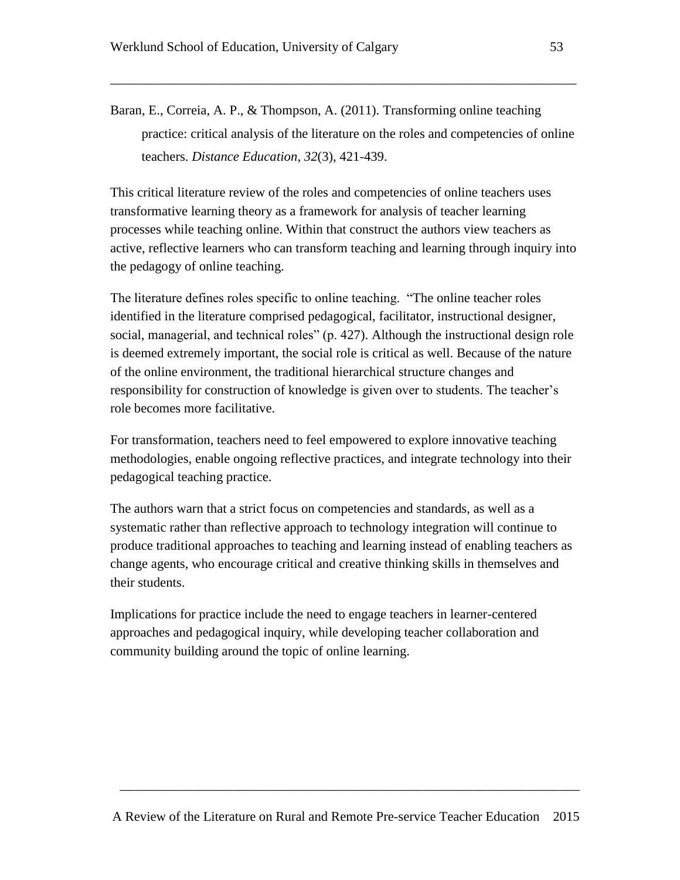Baran, E., Correia, A. P., & Thompson, A. (2011). Transforming online teaching practice: critical analysis of the literature on the roles and competencies of online teachers. *Distance Education*, *32*(3), 421-439.

\_\_\_\_\_\_\_\_\_\_\_\_\_\_\_\_\_\_\_\_\_\_\_\_\_\_\_\_\_\_\_\_\_\_\_\_\_\_\_\_\_\_\_\_\_\_\_\_\_\_\_\_\_\_\_\_\_\_\_\_\_\_\_\_\_\_\_\_\_\_

This critical literature review of the roles and competencies of online teachers uses transformative learning theory as a framework for analysis of teacher learning processes while teaching online. Within that construct the authors view teachers as active, reflective learners who can transform teaching and learning through inquiry into the pedagogy of online teaching.

The literature defines roles specific to online teaching. "The online teacher roles identified in the literature comprised pedagogical, facilitator, instructional designer, social, managerial, and technical roles" (p. 427). Although the instructional design role is deemed extremely important, the social role is critical as well. Because of the nature of the online environment, the traditional hierarchical structure changes and responsibility for construction of knowledge is given over to students. The teacher's role becomes more facilitative.

For transformation, teachers need to feel empowered to explore innovative teaching methodologies, enable ongoing reflective practices, and integrate technology into their pedagogical teaching practice.

The authors warn that a strict focus on competencies and standards, as well as a systematic rather than reflective approach to technology integration will continue to produce traditional approaches to teaching and learning instead of enabling teachers as change agents, who encourage critical and creative thinking skills in themselves and their students.

Implications for practice include the need to engage teachers in learner-centered approaches and pedagogical inquiry, while developing teacher collaboration and community building around the topic of online learning.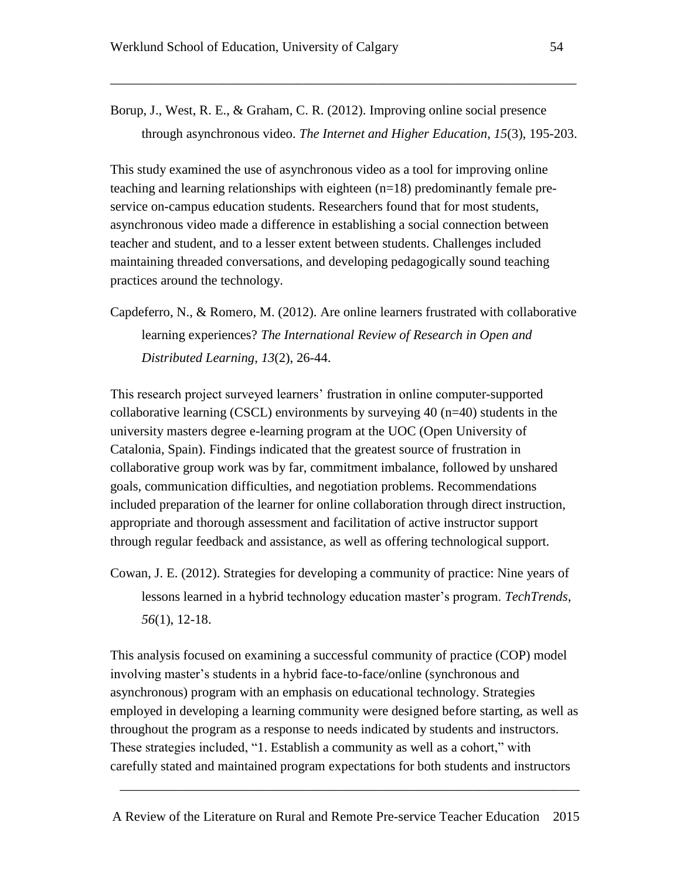Borup, J., West, R. E., & Graham, C. R. (2012). Improving online social presence through asynchronous video. *The Internet and Higher Education*, *15*(3), 195-203.

\_\_\_\_\_\_\_\_\_\_\_\_\_\_\_\_\_\_\_\_\_\_\_\_\_\_\_\_\_\_\_\_\_\_\_\_\_\_\_\_\_\_\_\_\_\_\_\_\_\_\_\_\_\_\_\_\_\_\_\_\_\_\_\_\_\_\_\_\_\_

This study examined the use of asynchronous video as a tool for improving online teaching and learning relationships with eighteen (n=18) predominantly female preservice on-campus education students. Researchers found that for most students, asynchronous video made a difference in establishing a social connection between teacher and student, and to a lesser extent between students. Challenges included maintaining threaded conversations, and developing pedagogically sound teaching practices around the technology.

Capdeferro, N., & Romero, M. (2012). Are online learners frustrated with collaborative learning experiences? *The International Review of Research in Open and Distributed Learning*, *13*(2), 26-44.

This research project surveyed learners' frustration in online computer-supported collaborative learning (CSCL) environments by surveying 40 (n=40) students in the university masters degree e-learning program at the UOC (Open University of Catalonia, Spain). Findings indicated that the greatest source of frustration in collaborative group work was by far, commitment imbalance, followed by unshared goals, communication difficulties, and negotiation problems. Recommendations included preparation of the learner for online collaboration through direct instruction, appropriate and thorough assessment and facilitation of active instructor support through regular feedback and assistance, as well as offering technological support.

Cowan, J. E. (2012). Strategies for developing a community of practice: Nine years of lessons learned in a hybrid technology education master's program. *TechTrends*, *56*(1), 12-18.

This analysis focused on examining a successful community of practice (COP) model involving master's students in a hybrid face-to-face/online (synchronous and asynchronous) program with an emphasis on educational technology. Strategies employed in developing a learning community were designed before starting, as well as throughout the program as a response to needs indicated by students and instructors. These strategies included, "1. Establish a community as well as a cohort," with carefully stated and maintained program expectations for both students and instructors

A Review of the Literature on Rural and Remote Pre-service Teacher Education 2015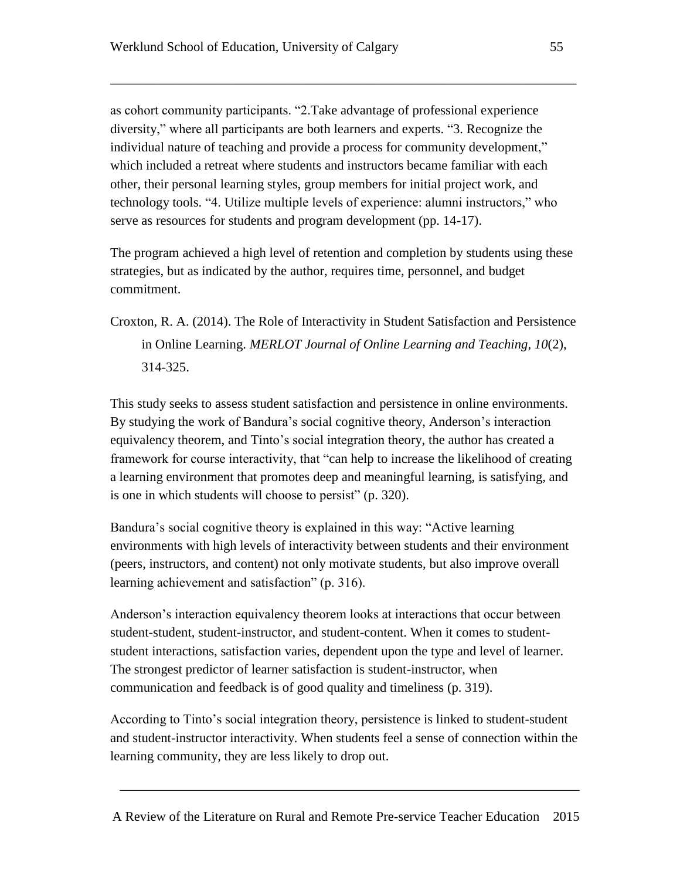as cohort community participants. "2.Take advantage of professional experience diversity," where all participants are both learners and experts. "3. Recognize the individual nature of teaching and provide a process for community development," which included a retreat where students and instructors became familiar with each other, their personal learning styles, group members for initial project work, and technology tools. "4. Utilize multiple levels of experience: alumni instructors," who serve as resources for students and program development (pp. 14-17).

\_\_\_\_\_\_\_\_\_\_\_\_\_\_\_\_\_\_\_\_\_\_\_\_\_\_\_\_\_\_\_\_\_\_\_\_\_\_\_\_\_\_\_\_\_\_\_\_\_\_\_\_\_\_\_\_\_\_\_\_\_\_\_\_\_\_\_\_\_\_

The program achieved a high level of retention and completion by students using these strategies, but as indicated by the author, requires time, personnel, and budget commitment.

Croxton, R. A. (2014). The Role of Interactivity in Student Satisfaction and Persistence in Online Learning. *MERLOT Journal of Online Learning and Teaching*, *10*(2), 314-325.

This study seeks to assess student satisfaction and persistence in online environments. By studying the work of Bandura's social cognitive theory, Anderson's interaction equivalency theorem, and Tinto's social integration theory, the author has created a framework for course interactivity, that "can help to increase the likelihood of creating a learning environment that promotes deep and meaningful learning, is satisfying, and is one in which students will choose to persist" (p. 320).

Bandura's social cognitive theory is explained in this way: "Active learning environments with high levels of interactivity between students and their environment (peers, instructors, and content) not only motivate students, but also improve overall learning achievement and satisfaction" (p. 316).

Anderson's interaction equivalency theorem looks at interactions that occur between student-student, student-instructor, and student-content. When it comes to studentstudent interactions, satisfaction varies, dependent upon the type and level of learner. The strongest predictor of learner satisfaction is student-instructor, when communication and feedback is of good quality and timeliness (p. 319).

According to Tinto's social integration theory, persistence is linked to student-student and student-instructor interactivity. When students feel a sense of connection within the learning community, they are less likely to drop out.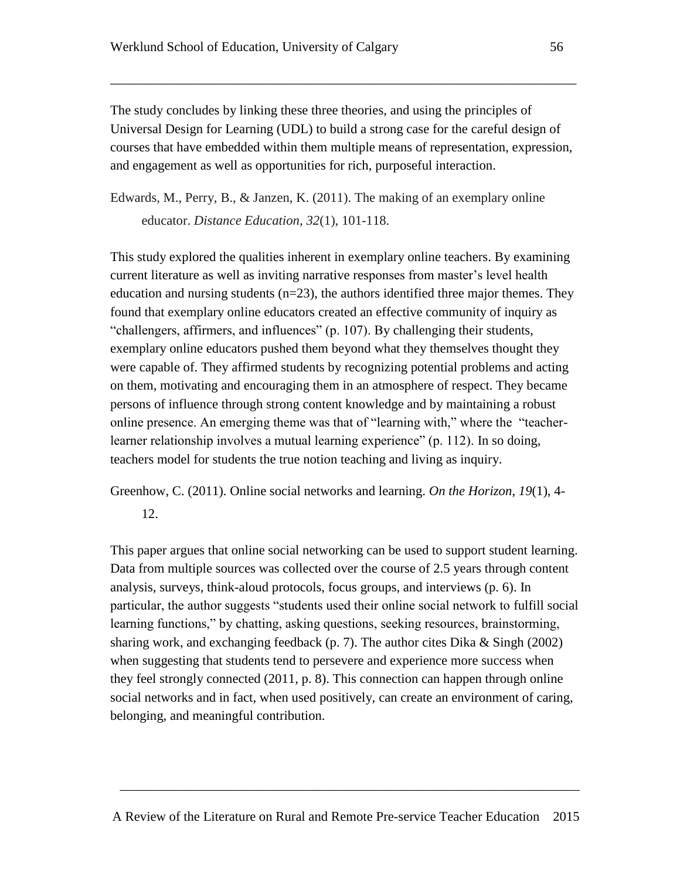The study concludes by linking these three theories, and using the principles of Universal Design for Learning (UDL) to build a strong case for the careful design of courses that have embedded within them multiple means of representation, expression, and engagement as well as opportunities for rich, purposeful interaction.

\_\_\_\_\_\_\_\_\_\_\_\_\_\_\_\_\_\_\_\_\_\_\_\_\_\_\_\_\_\_\_\_\_\_\_\_\_\_\_\_\_\_\_\_\_\_\_\_\_\_\_\_\_\_\_\_\_\_\_\_\_\_\_\_\_\_\_\_\_\_

Edwards, M., Perry, B., & Janzen, K. (2011). The making of an exemplary online educator. *Distance Education*, *32*(1), 101-118.

This study explored the qualities inherent in exemplary online teachers. By examining current literature as well as inviting narrative responses from master's level health education and nursing students  $(n=23)$ , the authors identified three major themes. They found that exemplary online educators created an effective community of inquiry as "challengers, affirmers, and influences" (p. 107). By challenging their students, exemplary online educators pushed them beyond what they themselves thought they were capable of. They affirmed students by recognizing potential problems and acting on them, motivating and encouraging them in an atmosphere of respect. They became persons of influence through strong content knowledge and by maintaining a robust online presence. An emerging theme was that of "learning with," where the "teacherlearner relationship involves a mutual learning experience" (p. 112). In so doing, teachers model for students the true notion teaching and living as inquiry.

Greenhow, C. (2011). Online social networks and learning. *On the Horizon*, *19*(1), 4-

12.

This paper argues that online social networking can be used to support student learning. Data from multiple sources was collected over the course of 2.5 years through content analysis, surveys, think-aloud protocols, focus groups, and interviews (p. 6). In particular, the author suggests "students used their online social network to fulfill social learning functions," by chatting, asking questions, seeking resources, brainstorming, sharing work, and exchanging feedback (p. 7). The author cites Dika  $&$  Singh (2002) when suggesting that students tend to persevere and experience more success when they feel strongly connected (2011, p. 8). This connection can happen through online social networks and in fact, when used positively, can create an environment of caring, belonging, and meaningful contribution.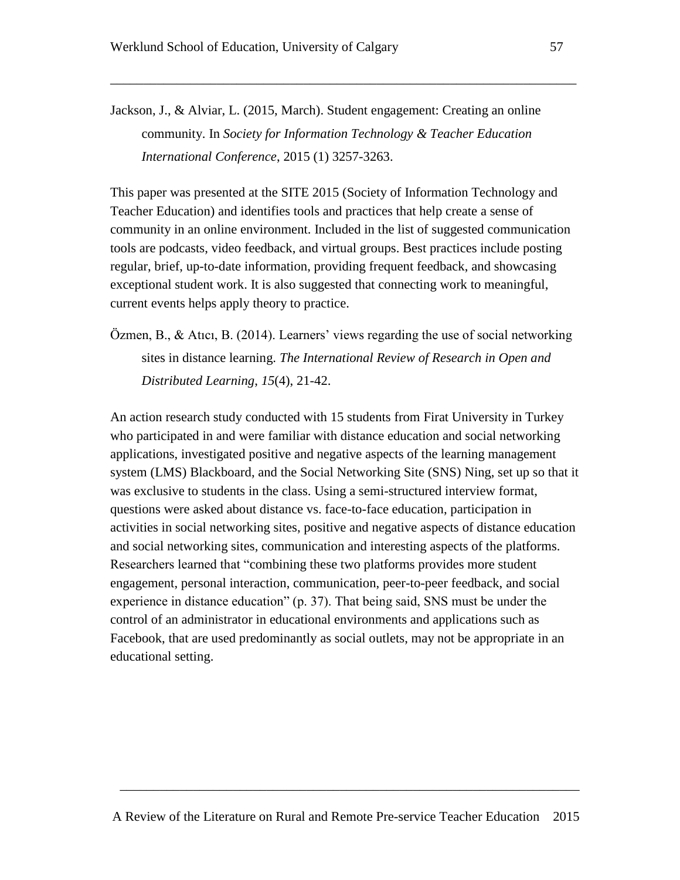Jackson, J., & Alviar, L. (2015, March). Student engagement: Creating an online community. In *Society for Information Technology & Teacher Education International Conference*, 2015 (1) 3257-3263.

\_\_\_\_\_\_\_\_\_\_\_\_\_\_\_\_\_\_\_\_\_\_\_\_\_\_\_\_\_\_\_\_\_\_\_\_\_\_\_\_\_\_\_\_\_\_\_\_\_\_\_\_\_\_\_\_\_\_\_\_\_\_\_\_\_\_\_\_\_\_

This paper was presented at the SITE 2015 (Society of Information Technology and Teacher Education) and identifies tools and practices that help create a sense of community in an online environment. Included in the list of suggested communication tools are podcasts, video feedback, and virtual groups. Best practices include posting regular, brief, up-to-date information, providing frequent feedback, and showcasing exceptional student work. It is also suggested that connecting work to meaningful, current events helps apply theory to practice.

Özmen, B., & Atıcı, B. (2014). Learners' views regarding the use of social networking sites in distance learning. *The International Review of Research in Open and Distributed Learning*, *15*(4), 21-42.

An action research study conducted with 15 students from Firat University in Turkey who participated in and were familiar with distance education and social networking applications, investigated positive and negative aspects of the learning management system (LMS) Blackboard, and the Social Networking Site (SNS) Ning, set up so that it was exclusive to students in the class. Using a semi-structured interview format, questions were asked about distance vs. face-to-face education, participation in activities in social networking sites, positive and negative aspects of distance education and social networking sites, communication and interesting aspects of the platforms. Researchers learned that "combining these two platforms provides more student engagement, personal interaction, communication, peer-to-peer feedback, and social experience in distance education" (p. 37). That being said, SNS must be under the control of an administrator in educational environments and applications such as Facebook, that are used predominantly as social outlets, may not be appropriate in an educational setting.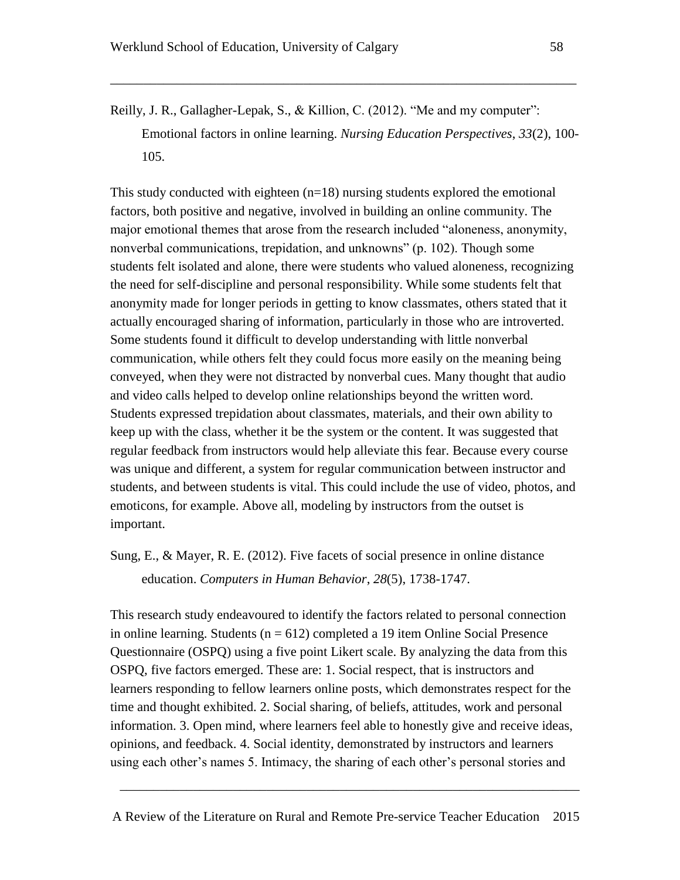Reilly, J. R., Gallagher-Lepak, S., & Killion, C. (2012). "Me and my computer": Emotional factors in online learning. *Nursing Education Perspectives*, *33*(2), 100- 105.

\_\_\_\_\_\_\_\_\_\_\_\_\_\_\_\_\_\_\_\_\_\_\_\_\_\_\_\_\_\_\_\_\_\_\_\_\_\_\_\_\_\_\_\_\_\_\_\_\_\_\_\_\_\_\_\_\_\_\_\_\_\_\_\_\_\_\_\_\_\_

This study conducted with eighteen  $(n=18)$  nursing students explored the emotional factors, both positive and negative, involved in building an online community. The major emotional themes that arose from the research included "aloneness, anonymity, nonverbal communications, trepidation, and unknowns" (p. 102). Though some students felt isolated and alone, there were students who valued aloneness, recognizing the need for self-discipline and personal responsibility. While some students felt that anonymity made for longer periods in getting to know classmates, others stated that it actually encouraged sharing of information, particularly in those who are introverted. Some students found it difficult to develop understanding with little nonverbal communication, while others felt they could focus more easily on the meaning being conveyed, when they were not distracted by nonverbal cues. Many thought that audio and video calls helped to develop online relationships beyond the written word. Students expressed trepidation about classmates, materials, and their own ability to keep up with the class, whether it be the system or the content. It was suggested that regular feedback from instructors would help alleviate this fear. Because every course was unique and different, a system for regular communication between instructor and students, and between students is vital. This could include the use of video, photos, and emoticons, for example. Above all, modeling by instructors from the outset is important.

Sung, E., & Mayer, R. E. (2012). Five facets of social presence in online distance education. *Computers in Human Behavior*, *28*(5), 1738-1747.

This research study endeavoured to identify the factors related to personal connection in online learning. Students ( $n = 612$ ) completed a 19 item Online Social Presence Questionnaire (OSPQ) using a five point Likert scale. By analyzing the data from this OSPQ, five factors emerged. These are: 1. Social respect, that is instructors and learners responding to fellow learners online posts, which demonstrates respect for the time and thought exhibited. 2. Social sharing, of beliefs, attitudes, work and personal information. 3. Open mind, where learners feel able to honestly give and receive ideas, opinions, and feedback. 4. Social identity, demonstrated by instructors and learners using each other's names 5. Intimacy, the sharing of each other's personal stories and

A Review of the Literature on Rural and Remote Pre-service Teacher Education 2015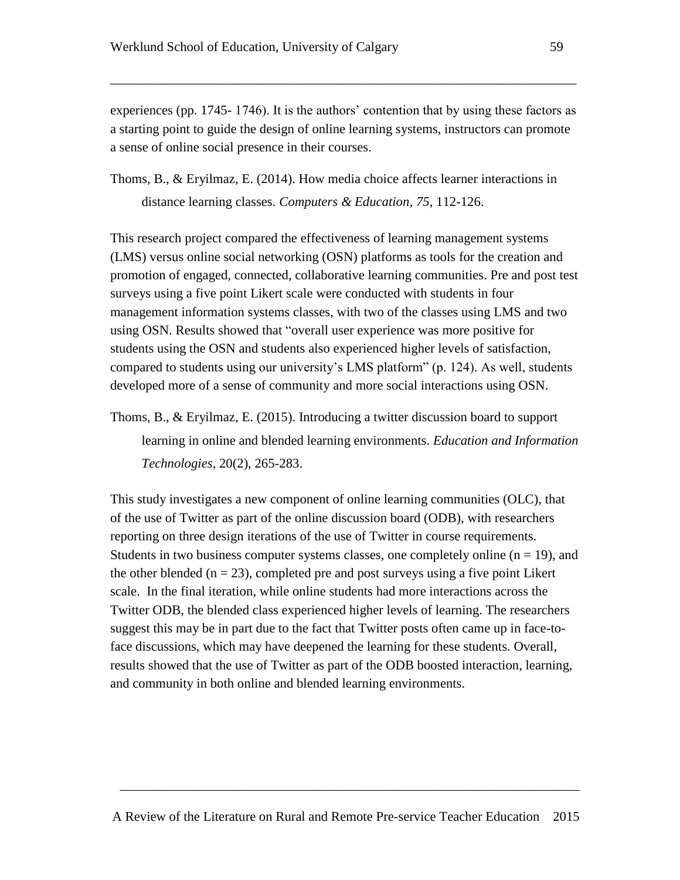experiences (pp. 1745- 1746). It is the authors' contention that by using these factors as a starting point to guide the design of online learning systems, instructors can promote a sense of online social presence in their courses.

\_\_\_\_\_\_\_\_\_\_\_\_\_\_\_\_\_\_\_\_\_\_\_\_\_\_\_\_\_\_\_\_\_\_\_\_\_\_\_\_\_\_\_\_\_\_\_\_\_\_\_\_\_\_\_\_\_\_\_\_\_\_\_\_\_\_\_\_\_\_

Thoms, B., & Eryilmaz, E. (2014). How media choice affects learner interactions in distance learning classes. *Computers & Education*, *75*, 112-126.

This research project compared the effectiveness of learning management systems (LMS) versus online social networking (OSN) platforms as tools for the creation and promotion of engaged, connected, collaborative learning communities. Pre and post test surveys using a five point Likert scale were conducted with students in four management information systems classes, with two of the classes using LMS and two using OSN. Results showed that "overall user experience was more positive for students using the OSN and students also experienced higher levels of satisfaction, compared to students using our university's LMS platform" (p. 124). As well, students developed more of a sense of community and more social interactions using OSN.

Thoms, B., & Eryilmaz, E. (2015). Introducing a twitter discussion board to support learning in online and blended learning environments. *Education and Information Technologies*, 20(2), 265-283.

This study investigates a new component of online learning communities (OLC), that of the use of Twitter as part of the online discussion board (ODB), with researchers reporting on three design iterations of the use of Twitter in course requirements. Students in two business computer systems classes, one completely online  $(n = 19)$ , and the other blended ( $n = 23$ ), completed pre and post surveys using a five point Likert scale. In the final iteration, while online students had more interactions across the Twitter ODB, the blended class experienced higher levels of learning. The researchers suggest this may be in part due to the fact that Twitter posts often came up in face-toface discussions, which may have deepened the learning for these students. Overall, results showed that the use of Twitter as part of the ODB boosted interaction, learning, and community in both online and blended learning environments.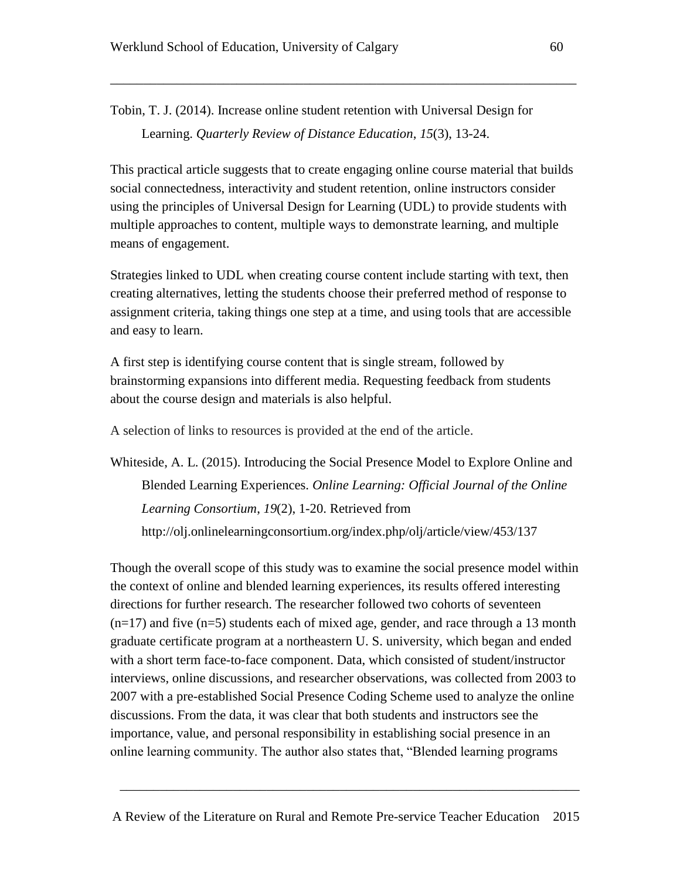Tobin, T. J. (2014). Increase online student retention with Universal Design for Learning. *Quarterly Review of Distance Education*, *15*(3), 13-24.

This practical article suggests that to create engaging online course material that builds social connectedness, interactivity and student retention, online instructors consider using the principles of Universal Design for Learning (UDL) to provide students with multiple approaches to content, multiple ways to demonstrate learning, and multiple means of engagement.

\_\_\_\_\_\_\_\_\_\_\_\_\_\_\_\_\_\_\_\_\_\_\_\_\_\_\_\_\_\_\_\_\_\_\_\_\_\_\_\_\_\_\_\_\_\_\_\_\_\_\_\_\_\_\_\_\_\_\_\_\_\_\_\_\_\_\_\_\_\_

Strategies linked to UDL when creating course content include starting with text, then creating alternatives, letting the students choose their preferred method of response to assignment criteria, taking things one step at a time, and using tools that are accessible and easy to learn.

A first step is identifying course content that is single stream, followed by brainstorming expansions into different media. Requesting feedback from students about the course design and materials is also helpful.

A selection of links to resources is provided at the end of the article.

Whiteside, A. L. (2015). Introducing the Social Presence Model to Explore Online and Blended Learning Experiences. *Online Learning: Official Journal of the Online Learning Consortium*, *19*(2), 1-20. Retrieved from http://olj.onlinelearningconsortium.org/index.php/olj/article/view/453/137

Though the overall scope of this study was to examine the social presence model within the context of online and blended learning experiences, its results offered interesting directions for further research. The researcher followed two cohorts of seventeen  $(n=17)$  and five  $(n=5)$  students each of mixed age, gender, and race through a 13 month graduate certificate program at a northeastern U. S. university, which began and ended with a short term face-to-face component. Data, which consisted of student/instructor interviews, online discussions, and researcher observations, was collected from 2003 to 2007 with a pre-established Social Presence Coding Scheme used to analyze the online discussions. From the data, it was clear that both students and instructors see the importance, value, and personal responsibility in establishing social presence in an online learning community. The author also states that, "Blended learning programs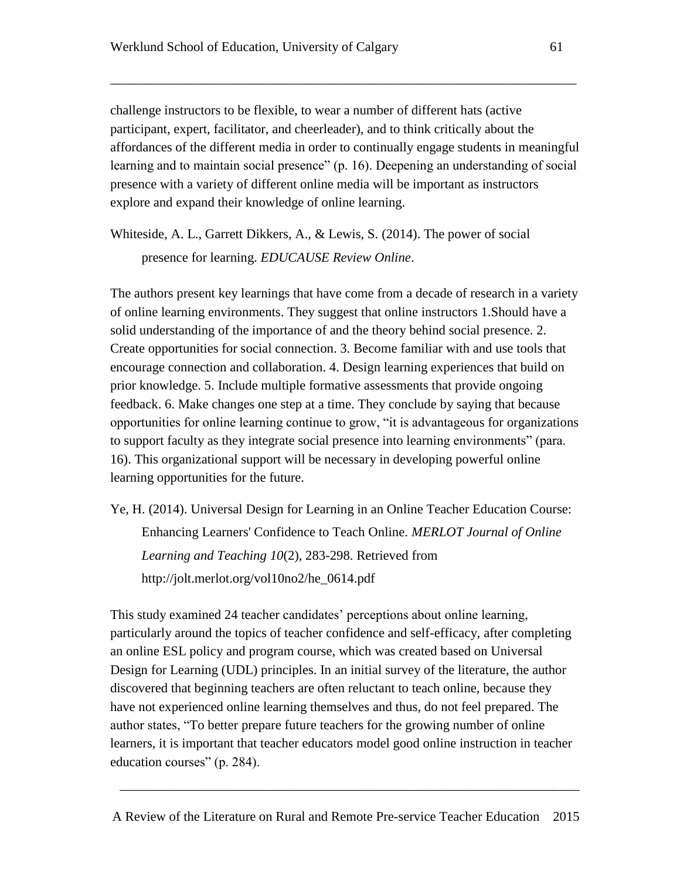challenge instructors to be flexible, to wear a number of different hats (active participant, expert, facilitator, and cheerleader), and to think critically about the affordances of the different media in order to continually engage students in meaningful learning and to maintain social presence" (p. 16). Deepening an understanding of social presence with a variety of different online media will be important as instructors explore and expand their knowledge of online learning.

\_\_\_\_\_\_\_\_\_\_\_\_\_\_\_\_\_\_\_\_\_\_\_\_\_\_\_\_\_\_\_\_\_\_\_\_\_\_\_\_\_\_\_\_\_\_\_\_\_\_\_\_\_\_\_\_\_\_\_\_\_\_\_\_\_\_\_\_\_\_

Whiteside, A. L., Garrett Dikkers, A., & Lewis, S. (2014). The power of social presence for learning. *EDUCAUSE Review Online*.

The authors present key learnings that have come from a decade of research in a variety of online learning environments. They suggest that online instructors 1.Should have a solid understanding of the importance of and the theory behind social presence. 2. Create opportunities for social connection. 3. Become familiar with and use tools that encourage connection and collaboration. 4. Design learning experiences that build on prior knowledge. 5. Include multiple formative assessments that provide ongoing feedback. 6. Make changes one step at a time. They conclude by saying that because opportunities for online learning continue to grow, "it is advantageous for organizations to support faculty as they integrate social presence into learning environments" (para. 16). This organizational support will be necessary in developing powerful online learning opportunities for the future.

Ye, H. (2014). Universal Design for Learning in an Online Teacher Education Course: Enhancing Learners' Confidence to Teach Online. *MERLOT Journal of Online Learning and Teaching 10*(2), 283-298. Retrieved from http://jolt.merlot.org/vol10no2/he\_0614.pdf

This study examined 24 teacher candidates' perceptions about online learning, particularly around the topics of teacher confidence and self-efficacy, after completing an online ESL policy and program course, which was created based on Universal Design for Learning (UDL) principles. In an initial survey of the literature, the author discovered that beginning teachers are often reluctant to teach online, because they have not experienced online learning themselves and thus, do not feel prepared. The author states, "To better prepare future teachers for the growing number of online learners, it is important that teacher educators model good online instruction in teacher education courses" (p. 284).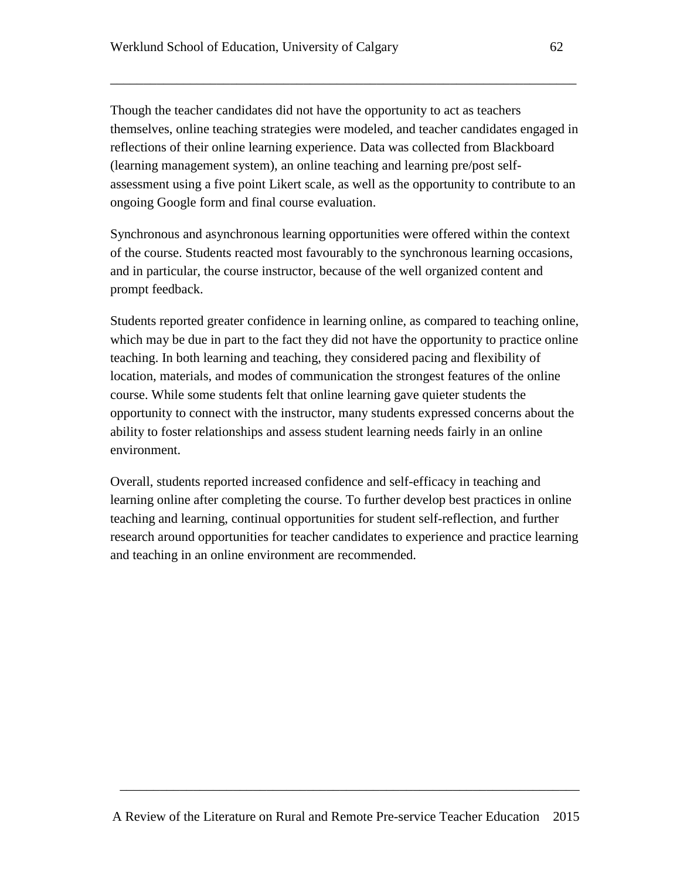Though the teacher candidates did not have the opportunity to act as teachers themselves, online teaching strategies were modeled, and teacher candidates engaged in reflections of their online learning experience. Data was collected from Blackboard (learning management system), an online teaching and learning pre/post selfassessment using a five point Likert scale, as well as the opportunity to contribute to an ongoing Google form and final course evaluation.

\_\_\_\_\_\_\_\_\_\_\_\_\_\_\_\_\_\_\_\_\_\_\_\_\_\_\_\_\_\_\_\_\_\_\_\_\_\_\_\_\_\_\_\_\_\_\_\_\_\_\_\_\_\_\_\_\_\_\_\_\_\_\_\_\_\_\_\_\_\_

Synchronous and asynchronous learning opportunities were offered within the context of the course. Students reacted most favourably to the synchronous learning occasions, and in particular, the course instructor, because of the well organized content and prompt feedback.

Students reported greater confidence in learning online, as compared to teaching online, which may be due in part to the fact they did not have the opportunity to practice online teaching. In both learning and teaching, they considered pacing and flexibility of location, materials, and modes of communication the strongest features of the online course. While some students felt that online learning gave quieter students the opportunity to connect with the instructor, many students expressed concerns about the ability to foster relationships and assess student learning needs fairly in an online environment.

Overall, students reported increased confidence and self-efficacy in teaching and learning online after completing the course. To further develop best practices in online teaching and learning, continual opportunities for student self-reflection, and further research around opportunities for teacher candidates to experience and practice learning and teaching in an online environment are recommended.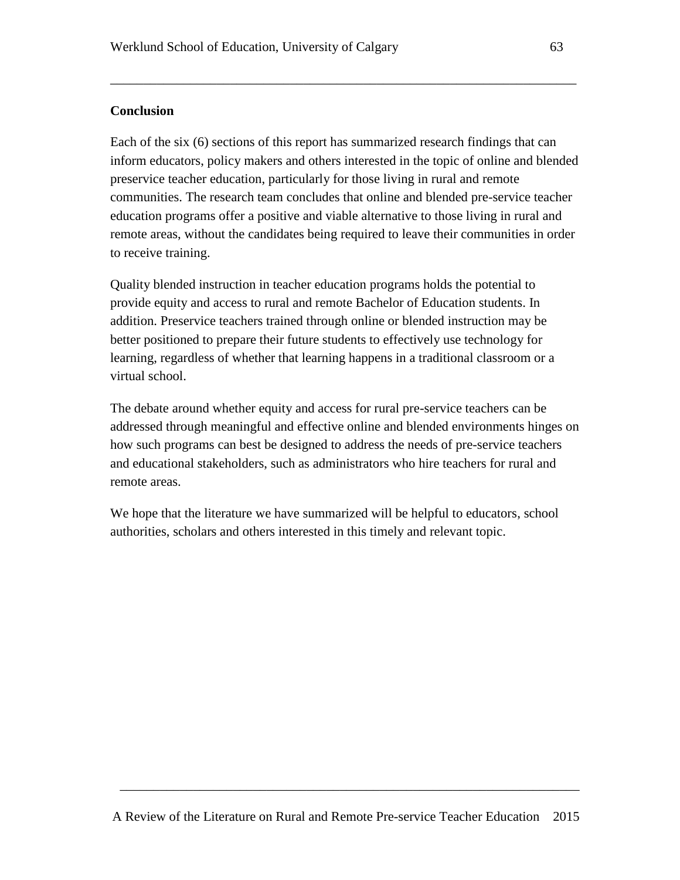#### **Conclusion**

Each of the six (6) sections of this report has summarized research findings that can inform educators, policy makers and others interested in the topic of online and blended preservice teacher education, particularly for those living in rural and remote communities. The research team concludes that online and blended pre-service teacher education programs offer a positive and viable alternative to those living in rural and remote areas, without the candidates being required to leave their communities in order to receive training.

\_\_\_\_\_\_\_\_\_\_\_\_\_\_\_\_\_\_\_\_\_\_\_\_\_\_\_\_\_\_\_\_\_\_\_\_\_\_\_\_\_\_\_\_\_\_\_\_\_\_\_\_\_\_\_\_\_\_\_\_\_\_\_\_\_\_\_\_\_\_

Quality blended instruction in teacher education programs holds the potential to provide equity and access to rural and remote Bachelor of Education students. In addition. Preservice teachers trained through online or blended instruction may be better positioned to prepare their future students to effectively use technology for learning, regardless of whether that learning happens in a traditional classroom or a virtual school.

The debate around whether equity and access for rural pre-service teachers can be addressed through meaningful and effective online and blended environments hinges on how such programs can best be designed to address the needs of pre-service teachers and educational stakeholders, such as administrators who hire teachers for rural and remote areas.

We hope that the literature we have summarized will be helpful to educators, school authorities, scholars and others interested in this timely and relevant topic.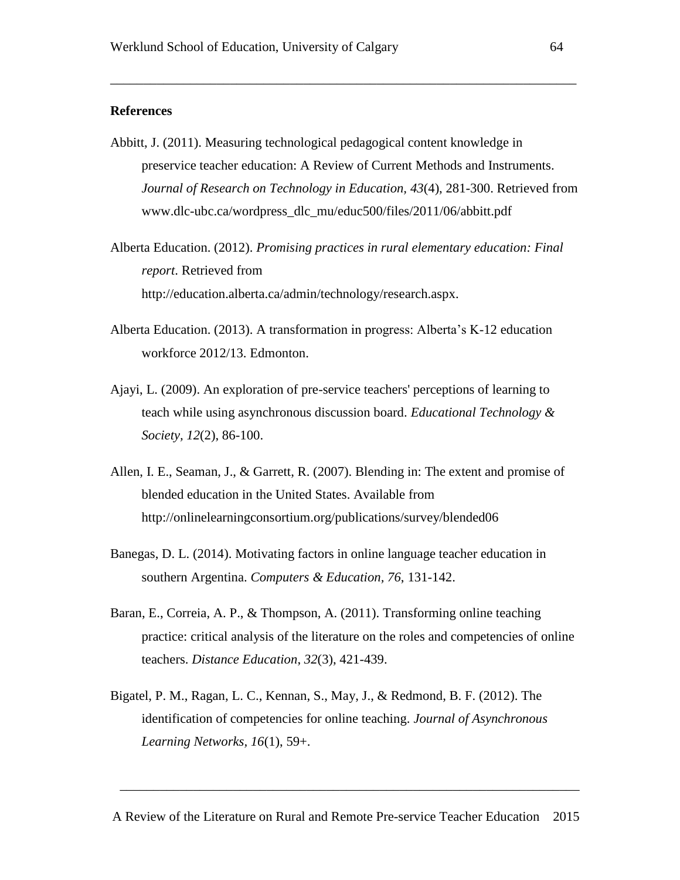#### **References**

Abbitt, J. (2011). Measuring technological pedagogical content knowledge in preservice teacher education: A Review of Current Methods and Instruments. *Journal of Research on Technology in Education, 43*(4), 281-300. Retrieved from [www.dlc-ubc.ca/wordpress\\_dlc\\_mu/educ500/files/2011/06/abbitt.pdf](http://www.dlc-ubc.ca/wordpress_dlc_mu/educ500/files/2011/06/abbitt.pdf)

\_\_\_\_\_\_\_\_\_\_\_\_\_\_\_\_\_\_\_\_\_\_\_\_\_\_\_\_\_\_\_\_\_\_\_\_\_\_\_\_\_\_\_\_\_\_\_\_\_\_\_\_\_\_\_\_\_\_\_\_\_\_\_\_\_\_\_\_\_\_

- Alberta Education. (2012). *Promising practices in rural elementary education: Final report*. Retrieved from <http://education.alberta.ca/admin/technology/research.aspx.>
- Alberta Education. (2013). A transformation in progress: Alberta's K-12 education workforce 2012/13. Edmonton.
- Ajayi, L. (2009). An exploration of pre-service teachers' perceptions of learning to teach while using asynchronous discussion board. *Educational Technology & Society, 12*(2), 86-100.
- Allen, I. E., Seaman, J., & Garrett, R. (2007). Blending in: The extent and promise of blended education in the United States. Available from <http://onlinelearningconsortium.org/publications/survey/blended06>
- Banegas, D. L. (2014). Motivating factors in online language teacher education in southern Argentina. *Computers & Education, 76*, 131-142.
- Baran, E., Correia, A. P., & Thompson, A. (2011). Transforming online teaching practice: critical analysis of the literature on the roles and competencies of online teachers. *Distance Education*, *32*(3), 421-439.
- Bigatel, P. M., Ragan, L. C., Kennan, S., May, J., & Redmond, B. F. (2012). The identification of competencies for online teaching. *Journal of Asynchronous Learning Networks, 16*(1), 59+.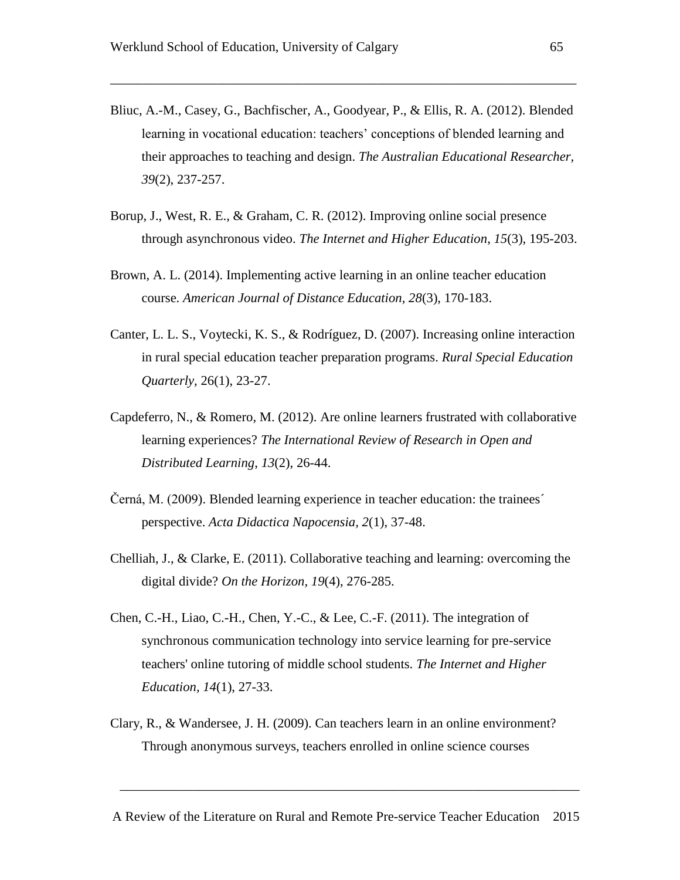Bliuc, A.-M., Casey, G., Bachfischer, A., Goodyear, P., & Ellis, R. A. (2012). Blended learning in vocational education: teachers' conceptions of blended learning and their approaches to teaching and design. *The Australian Educational Researcher, 39*(2), 237-257.

\_\_\_\_\_\_\_\_\_\_\_\_\_\_\_\_\_\_\_\_\_\_\_\_\_\_\_\_\_\_\_\_\_\_\_\_\_\_\_\_\_\_\_\_\_\_\_\_\_\_\_\_\_\_\_\_\_\_\_\_\_\_\_\_\_\_\_\_\_\_

- Borup, J., West, R. E., & Graham, C. R. (2012). Improving online social presence through asynchronous video. *The Internet and Higher Education*, *15*(3), 195-203.
- Brown, A. L. (2014). Implementing active learning in an online teacher education course. *American Journal of Distance Education, 28*(3), 170-183.
- Canter, L. L. S., Voytecki, K. S., & Rodríguez, D. (2007). Increasing online interaction in rural special education teacher preparation programs. *Rural Special Education Quarterly*, 26(1), 23-27.
- Capdeferro, N., & Romero, M. (2012). Are online learners frustrated with collaborative learning experiences? *The International Review of Research in Open and Distributed Learning*, *13*(2), 26-44.
- Černá, M. (2009). Blended learning experience in teacher education: the trainees´ perspective. *Acta Didactica Napocensia, 2*(1), 37-48.
- Chelliah, J., & Clarke, E. (2011). Collaborative teaching and learning: overcoming the digital divide? *On the Horizon, 19*(4), 276-285.
- Chen, C.-H., Liao, C.-H., Chen, Y.-C., & Lee, C.-F. (2011). The integration of synchronous communication technology into service learning for pre-service teachers' online tutoring of middle school students. *The Internet and Higher Education, 14*(1), 27-33.
- Clary, R., & Wandersee, J. H. (2009). Can teachers learn in an online environment? Through anonymous surveys, teachers enrolled in online science courses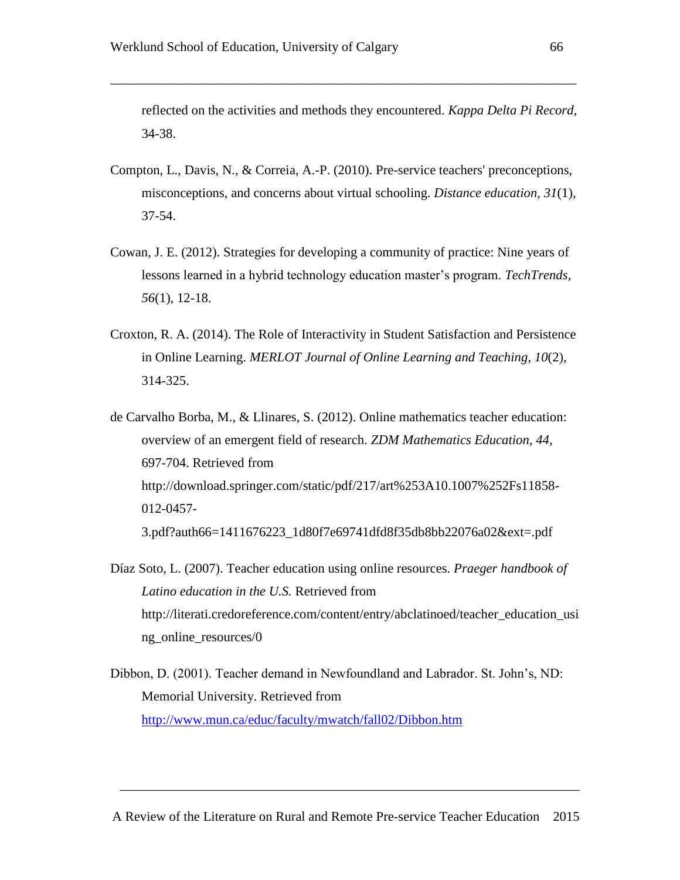reflected on the activities and methods they encountered. *Kappa Delta Pi Record*, 34-38.

\_\_\_\_\_\_\_\_\_\_\_\_\_\_\_\_\_\_\_\_\_\_\_\_\_\_\_\_\_\_\_\_\_\_\_\_\_\_\_\_\_\_\_\_\_\_\_\_\_\_\_\_\_\_\_\_\_\_\_\_\_\_\_\_\_\_\_\_\_\_

- Compton, L., Davis, N., & Correia, A.-P. (2010). Pre-service teachers' preconceptions, misconceptions, and concerns about virtual schooling. *Distance education, 31*(1), 37-54.
- Cowan, J. E. (2012). Strategies for developing a community of practice: Nine years of lessons learned in a hybrid technology education master's program. *TechTrends*, *56*(1), 12-18.
- Croxton, R. A. (2014). The Role of Interactivity in Student Satisfaction and Persistence in Online Learning. *MERLOT Journal of Online Learning and Teaching*, *10*(2), 314-325.
- de Carvalho Borba, M., & Llinares, S. (2012). Online mathematics teacher education: overview of an emergent field of research. *ZDM Mathematics Education, 44*, 697-704. Retrieved from [http://download.springer.com/static/pdf/217/art%253A10.1007%252Fs11858-](http://download.springer.com/static/pdf/217/art%3A10.1007%2Fs11858-012-0457-3.pdf?auth66=1411676223_1d80f7e69741dfd8f35db8bb22076a02&ext=.pdf) [012-0457-](http://download.springer.com/static/pdf/217/art%3A10.1007%2Fs11858-012-0457-3.pdf?auth66=1411676223_1d80f7e69741dfd8f35db8bb22076a02&ext=.pdf) [3.pdf?auth66=1411676223\\_1d80f7e69741dfd8f35db8bb22076a02&ext=.pdf](http://download.springer.com/static/pdf/217/art%3A10.1007%2Fs11858-012-0457-3.pdf?auth66=1411676223_1d80f7e69741dfd8f35db8bb22076a02&ext=.pdf)
- Díaz Soto, L. (2007). Teacher education using online resources. *Praeger handbook of Latino education in the U.S.* Retrieved from [http://literati.credoreference.com/content/entry/abclatinoed/teacher\\_education\\_usi](http://literati.credoreference.com/content/entry/abclatinoed/teacher_education_using_online_resources/0) ng online resources/0
- Dibbon, D. (2001). Teacher demand in Newfoundland and Labrador. St. John's, ND: Memorial University. Retrieved from <http://www.mun.ca/educ/faculty/mwatch/fall02/Dibbon.htm>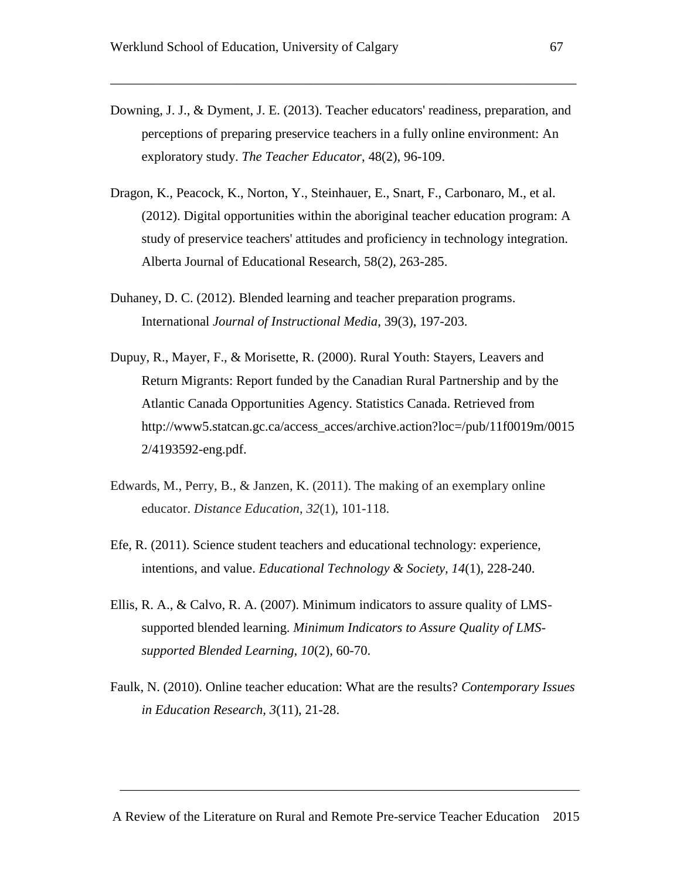Downing, J. J., & Dyment, J. E. (2013). Teacher educators' readiness, preparation, and perceptions of preparing preservice teachers in a fully online environment: An exploratory study. *The Teacher Educator*, 48(2), 96-109.

\_\_\_\_\_\_\_\_\_\_\_\_\_\_\_\_\_\_\_\_\_\_\_\_\_\_\_\_\_\_\_\_\_\_\_\_\_\_\_\_\_\_\_\_\_\_\_\_\_\_\_\_\_\_\_\_\_\_\_\_\_\_\_\_\_\_\_\_\_\_

- Dragon, K., Peacock, K., Norton, Y., Steinhauer, E., Snart, F., Carbonaro, M., et al. (2012). Digital opportunities within the aboriginal teacher education program: A study of preservice teachers' attitudes and proficiency in technology integration. Alberta Journal of Educational Research, 58(2), 263-285.
- Duhaney, D. C. (2012). Blended learning and teacher preparation programs. International *Journal of Instructional Media*, 39(3), 197-203.
- Dupuy, R., Mayer, F., & Morisette, R. (2000). Rural Youth: Stayers, Leavers and Return Migrants: Report funded by the Canadian Rural Partnership and by the Atlantic Canada Opportunities Agency. Statistics Canada. Retrieved from [http://www5.statcan.gc.ca/access\\_acces/archive.action?loc=/pub/11f0019m/0015](http://www5.statcan.gc.ca/access_acces/archive.action?loc=/pub/11f0019m/00152/4193592-eng.pdf.) [2/4193592-eng.pdf.](http://www5.statcan.gc.ca/access_acces/archive.action?loc=/pub/11f0019m/00152/4193592-eng.pdf.)
- Edwards, M., Perry, B., & Janzen, K. (2011). The making of an exemplary online educator. *Distance Education*, *32*(1), 101-118.
- Efe, R. (2011). Science student teachers and educational technology: experience, intentions, and value. *Educational Technology & Society, 14*(1), 228-240.
- Ellis, R. A., & Calvo, R. A. (2007). Minimum indicators to assure quality of LMSsupported blended learning. *Minimum Indicators to Assure Quality of LMSsupported Blended Learning, 10*(2), 60-70.
- Faulk, N. (2010). Online teacher education: What are the results? *Contemporary Issues in Education Research, 3*(11), 21-28.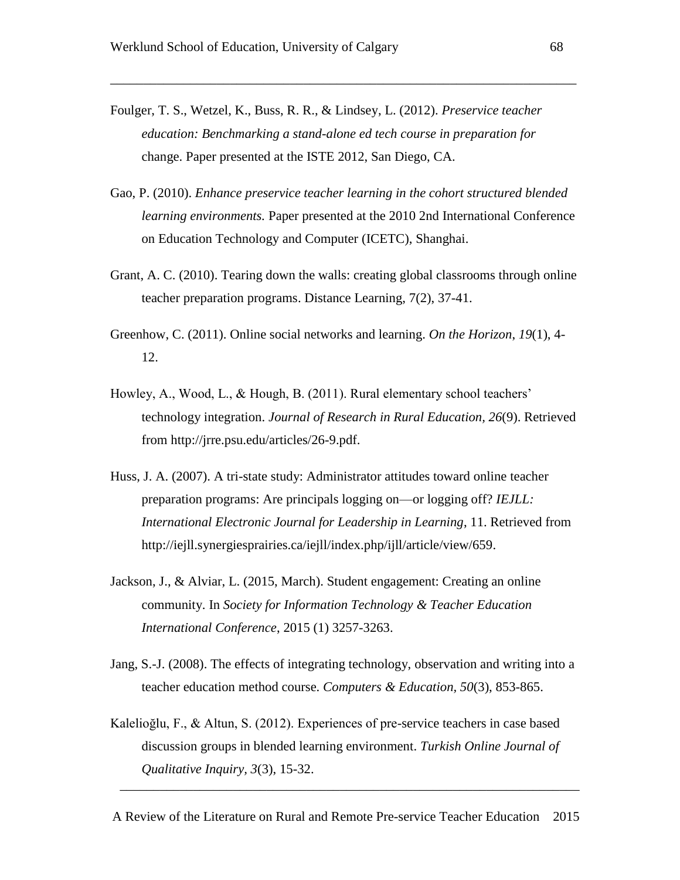- Foulger, T. S., Wetzel, K., Buss, R. R., & Lindsey, L. (2012). *Preservice teacher education: Benchmarking a stand-alone ed tech course in preparation for*  change. Paper presented at the ISTE 2012, San Diego, CA.
- Gao, P. (2010). *Enhance preservice teacher learning in the cohort structured blended learning environments.* Paper presented at the 2010 2nd International Conference on Education Technology and Computer (ICETC), Shanghai.

\_\_\_\_\_\_\_\_\_\_\_\_\_\_\_\_\_\_\_\_\_\_\_\_\_\_\_\_\_\_\_\_\_\_\_\_\_\_\_\_\_\_\_\_\_\_\_\_\_\_\_\_\_\_\_\_\_\_\_\_\_\_\_\_\_\_\_\_\_\_

- Grant, A. C. (2010). Tearing down the walls: creating global classrooms through online teacher preparation programs. Distance Learning, 7(2), 37-41.
- Greenhow, C. (2011). Online social networks and learning. *On the Horizon*, *19*(1), 4- 12.
- Howley, A., Wood, L., & Hough, B. (2011). Rural elementary school teachers' technology integration. *Journal of Research in Rural Education, 26*(9). Retrieved from [http://jrre.psu.edu/articles/26-9.pdf.](http://jrre.psu.edu/articles/26-9.pdf)
- Huss, J. A. (2007). A tri-state study: Administrator attitudes toward online teacher preparation programs: Are principals logging on—or logging off? *IEJLL: International Electronic Journal for Leadership in Learning*, 11. Retrieved from [http://iejll.synergiesprairies.ca/iejll/index.php/ijll/article/view/659.](http://iejll.synergiesprairies.ca/iejll/index.php/ijll/article/view/659)
- Jackson, J., & Alviar, L. (2015, March). Student engagement: Creating an online community. In *Society for Information Technology & Teacher Education International Conference*, 2015 (1) 3257-3263.
- Jang, S.-J. (2008). The effects of integrating technology, observation and writing into a teacher education method course. *Computers & Education, 50*(3), 853-865.
- Kalelioğlu, F., & Altun, S. (2012). Experiences of pre-service teachers in case based discussion groups in blended learning environment. *Turkish Online Journal of Qualitative Inquiry, 3*(3), 15-32.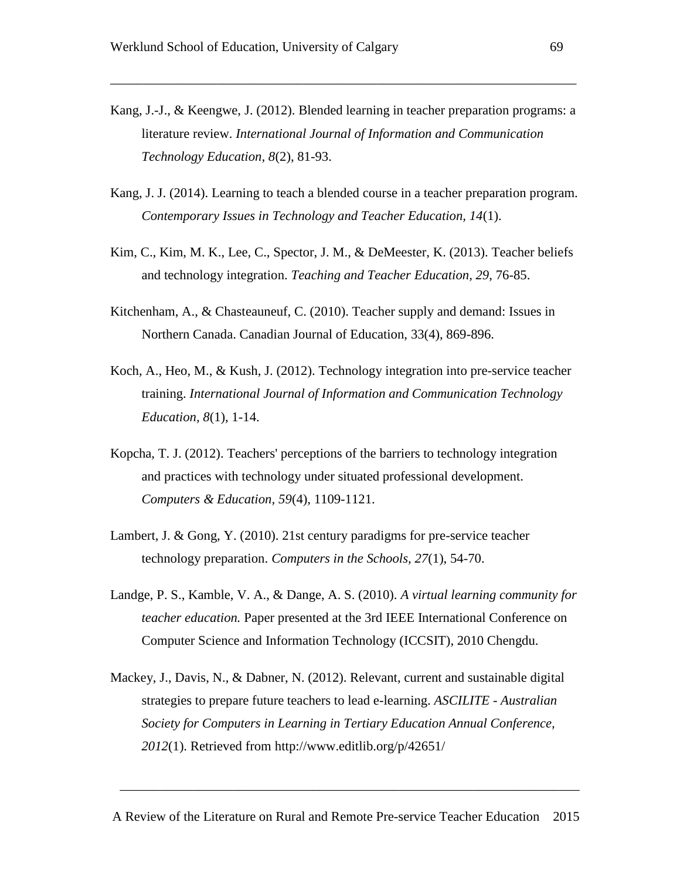Kang, J.-J., & Keengwe, J. (2012). Blended learning in teacher preparation programs: a literature review. *International Journal of Information and Communication Technology Education, 8*(2), 81-93.

\_\_\_\_\_\_\_\_\_\_\_\_\_\_\_\_\_\_\_\_\_\_\_\_\_\_\_\_\_\_\_\_\_\_\_\_\_\_\_\_\_\_\_\_\_\_\_\_\_\_\_\_\_\_\_\_\_\_\_\_\_\_\_\_\_\_\_\_\_\_

- Kang, J. J. (2014). Learning to teach a blended course in a teacher preparation program. *Contemporary Issues in Technology and Teacher Education, 14*(1).
- Kim, C., Kim, M. K., Lee, C., Spector, J. M., & DeMeester, K. (2013). Teacher beliefs and technology integration. *Teaching and Teacher Education, 29*, 76-85.
- Kitchenham, A., & Chasteauneuf, C. (2010). Teacher supply and demand: Issues in Northern Canada. Canadian Journal of Education, 33(4), 869-896.
- Koch, A., Heo, M., & Kush, J. (2012). Technology integration into pre-service teacher training. *International Journal of Information and Communication Technology Education, 8*(1), 1-14.
- Kopcha, T. J. (2012). Teachers' perceptions of the barriers to technology integration and practices with technology under situated professional development. *Computers & Education, 59*(4), 1109-1121.
- Lambert, J. & Gong, Y. (2010). 21st century paradigms for pre-service teacher technology preparation. *Computers in the Schools, 27*(1), 54-70.
- Landge, P. S., Kamble, V. A., & Dange, A. S. (2010). *A virtual learning community for teacher education.* Paper presented at the 3rd IEEE International Conference on Computer Science and Information Technology (ICCSIT), 2010 Chengdu.
- Mackey, J., Davis, N., & Dabner, N. (2012). Relevant, current and sustainable digital strategies to prepare future teachers to lead e-learning. *ASCILITE - Australian Society for Computers in Learning in Tertiary Education Annual Conference, 2012*(1). Retrieved from<http://www.editlib.org/p/42651/>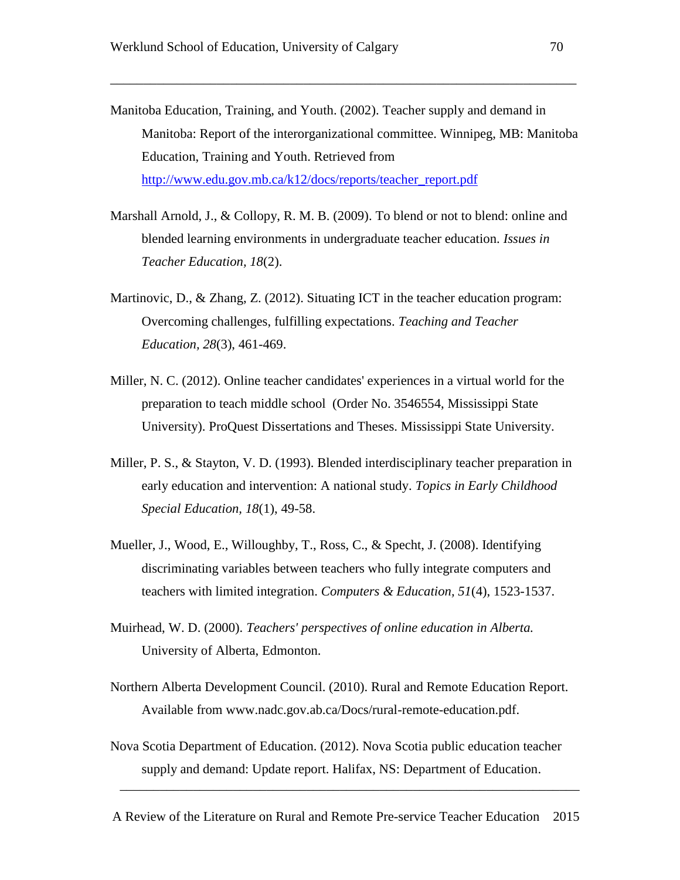Manitoba Education, Training, and Youth. (2002). Teacher supply and demand in Manitoba: Report of the interorganizational committee. Winnipeg, MB: Manitoba Education, Training and Youth. Retrieved from [http://www.edu.gov.mb.ca/k12/docs/reports/teacher\\_report.pdf](http://www.edu.gov.mb.ca/k12/docs/reports/teacher_report.pdf)

\_\_\_\_\_\_\_\_\_\_\_\_\_\_\_\_\_\_\_\_\_\_\_\_\_\_\_\_\_\_\_\_\_\_\_\_\_\_\_\_\_\_\_\_\_\_\_\_\_\_\_\_\_\_\_\_\_\_\_\_\_\_\_\_\_\_\_\_\_\_

- Marshall Arnold, J., & Collopy, R. M. B. (2009). To blend or not to blend: online and blended learning environments in undergraduate teacher education. *Issues in Teacher Education, 18*(2).
- Martinovic, D., & Zhang, Z. (2012). Situating ICT in the teacher education program: Overcoming challenges, fulfilling expectations. *Teaching and Teacher Education, 28*(3), 461-469.
- Miller, N. C. (2012). Online teacher candidates' experiences in a virtual world for the preparation to teach middle school (Order No. 3546554, Mississippi State University). ProQuest Dissertations and Theses. Mississippi State University.
- Miller, P. S., & Stayton, V. D. (1993). Blended interdisciplinary teacher preparation in early education and intervention: A national study. *Topics in Early Childhood Special Education, 18*(1), 49-58.
- Mueller, J., Wood, E., Willoughby, T., Ross, C., & Specht, J. (2008). Identifying discriminating variables between teachers who fully integrate computers and teachers with limited integration. *Computers & Education, 51*(4), 1523-1537.
- Muirhead, W. D. (2000). *Teachers' perspectives of online education in Alberta.* University of Alberta, Edmonton.
- Northern Alberta Development Council. (2010). Rural and Remote Education Report. Available from [www.nadc.gov.ab.ca/Docs/rural-remote-education.pdf.](http://www.nadc.gov.ab.ca/Docs/rural-remote-education.pdf)
- Nova Scotia Department of Education. (2012). Nova Scotia public education teacher supply and demand: Update report. Halifax, NS: Department of Education.

A Review of the Literature on Rural and Remote Pre-service Teacher Education 2015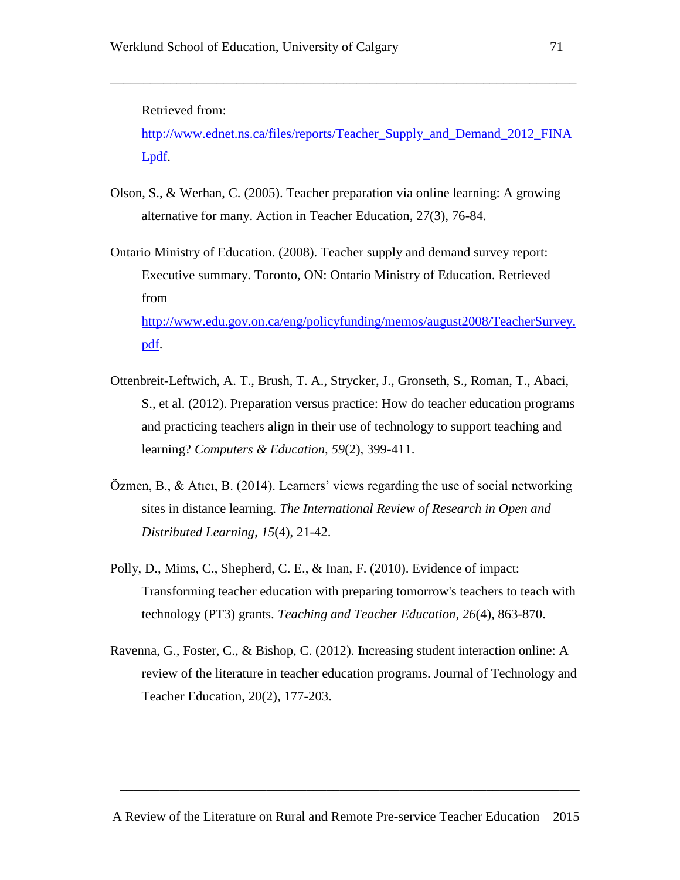Retrieved from:

[http://www.ednet.ns.ca/files/reports/Teacher\\_Supply\\_and\\_Demand\\_2012\\_FINA](http://www.ednet.ns.ca/files/reports/Teacher_Supply_and_Demand_2012_FINALpdf) [Lpdf.](http://www.ednet.ns.ca/files/reports/Teacher_Supply_and_Demand_2012_FINALpdf)

\_\_\_\_\_\_\_\_\_\_\_\_\_\_\_\_\_\_\_\_\_\_\_\_\_\_\_\_\_\_\_\_\_\_\_\_\_\_\_\_\_\_\_\_\_\_\_\_\_\_\_\_\_\_\_\_\_\_\_\_\_\_\_\_\_\_\_\_\_\_

- Olson, S., & Werhan, C. (2005). Teacher preparation via online learning: A growing alternative for many. Action in Teacher Education, 27(3), 76-84.
- Ontario Ministry of Education. (2008). Teacher supply and demand survey report: Executive summary. Toronto, ON: Ontario Ministry of Education. Retrieved from [http://www.edu.gov.on.ca/eng/policyfunding/memos/august2008/TeacherSurvey.](http://www.edu.gov.on.ca/eng/policyfunding/memos/august2008/TeacherSurvey.pdf) [pdf.](http://www.edu.gov.on.ca/eng/policyfunding/memos/august2008/TeacherSurvey.pdf)
- Ottenbreit-Leftwich, A. T., Brush, T. A., Strycker, J., Gronseth, S., Roman, T., Abaci, S., et al. (2012). Preparation versus practice: How do teacher education programs and practicing teachers align in their use of technology to support teaching and learning? *Computers & Education, 59*(2), 399-411.
- Özmen, B., & Atıcı, B. (2014). Learners' views regarding the use of social networking sites in distance learning. *The International Review of Research in Open and Distributed Learning*, *15*(4), 21-42.
- Polly, D., Mims, C., Shepherd, C. E., & Inan, F. (2010). Evidence of impact: Transforming teacher education with preparing tomorrow's teachers to teach with technology (PT3) grants. *Teaching and Teacher Education, 26*(4), 863-870.
- Ravenna, G., Foster, C., & Bishop, C. (2012). Increasing student interaction online: A review of the literature in teacher education programs. Journal of Technology and Teacher Education, 20(2), 177-203.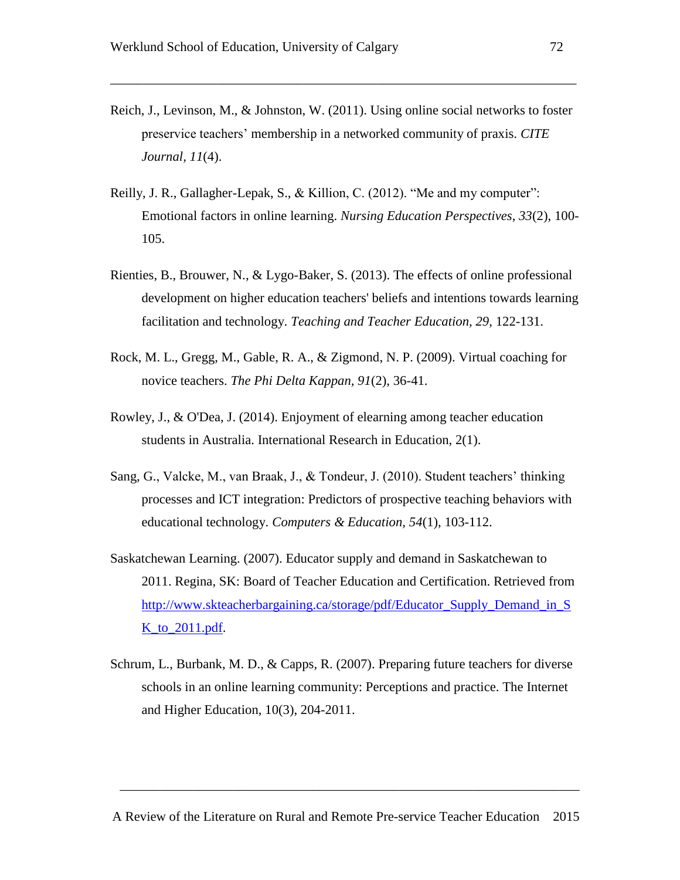Reich, J., Levinson, M., & Johnston, W. (2011). Using online social networks to foster preservice teachers' membership in a networked community of praxis. *CITE Journal, 11*(4).

\_\_\_\_\_\_\_\_\_\_\_\_\_\_\_\_\_\_\_\_\_\_\_\_\_\_\_\_\_\_\_\_\_\_\_\_\_\_\_\_\_\_\_\_\_\_\_\_\_\_\_\_\_\_\_\_\_\_\_\_\_\_\_\_\_\_\_\_\_\_

- Reilly, J. R., Gallagher-Lepak, S., & Killion, C. (2012). "Me and my computer": Emotional factors in online learning. *Nursing Education Perspectives*, *33*(2), 100- 105.
- Rienties, B., Brouwer, N., & Lygo-Baker, S. (2013). The effects of online professional development on higher education teachers' beliefs and intentions towards learning facilitation and technology. *Teaching and Teacher Education, 29*, 122-131.
- Rock, M. L., Gregg, M., Gable, R. A., & Zigmond, N. P. (2009). Virtual coaching for novice teachers. *The Phi Delta Kappan, 91*(2), 36-41.
- Rowley, J., & O'Dea, J. (2014). Enjoyment of elearning among teacher education students in Australia. International Research in Education, 2(1).
- Sang, G., Valcke, M., van Braak, J., & Tondeur, J. (2010). Student teachers' thinking processes and ICT integration: Predictors of prospective teaching behaviors with educational technology. *Computers & Education, 54*(1), 103-112.
- Saskatchewan Learning. (2007). Educator supply and demand in Saskatchewan to 2011. Regina, SK: Board of Teacher Education and Certification. Retrieved from [http://www.skteacherbargaining.ca/storage/pdf/Educator\\_Supply\\_Demand\\_in\\_S](http://www.skteacherbargaining.ca/storage/pdf/Educator_Supply_Demand_in_SK_to_2011.pdf) [K\\_to\\_2011.pdf.](http://www.skteacherbargaining.ca/storage/pdf/Educator_Supply_Demand_in_SK_to_2011.pdf)
- Schrum, L., Burbank, M. D., & Capps, R. (2007). Preparing future teachers for diverse schools in an online learning community: Perceptions and practice. The Internet and Higher Education, 10(3), 204-2011.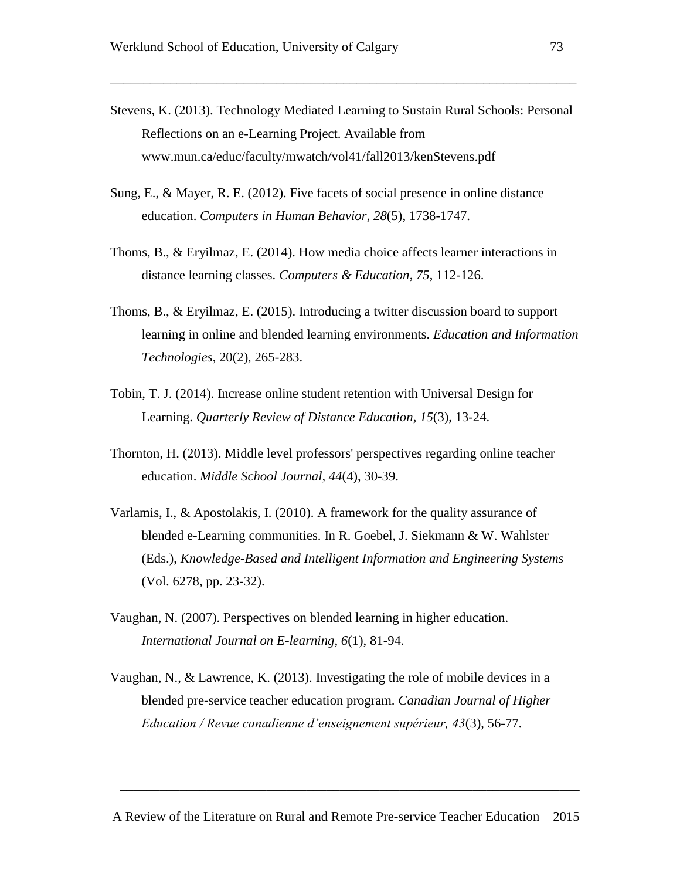Stevens, K. (2013). Technology Mediated Learning to Sustain Rural Schools: Personal Reflections on an e-Learning Project. Available from [www.mun.ca/educ/faculty/mwatch/vol41/fall2013/kenStevens.pdf](http://www.mun.ca/educ/faculty/mwatch/vol41/fall2013/kenStevens.pdf)

\_\_\_\_\_\_\_\_\_\_\_\_\_\_\_\_\_\_\_\_\_\_\_\_\_\_\_\_\_\_\_\_\_\_\_\_\_\_\_\_\_\_\_\_\_\_\_\_\_\_\_\_\_\_\_\_\_\_\_\_\_\_\_\_\_\_\_\_\_\_

- Sung, E., & Mayer, R. E. (2012). Five facets of social presence in online distance education. *Computers in Human Behavior*, *28*(5), 1738-1747.
- Thoms, B., & Eryilmaz, E. (2014). How media choice affects learner interactions in distance learning classes. *Computers & Education*, *75*, 112-126.
- Thoms, B., & Eryilmaz, E. (2015). Introducing a twitter discussion board to support learning in online and blended learning environments. *Education and Information Technologies*, 20(2), 265-283.
- Tobin, T. J. (2014). Increase online student retention with Universal Design for Learning. *Quarterly Review of Distance Education*, *15*(3), 13-24.
- Thornton, H. (2013). Middle level professors' perspectives regarding online teacher education. *Middle School Journal, 44*(4), 30-39.
- Varlamis, I., & Apostolakis, I. (2010). A framework for the quality assurance of blended e-Learning communities. In R. Goebel, J. Siekmann & W. Wahlster (Eds.), *Knowledge-Based and Intelligent Information and Engineering Systems* (Vol. 6278, pp. 23-32).
- Vaughan, N. (2007). Perspectives on blended learning in higher education. *International Journal on E-learning, 6*(1), 81-94.
- Vaughan, N., & Lawrence, K. (2013). Investigating the role of mobile devices in a blended pre-service teacher education program. *Canadian Journal of Higher Education / Revue canadienne d'enseignement supérieur, 43*(3), 56-77.

\_\_\_\_\_\_\_\_\_\_\_\_\_\_\_\_\_\_\_\_\_\_\_\_\_\_\_\_\_\_\_\_\_\_\_\_\_\_\_\_\_\_\_\_\_\_\_\_\_\_\_\_\_\_\_\_\_\_\_\_\_\_\_\_\_\_\_\_\_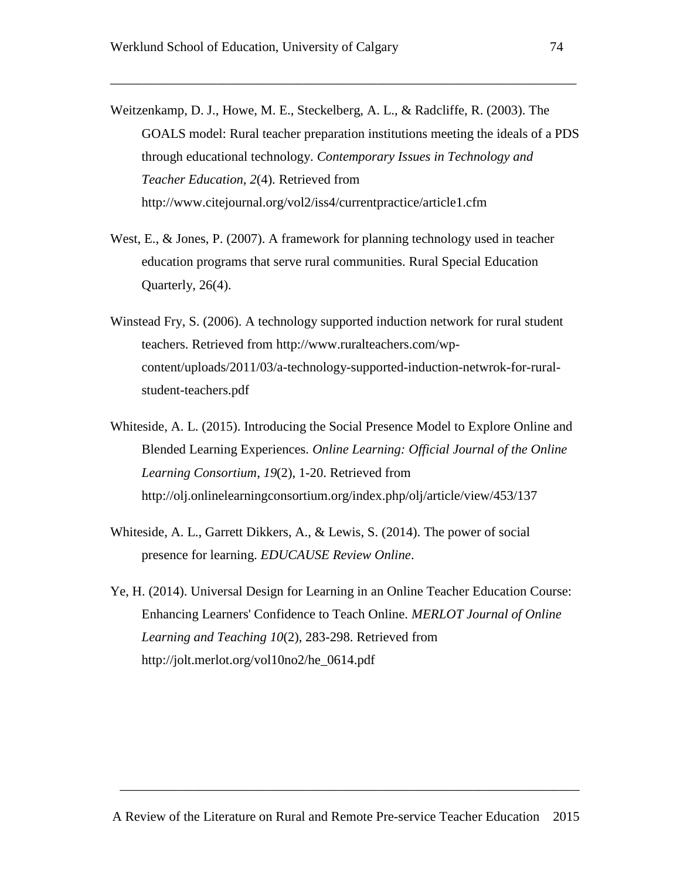Weitzenkamp, D. J., Howe, M. E., Steckelberg, A. L., & Radcliffe, R. (2003). The GOALS model: Rural teacher preparation institutions meeting the ideals of a PDS through educational technology. *Contemporary Issues in Technology and Teacher Education, 2*(4). Retrieved from <http://www.citejournal.org/vol2/iss4/currentpractice/article1.cfm>

\_\_\_\_\_\_\_\_\_\_\_\_\_\_\_\_\_\_\_\_\_\_\_\_\_\_\_\_\_\_\_\_\_\_\_\_\_\_\_\_\_\_\_\_\_\_\_\_\_\_\_\_\_\_\_\_\_\_\_\_\_\_\_\_\_\_\_\_\_\_

- West, E., & Jones, P. (2007). A framework for planning technology used in teacher education programs that serve rural communities. Rural Special Education Quarterly, 26(4).
- Winstead Fry, S. (2006). A technology supported induction network for rural student teachers. Retrieved from [http://www.ruralteachers.com/wp](http://www.ruralteachers.com/wp-content/uploads/2011/03/a-technology-supported-induction-netwrok-for-rural-student-teachers.pdf)[content/uploads/2011/03/a-technology-supported-induction-netwrok-for-rural](http://www.ruralteachers.com/wp-content/uploads/2011/03/a-technology-supported-induction-netwrok-for-rural-student-teachers.pdf)[student-teachers.pdf](http://www.ruralteachers.com/wp-content/uploads/2011/03/a-technology-supported-induction-netwrok-for-rural-student-teachers.pdf)
- Whiteside, A. L. (2015). Introducing the Social Presence Model to Explore Online and Blended Learning Experiences. *Online Learning: Official Journal of the Online Learning Consortium*, *19*(2), 1-20. Retrieved from http://olj.onlinelearningconsortium.org/index.php/olj/article/view/453/137
- Whiteside, A. L., Garrett Dikkers, A., & Lewis, S. (2014). The power of social presence for learning. *EDUCAUSE Review Online*.
- Ye, H. (2014). Universal Design for Learning in an Online Teacher Education Course: Enhancing Learners' Confidence to Teach Online. *MERLOT Journal of Online Learning and Teaching 10*(2), 283-298. Retrieved from http://jolt.merlot.org/vol10no2/he\_0614.pdf

\_\_\_\_\_\_\_\_\_\_\_\_\_\_\_\_\_\_\_\_\_\_\_\_\_\_\_\_\_\_\_\_\_\_\_\_\_\_\_\_\_\_\_\_\_\_\_\_\_\_\_\_\_\_\_\_\_\_\_\_\_\_\_\_\_\_\_\_\_